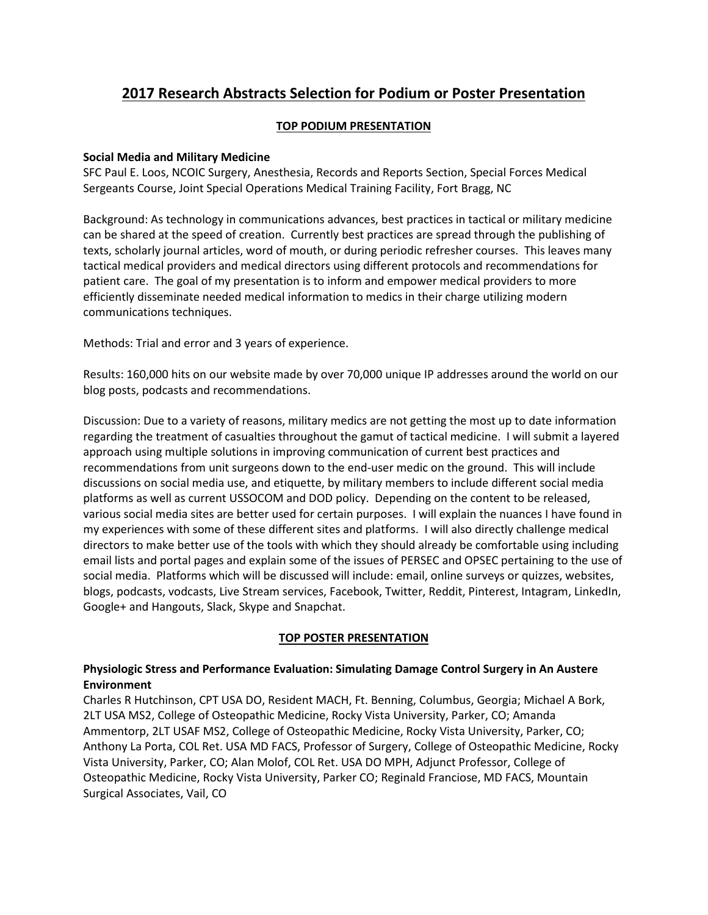# **2017 Research Abstracts Selection for Podium or Poster Presentation**

# **TOP PODIUM PRESENTATION**

# **Social Media and Military Medicine**

SFC Paul E. Loos, NCOIC Surgery, Anesthesia, Records and Reports Section, Special Forces Medical Sergeants Course, Joint Special Operations Medical Training Facility, Fort Bragg, NC

Background: As technology in communications advances, best practices in tactical or military medicine can be shared at the speed of creation. Currently best practices are spread through the publishing of texts, scholarly journal articles, word of mouth, or during periodic refresher courses. This leaves many tactical medical providers and medical directors using different protocols and recommendations for patient care. The goal of my presentation is to inform and empower medical providers to more efficiently disseminate needed medical information to medics in their charge utilizing modern communications techniques.

Methods: Trial and error and 3 years of experience.

Results: 160,000 hits on our website made by over 70,000 unique IP addresses around the world on our blog posts, podcasts and recommendations.

Discussion: Due to a variety of reasons, military medics are not getting the most up to date information regarding the treatment of casualties throughout the gamut of tactical medicine. I will submit a layered approach using multiple solutions in improving communication of current best practices and recommendations from unit surgeons down to the end-user medic on the ground. This will include discussions on social media use, and etiquette, by military members to include different social media platforms as well as current USSOCOM and DOD policy. Depending on the content to be released, various social media sites are better used for certain purposes. I will explain the nuances I have found in my experiences with some of these different sites and platforms. I will also directly challenge medical directors to make better use of the tools with which they should already be comfortable using including email lists and portal pages and explain some of the issues of PERSEC and OPSEC pertaining to the use of social media. Platforms which will be discussed will include: email, online surveys or quizzes, websites, blogs, podcasts, vodcasts, Live Stream services, Facebook, Twitter, Reddit, Pinterest, Intagram, LinkedIn, Google+ and Hangouts, Slack, Skype and Snapchat.

# **TOP POSTER PRESENTATION**

# **Physiologic Stress and Performance Evaluation: Simulating Damage Control Surgery in An Austere Environment**

Charles R Hutchinson, CPT USA DO, Resident MACH, Ft. Benning, Columbus, Georgia; Michael A Bork, 2LT USA MS2, College of Osteopathic Medicine, Rocky Vista University, Parker, CO; Amanda Ammentorp, 2LT USAF MS2, College of Osteopathic Medicine, Rocky Vista University, Parker, CO; Anthony La Porta, COL Ret. USA MD FACS, Professor of Surgery, College of Osteopathic Medicine, Rocky Vista University, Parker, CO; Alan Molof, COL Ret. USA DO MPH, Adjunct Professor, College of Osteopathic Medicine, Rocky Vista University, Parker CO; Reginald Franciose, MD FACS, Mountain Surgical Associates, Vail, CO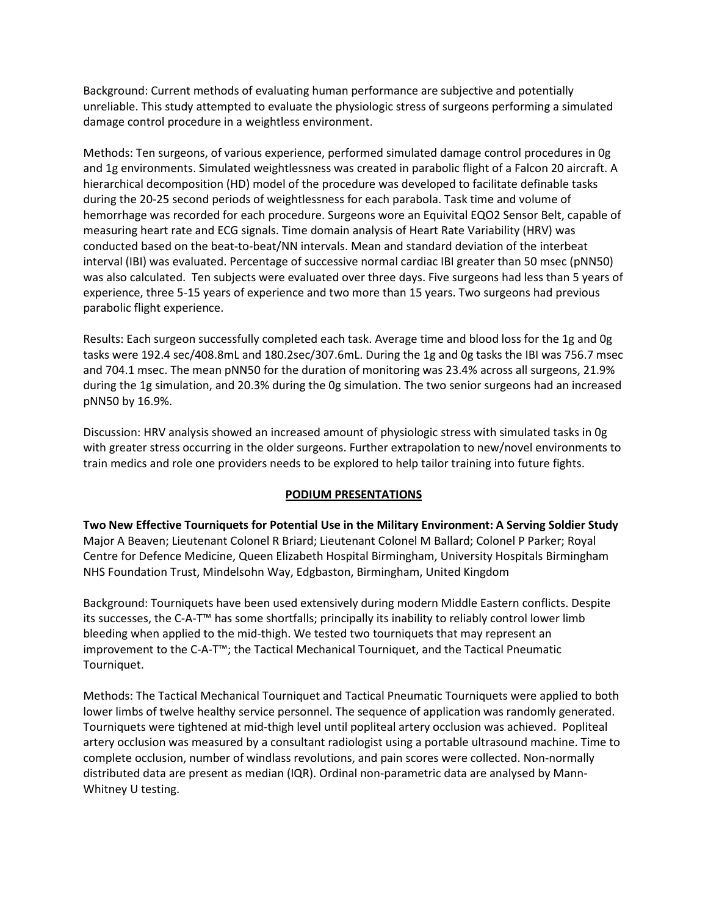Background: Current methods of evaluating human performance are subjective and potentially unreliable. This study attempted to evaluate the physiologic stress of surgeons performing a simulated damage control procedure in a weightless environment.

Methods: Ten surgeons, of various experience, performed simulated damage control procedures in 0g and 1g environments. Simulated weightlessness was created in parabolic flight of a Falcon 20 aircraft. A hierarchical decomposition (HD) model of the procedure was developed to facilitate definable tasks during the 20-25 second periods of weightlessness for each parabola. Task time and volume of hemorrhage was recorded for each procedure. Surgeons wore an Equivital EQO2 Sensor Belt, capable of measuring heart rate and ECG signals. Time domain analysis of Heart Rate Variability (HRV) was conducted based on the beat-to-beat/NN intervals. Mean and standard deviation of the interbeat interval (IBI) was evaluated. Percentage of successive normal cardiac IBI greater than 50 msec (pNN50) was also calculated. Ten subjects were evaluated over three days. Five surgeons had less than 5 years of experience, three 5-15 years of experience and two more than 15 years. Two surgeons had previous parabolic flight experience.

Results: Each surgeon successfully completed each task. Average time and blood loss for the 1g and 0g tasks were 192.4 sec/408.8mL and 180.2sec/307.6mL. During the 1g and 0g tasks the IBI was 756.7 msec and 704.1 msec. The mean pNN50 for the duration of monitoring was 23.4% across all surgeons, 21.9% during the 1g simulation, and 20.3% during the 0g simulation. The two senior surgeons had an increased pNN50 by 16.9%.

Discussion: HRV analysis showed an increased amount of physiologic stress with simulated tasks in 0g with greater stress occurring in the older surgeons. Further extrapolation to new/novel environments to train medics and role one providers needs to be explored to help tailor training into future fights.

#### **PODIUM PRESENTATIONS**

**Two New Effective Tourniquets for Potential Use in the Military Environment: A Serving Soldier Study** Major A Beaven; Lieutenant Colonel R Briard; Lieutenant Colonel M Ballard; Colonel P Parker; Royal Centre for Defence Medicine, Queen Elizabeth Hospital Birmingham, University Hospitals Birmingham NHS Foundation Trust, Mindelsohn Way, Edgbaston, Birmingham, United Kingdom

Background: Tourniquets have been used extensively during modern Middle Eastern conflicts. Despite its successes, the C-A-T™ has some shortfalls; principally its inability to reliably control lower limb bleeding when applied to the mid-thigh. We tested two tourniquets that may represent an improvement to the C-A-T™; the Tactical Mechanical Tourniquet, and the Tactical Pneumatic Tourniquet.

Methods: The Tactical Mechanical Tourniquet and Tactical Pneumatic Tourniquets were applied to both lower limbs of twelve healthy service personnel. The sequence of application was randomly generated. Tourniquets were tightened at mid-thigh level until popliteal artery occlusion was achieved. Popliteal artery occlusion was measured by a consultant radiologist using a portable ultrasound machine. Time to complete occlusion, number of windlass revolutions, and pain scores were collected. Non-normally distributed data are present as median (IQR). Ordinal non-parametric data are analysed by Mann-Whitney U testing.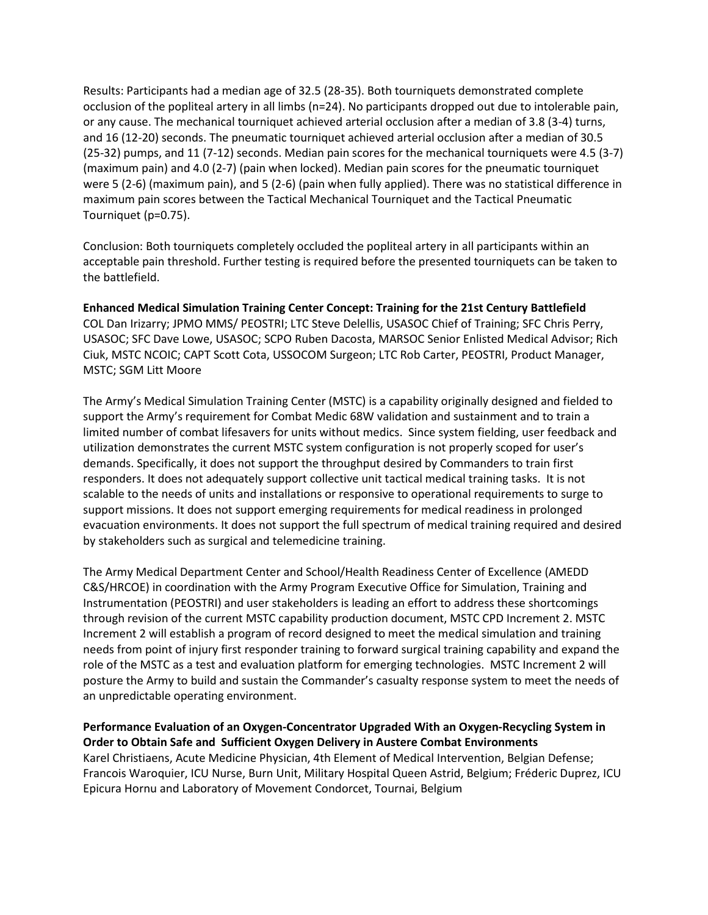Results: Participants had a median age of 32.5 (28-35). Both tourniquets demonstrated complete occlusion of the popliteal artery in all limbs (n=24). No participants dropped out due to intolerable pain, or any cause. The mechanical tourniquet achieved arterial occlusion after a median of 3.8 (3-4) turns, and 16 (12-20) seconds. The pneumatic tourniquet achieved arterial occlusion after a median of 30.5 (25-32) pumps, and 11 (7-12) seconds. Median pain scores for the mechanical tourniquets were 4.5 (3-7) (maximum pain) and 4.0 (2-7) (pain when locked). Median pain scores for the pneumatic tourniquet were 5 (2-6) (maximum pain), and 5 (2-6) (pain when fully applied). There was no statistical difference in maximum pain scores between the Tactical Mechanical Tourniquet and the Tactical Pneumatic Tourniquet (p=0.75).

Conclusion: Both tourniquets completely occluded the popliteal artery in all participants within an acceptable pain threshold. Further testing is required before the presented tourniquets can be taken to the battlefield.

**Enhanced Medical Simulation Training Center Concept: Training for the 21st Century Battlefield** COL Dan Irizarry; JPMO MMS/ PEOSTRI; LTC Steve Delellis, USASOC Chief of Training; SFC Chris Perry, USASOC; SFC Dave Lowe, USASOC; SCPO Ruben Dacosta, MARSOC Senior Enlisted Medical Advisor; Rich Ciuk, MSTC NCOIC; CAPT Scott Cota, USSOCOM Surgeon; LTC Rob Carter, PEOSTRI, Product Manager, MSTC; SGM Litt Moore

The Army's Medical Simulation Training Center (MSTC) is a capability originally designed and fielded to support the Army's requirement for Combat Medic 68W validation and sustainment and to train a limited number of combat lifesavers for units without medics. Since system fielding, user feedback and utilization demonstrates the current MSTC system configuration is not properly scoped for user's demands. Specifically, it does not support the throughput desired by Commanders to train first responders. It does not adequately support collective unit tactical medical training tasks. It is not scalable to the needs of units and installations or responsive to operational requirements to surge to support missions. It does not support emerging requirements for medical readiness in prolonged evacuation environments. It does not support the full spectrum of medical training required and desired by stakeholders such as surgical and telemedicine training.

The Army Medical Department Center and School/Health Readiness Center of Excellence (AMEDD C&S/HRCOE) in coordination with the Army Program Executive Office for Simulation, Training and Instrumentation (PEOSTRI) and user stakeholders is leading an effort to address these shortcomings through revision of the current MSTC capability production document, MSTC CPD Increment 2. MSTC Increment 2 will establish a program of record designed to meet the medical simulation and training needs from point of injury first responder training to forward surgical training capability and expand the role of the MSTC as a test and evaluation platform for emerging technologies. MSTC Increment 2 will posture the Army to build and sustain the Commander's casualty response system to meet the needs of an unpredictable operating environment.

**Performance Evaluation of an Oxygen-Concentrator Upgraded With an Oxygen-Recycling System in Order to Obtain Safe and Sufficient Oxygen Delivery in Austere Combat Environments** Karel Christiaens, Acute Medicine Physician, 4th Element of Medical Intervention, Belgian Defense; Francois Waroquier, ICU Nurse, Burn Unit, Military Hospital Queen Astrid, Belgium; Fréderic Duprez, ICU Epicura Hornu and Laboratory of Movement Condorcet, Tournai, Belgium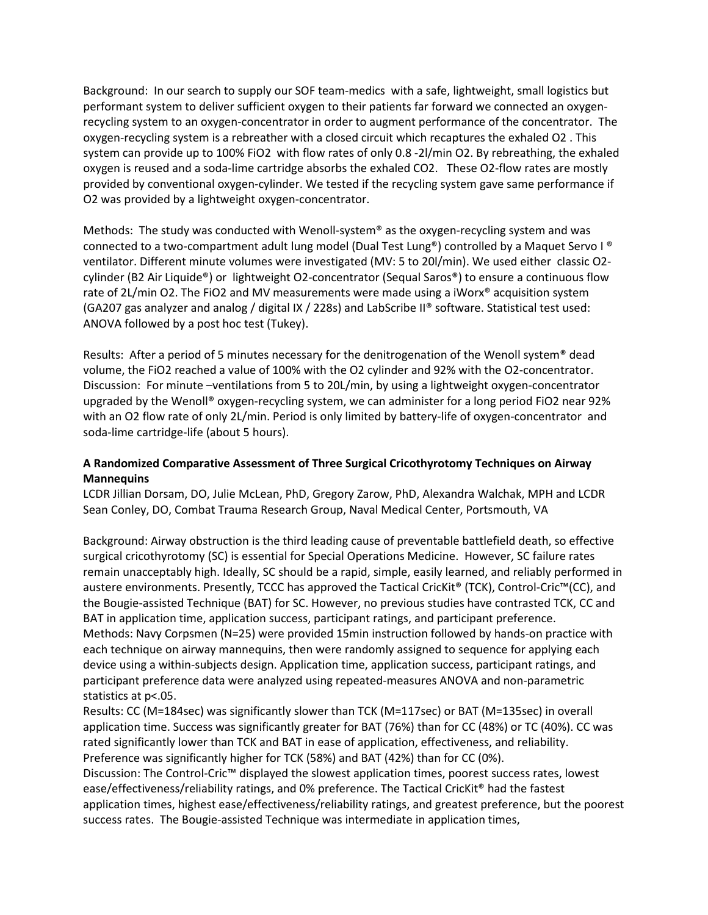Background: In our search to supply our SOF team-medics with a safe, lightweight, small logistics but performant system to deliver sufficient oxygen to their patients far forward we connected an oxygenrecycling system to an oxygen-concentrator in order to augment performance of the concentrator. The oxygen-recycling system is a rebreather with a closed circuit which recaptures the exhaled O2 . This system can provide up to 100% FiO2 with flow rates of only 0.8 -2l/min O2. By rebreathing, the exhaled oxygen is reused and a soda-lime cartridge absorbs the exhaled CO2. These O2-flow rates are mostly provided by conventional oxygen-cylinder. We tested if the recycling system gave same performance if O2 was provided by a lightweight oxygen-concentrator.

Methods: The study was conducted with Wenoll-system<sup>®</sup> as the oxygen-recycling system and was connected to a two-compartment adult lung model (Dual Test Lung®) controlled by a Maquet Servo I ® ventilator. Different minute volumes were investigated (MV: 5 to 20l/min). We used either classic O2 cylinder (B2 Air Liquide®) or lightweight O2-concentrator (Sequal Saros®) to ensure a continuous flow rate of 2L/min O2. The FiO2 and MV measurements were made using a iWorx<sup>®</sup> acquisition system (GA207 gas analyzer and analog / digital IX / 228s) and LabScribe II® software. Statistical test used: ANOVA followed by a post hoc test (Tukey).

Results: After a period of 5 minutes necessary for the denitrogenation of the Wenoll system® dead volume, the FiO2 reached a value of 100% with the O2 cylinder and 92% with the O2-concentrator. Discussion: For minute –ventilations from 5 to 20L/min, by using a lightweight oxygen-concentrator upgraded by the Wenoll® oxygen-recycling system, we can administer for a long period FiO2 near 92% with an O2 flow rate of only 2L/min. Period is only limited by battery-life of oxygen-concentrator and soda-lime cartridge-life (about 5 hours).

# **A Randomized Comparative Assessment of Three Surgical Cricothyrotomy Techniques on Airway Mannequins**

LCDR Jillian Dorsam, DO, Julie McLean, PhD, Gregory Zarow, PhD, Alexandra Walchak, MPH and LCDR Sean Conley, DO, Combat Trauma Research Group, Naval Medical Center, Portsmouth, VA

Background: Airway obstruction is the third leading cause of preventable battlefield death, so effective surgical cricothyrotomy (SC) is essential for Special Operations Medicine. However, SC failure rates remain unacceptably high. Ideally, SC should be a rapid, simple, easily learned, and reliably performed in austere environments. Presently, TCCC has approved the Tactical CricKit® (TCK), Control-Cric™(CC), and the Bougie-assisted Technique (BAT) for SC. However, no previous studies have contrasted TCK, CC and BAT in application time, application success, participant ratings, and participant preference. Methods: Navy Corpsmen (N=25) were provided 15min instruction followed by hands-on practice with each technique on airway mannequins, then were randomly assigned to sequence for applying each device using a within-subjects design. Application time, application success, participant ratings, and participant preference data were analyzed using repeated-measures ANOVA and non-parametric statistics at p<.05.

Results: CC (M=184sec) was significantly slower than TCK (M=117sec) or BAT (M=135sec) in overall application time. Success was significantly greater for BAT (76%) than for CC (48%) or TC (40%). CC was rated significantly lower than TCK and BAT in ease of application, effectiveness, and reliability. Preference was significantly higher for TCK (58%) and BAT (42%) than for CC (0%).

Discussion: The Control-Cric™ displayed the slowest application times, poorest success rates, lowest ease/effectiveness/reliability ratings, and 0% preference. The Tactical CricKit® had the fastest application times, highest ease/effectiveness/reliability ratings, and greatest preference, but the poorest success rates. The Bougie-assisted Technique was intermediate in application times,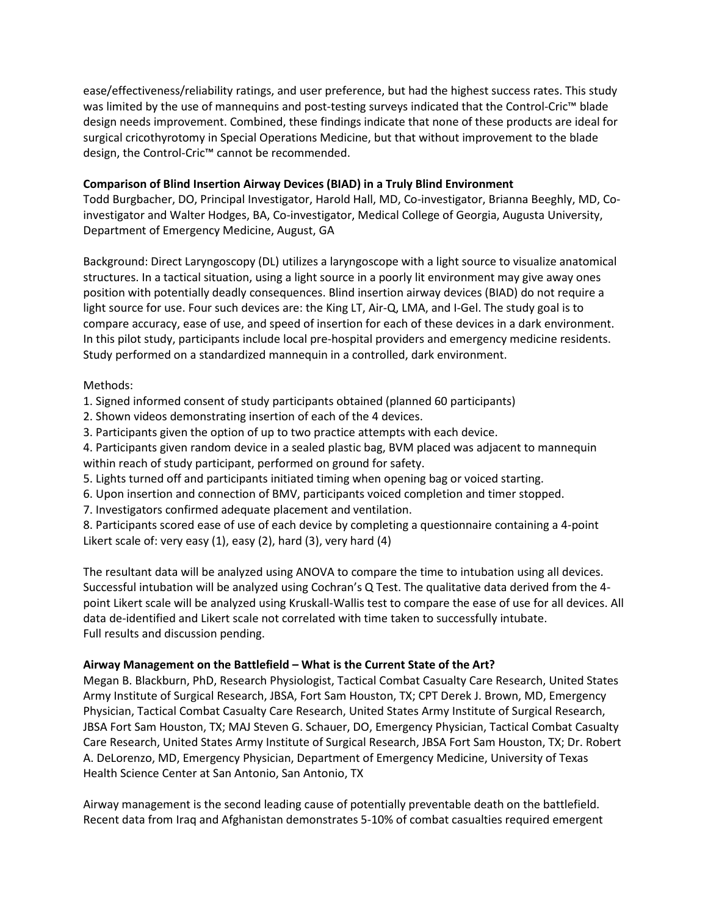ease/effectiveness/reliability ratings, and user preference, but had the highest success rates. This study was limited by the use of mannequins and post-testing surveys indicated that the Control-Cric™ blade design needs improvement. Combined, these findings indicate that none of these products are ideal for surgical cricothyrotomy in Special Operations Medicine, but that without improvement to the blade design, the Control-Cric™ cannot be recommended.

#### **Comparison of Blind Insertion Airway Devices (BIAD) in a Truly Blind Environment**

Todd Burgbacher, DO, Principal Investigator, Harold Hall, MD, Co-investigator, Brianna Beeghly, MD, Coinvestigator and Walter Hodges, BA, Co-investigator, Medical College of Georgia, Augusta University, Department of Emergency Medicine, August, GA

Background: Direct Laryngoscopy (DL) utilizes a laryngoscope with a light source to visualize anatomical structures. In a tactical situation, using a light source in a poorly lit environment may give away ones position with potentially deadly consequences. Blind insertion airway devices (BIAD) do not require a light source for use. Four such devices are: the King LT, Air-Q, LMA, and I-Gel. The study goal is to compare accuracy, ease of use, and speed of insertion for each of these devices in a dark environment. In this pilot study, participants include local pre-hospital providers and emergency medicine residents. Study performed on a standardized mannequin in a controlled, dark environment.

# Methods:

1. Signed informed consent of study participants obtained (planned 60 participants)

- 2. Shown videos demonstrating insertion of each of the 4 devices.
- 3. Participants given the option of up to two practice attempts with each device.

4. Participants given random device in a sealed plastic bag, BVM placed was adjacent to mannequin within reach of study participant, performed on ground for safety.

- 5. Lights turned off and participants initiated timing when opening bag or voiced starting.
- 6. Upon insertion and connection of BMV, participants voiced completion and timer stopped.
- 7. Investigators confirmed adequate placement and ventilation.

8. Participants scored ease of use of each device by completing a questionnaire containing a 4-point Likert scale of: very easy (1), easy (2), hard (3), very hard (4)

The resultant data will be analyzed using ANOVA to compare the time to intubation using all devices. Successful intubation will be analyzed using Cochran's Q Test. The qualitative data derived from the 4 point Likert scale will be analyzed using Kruskall-Wallis test to compare the ease of use for all devices. All data de-identified and Likert scale not correlated with time taken to successfully intubate. Full results and discussion pending.

#### **Airway Management on the Battlefield – What is the Current State of the Art?**

Megan B. Blackburn, PhD, Research Physiologist, Tactical Combat Casualty Care Research, United States Army Institute of Surgical Research, JBSA, Fort Sam Houston, TX; CPT Derek J. Brown, MD, Emergency Physician, Tactical Combat Casualty Care Research, United States Army Institute of Surgical Research, JBSA Fort Sam Houston, TX; MAJ Steven G. Schauer, DO, Emergency Physician, Tactical Combat Casualty Care Research, United States Army Institute of Surgical Research, JBSA Fort Sam Houston, TX; Dr. Robert A. DeLorenzo, MD, Emergency Physician, Department of Emergency Medicine, University of Texas Health Science Center at San Antonio, San Antonio, TX

Airway management is the second leading cause of potentially preventable death on the battlefield. Recent data from Iraq and Afghanistan demonstrates 5-10% of combat casualties required emergent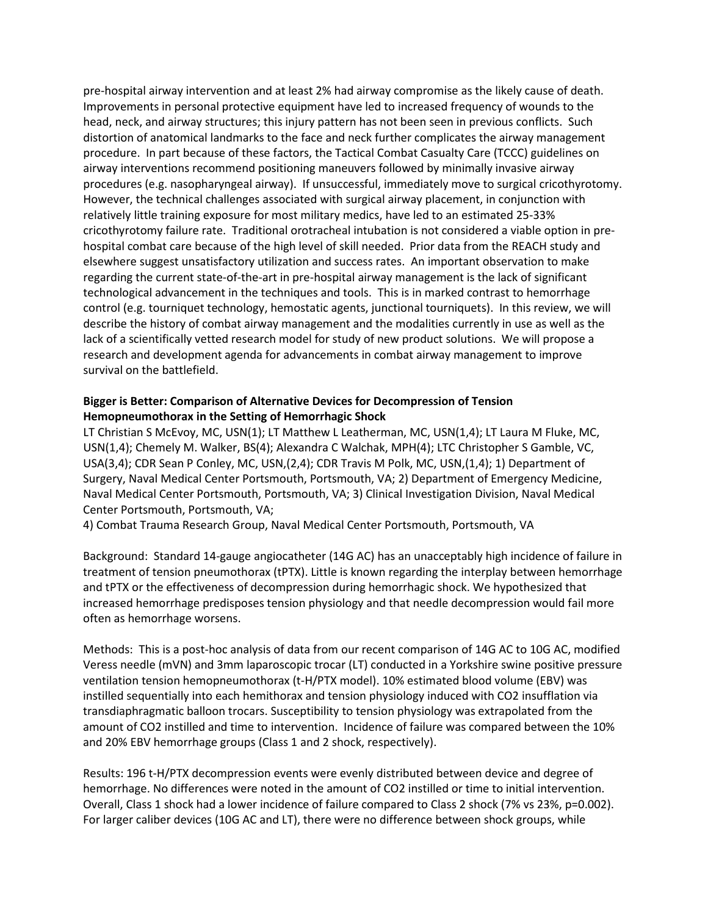pre-hospital airway intervention and at least 2% had airway compromise as the likely cause of death. Improvements in personal protective equipment have led to increased frequency of wounds to the head, neck, and airway structures; this injury pattern has not been seen in previous conflicts. Such distortion of anatomical landmarks to the face and neck further complicates the airway management procedure. In part because of these factors, the Tactical Combat Casualty Care (TCCC) guidelines on airway interventions recommend positioning maneuvers followed by minimally invasive airway procedures (e.g. nasopharyngeal airway). If unsuccessful, immediately move to surgical cricothyrotomy. However, the technical challenges associated with surgical airway placement, in conjunction with relatively little training exposure for most military medics, have led to an estimated 25-33% cricothyrotomy failure rate. Traditional orotracheal intubation is not considered a viable option in prehospital combat care because of the high level of skill needed. Prior data from the REACH study and elsewhere suggest unsatisfactory utilization and success rates. An important observation to make regarding the current state-of-the-art in pre-hospital airway management is the lack of significant technological advancement in the techniques and tools. This is in marked contrast to hemorrhage control (e.g. tourniquet technology, hemostatic agents, junctional tourniquets). In this review, we will describe the history of combat airway management and the modalities currently in use as well as the lack of a scientifically vetted research model for study of new product solutions. We will propose a research and development agenda for advancements in combat airway management to improve survival on the battlefield.

#### **Bigger is Better: Comparison of Alternative Devices for Decompression of Tension Hemopneumothorax in the Setting of Hemorrhagic Shock**

LT Christian S McEvoy, MC, USN(1); LT Matthew L Leatherman, MC, USN(1,4); LT Laura M Fluke, MC, USN(1,4); Chemely M. Walker, BS(4); Alexandra C Walchak, MPH(4); LTC Christopher S Gamble, VC, USA(3,4); CDR Sean P Conley, MC, USN,(2,4); CDR Travis M Polk, MC, USN,(1,4); 1) Department of Surgery, Naval Medical Center Portsmouth, Portsmouth, VA; 2) Department of Emergency Medicine, Naval Medical Center Portsmouth, Portsmouth, VA; 3) Clinical Investigation Division, Naval Medical Center Portsmouth, Portsmouth, VA;

4) Combat Trauma Research Group, Naval Medical Center Portsmouth, Portsmouth, VA

Background: Standard 14-gauge angiocatheter (14G AC) has an unacceptably high incidence of failure in treatment of tension pneumothorax (tPTX). Little is known regarding the interplay between hemorrhage and tPTX or the effectiveness of decompression during hemorrhagic shock. We hypothesized that increased hemorrhage predisposes tension physiology and that needle decompression would fail more often as hemorrhage worsens.

Methods: This is a post-hoc analysis of data from our recent comparison of 14G AC to 10G AC, modified Veress needle (mVN) and 3mm laparoscopic trocar (LT) conducted in a Yorkshire swine positive pressure ventilation tension hemopneumothorax (t-H/PTX model). 10% estimated blood volume (EBV) was instilled sequentially into each hemithorax and tension physiology induced with CO2 insufflation via transdiaphragmatic balloon trocars. Susceptibility to tension physiology was extrapolated from the amount of CO2 instilled and time to intervention. Incidence of failure was compared between the 10% and 20% EBV hemorrhage groups (Class 1 and 2 shock, respectively).

Results: 196 t-H/PTX decompression events were evenly distributed between device and degree of hemorrhage. No differences were noted in the amount of CO2 instilled or time to initial intervention. Overall, Class 1 shock had a lower incidence of failure compared to Class 2 shock (7% vs 23%, p=0.002). For larger caliber devices (10G AC and LT), there were no difference between shock groups, while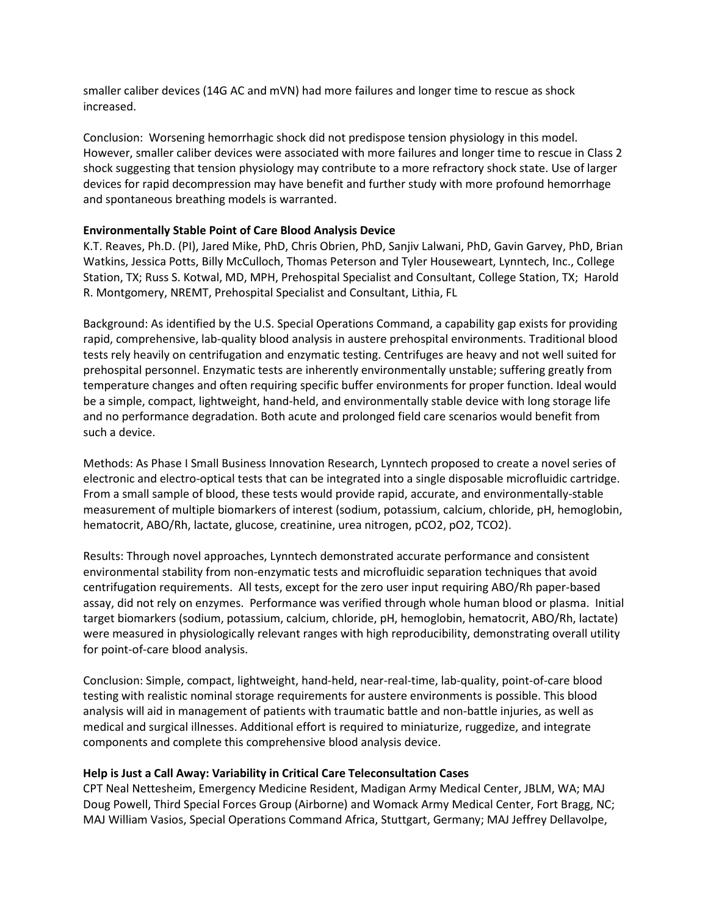smaller caliber devices (14G AC and mVN) had more failures and longer time to rescue as shock increased.

Conclusion: Worsening hemorrhagic shock did not predispose tension physiology in this model. However, smaller caliber devices were associated with more failures and longer time to rescue in Class 2 shock suggesting that tension physiology may contribute to a more refractory shock state. Use of larger devices for rapid decompression may have benefit and further study with more profound hemorrhage and spontaneous breathing models is warranted.

#### **Environmentally Stable Point of Care Blood Analysis Device**

K.T. Reaves, Ph.D. (PI), Jared Mike, PhD, Chris Obrien, PhD, Sanjiv Lalwani, PhD, Gavin Garvey, PhD, Brian Watkins, Jessica Potts, Billy McCulloch, Thomas Peterson and Tyler Houseweart, Lynntech, Inc., College Station, TX; Russ S. Kotwal, MD, MPH, Prehospital Specialist and Consultant, College Station, TX; Harold R. Montgomery, NREMT, Prehospital Specialist and Consultant, Lithia, FL

Background: As identified by the U.S. Special Operations Command, a capability gap exists for providing rapid, comprehensive, lab-quality blood analysis in austere prehospital environments. Traditional blood tests rely heavily on centrifugation and enzymatic testing. Centrifuges are heavy and not well suited for prehospital personnel. Enzymatic tests are inherently environmentally unstable; suffering greatly from temperature changes and often requiring specific buffer environments for proper function. Ideal would be a simple, compact, lightweight, hand-held, and environmentally stable device with long storage life and no performance degradation. Both acute and prolonged field care scenarios would benefit from such a device.

Methods: As Phase I Small Business Innovation Research, Lynntech proposed to create a novel series of electronic and electro-optical tests that can be integrated into a single disposable microfluidic cartridge. From a small sample of blood, these tests would provide rapid, accurate, and environmentally-stable measurement of multiple biomarkers of interest (sodium, potassium, calcium, chloride, pH, hemoglobin, hematocrit, ABO/Rh, lactate, glucose, creatinine, urea nitrogen, pCO2, pO2, TCO2).

Results: Through novel approaches, Lynntech demonstrated accurate performance and consistent environmental stability from non-enzymatic tests and microfluidic separation techniques that avoid centrifugation requirements. All tests, except for the zero user input requiring ABO/Rh paper-based assay, did not rely on enzymes. Performance was verified through whole human blood or plasma. Initial target biomarkers (sodium, potassium, calcium, chloride, pH, hemoglobin, hematocrit, ABO/Rh, lactate) were measured in physiologically relevant ranges with high reproducibility, demonstrating overall utility for point-of-care blood analysis.

Conclusion: Simple, compact, lightweight, hand-held, near-real-time, lab-quality, point-of-care blood testing with realistic nominal storage requirements for austere environments is possible. This blood analysis will aid in management of patients with traumatic battle and non-battle injuries, as well as medical and surgical illnesses. Additional effort is required to miniaturize, ruggedize, and integrate components and complete this comprehensive blood analysis device.

#### **Help is Just a Call Away: Variability in Critical Care Teleconsultation Cases**

CPT Neal Nettesheim, Emergency Medicine Resident, Madigan Army Medical Center, JBLM, WA; MAJ Doug Powell, Third Special Forces Group (Airborne) and Womack Army Medical Center, Fort Bragg, NC; MAJ William Vasios, Special Operations Command Africa, Stuttgart, Germany; MAJ Jeffrey Dellavolpe,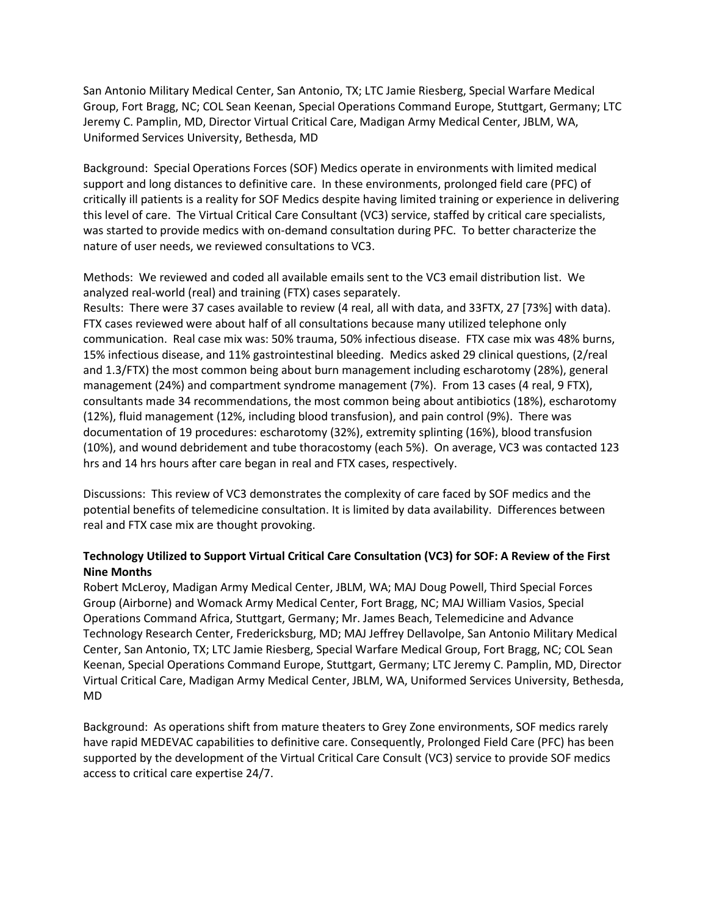San Antonio Military Medical Center, San Antonio, TX; LTC Jamie Riesberg, Special Warfare Medical Group, Fort Bragg, NC; COL Sean Keenan, Special Operations Command Europe, Stuttgart, Germany; LTC Jeremy C. Pamplin, MD, Director Virtual Critical Care, Madigan Army Medical Center, JBLM, WA, Uniformed Services University, Bethesda, MD

Background: Special Operations Forces (SOF) Medics operate in environments with limited medical support and long distances to definitive care. In these environments, prolonged field care (PFC) of critically ill patients is a reality for SOF Medics despite having limited training or experience in delivering this level of care. The Virtual Critical Care Consultant (VC3) service, staffed by critical care specialists, was started to provide medics with on-demand consultation during PFC. To better characterize the nature of user needs, we reviewed consultations to VC3.

Methods: We reviewed and coded all available emails sent to the VC3 email distribution list. We analyzed real-world (real) and training (FTX) cases separately.

Results: There were 37 cases available to review (4 real, all with data, and 33FTX, 27 [73%] with data). FTX cases reviewed were about half of all consultations because many utilized telephone only communication. Real case mix was: 50% trauma, 50% infectious disease. FTX case mix was 48% burns, 15% infectious disease, and 11% gastrointestinal bleeding. Medics asked 29 clinical questions, (2/real and 1.3/FTX) the most common being about burn management including escharotomy (28%), general management (24%) and compartment syndrome management (7%). From 13 cases (4 real, 9 FTX), consultants made 34 recommendations, the most common being about antibiotics (18%), escharotomy (12%), fluid management (12%, including blood transfusion), and pain control (9%). There was documentation of 19 procedures: escharotomy (32%), extremity splinting (16%), blood transfusion (10%), and wound debridement and tube thoracostomy (each 5%). On average, VC3 was contacted 123 hrs and 14 hrs hours after care began in real and FTX cases, respectively.

Discussions: This review of VC3 demonstrates the complexity of care faced by SOF medics and the potential benefits of telemedicine consultation. It is limited by data availability. Differences between real and FTX case mix are thought provoking.

# **Technology Utilized to Support Virtual Critical Care Consultation (VC3) for SOF: A Review of the First Nine Months**

Robert McLeroy, Madigan Army Medical Center, JBLM, WA; MAJ Doug Powell, Third Special Forces Group (Airborne) and Womack Army Medical Center, Fort Bragg, NC; MAJ William Vasios, Special Operations Command Africa, Stuttgart, Germany; Mr. James Beach, Telemedicine and Advance Technology Research Center, Fredericksburg, MD; MAJ Jeffrey Dellavolpe, San Antonio Military Medical Center, San Antonio, TX; LTC Jamie Riesberg, Special Warfare Medical Group, Fort Bragg, NC; COL Sean Keenan, Special Operations Command Europe, Stuttgart, Germany; LTC Jeremy C. Pamplin, MD, Director Virtual Critical Care, Madigan Army Medical Center, JBLM, WA, Uniformed Services University, Bethesda, MD

Background: As operations shift from mature theaters to Grey Zone environments, SOF medics rarely have rapid MEDEVAC capabilities to definitive care. Consequently, Prolonged Field Care (PFC) has been supported by the development of the Virtual Critical Care Consult (VC3) service to provide SOF medics access to critical care expertise 24/7.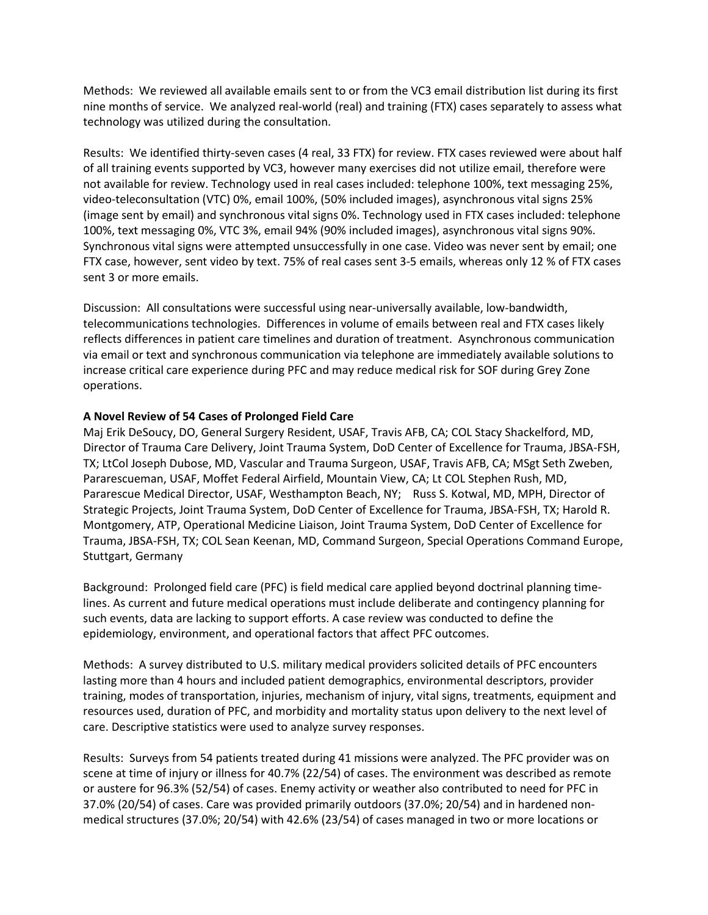Methods: We reviewed all available emails sent to or from the VC3 email distribution list during its first nine months of service. We analyzed real-world (real) and training (FTX) cases separately to assess what technology was utilized during the consultation.

Results: We identified thirty-seven cases (4 real, 33 FTX) for review. FTX cases reviewed were about half of all training events supported by VC3, however many exercises did not utilize email, therefore were not available for review. Technology used in real cases included: telephone 100%, text messaging 25%, video-teleconsultation (VTC) 0%, email 100%, (50% included images), asynchronous vital signs 25% (image sent by email) and synchronous vital signs 0%. Technology used in FTX cases included: telephone 100%, text messaging 0%, VTC 3%, email 94% (90% included images), asynchronous vital signs 90%. Synchronous vital signs were attempted unsuccessfully in one case. Video was never sent by email; one FTX case, however, sent video by text. 75% of real cases sent 3-5 emails, whereas only 12 % of FTX cases sent 3 or more emails.

Discussion: All consultations were successful using near-universally available, low-bandwidth, telecommunications technologies. Differences in volume of emails between real and FTX cases likely reflects differences in patient care timelines and duration of treatment. Asynchronous communication via email or text and synchronous communication via telephone are immediately available solutions to increase critical care experience during PFC and may reduce medical risk for SOF during Grey Zone operations.

#### **A Novel Review of 54 Cases of Prolonged Field Care**

Maj Erik DeSoucy, DO, General Surgery Resident, USAF, Travis AFB, CA; COL Stacy Shackelford, MD, Director of Trauma Care Delivery, Joint Trauma System, DoD Center of Excellence for Trauma, JBSA-FSH, TX; LtCol Joseph Dubose, MD, Vascular and Trauma Surgeon, USAF, Travis AFB, CA; MSgt Seth Zweben, Pararescueman, USAF, Moffet Federal Airfield, Mountain View, CA; Lt COL Stephen Rush, MD, Pararescue Medical Director, USAF, Westhampton Beach, NY; Russ S. Kotwal, MD, MPH, Director of Strategic Projects, Joint Trauma System, DoD Center of Excellence for Trauma, JBSA-FSH, TX; Harold R. Montgomery, ATP, Operational Medicine Liaison, Joint Trauma System, DoD Center of Excellence for Trauma, JBSA-FSH, TX; COL Sean Keenan, MD, Command Surgeon, Special Operations Command Europe, Stuttgart, Germany

Background: Prolonged field care (PFC) is field medical care applied beyond doctrinal planning timelines. As current and future medical operations must include deliberate and contingency planning for such events, data are lacking to support efforts. A case review was conducted to define the epidemiology, environment, and operational factors that affect PFC outcomes.

Methods: A survey distributed to U.S. military medical providers solicited details of PFC encounters lasting more than 4 hours and included patient demographics, environmental descriptors, provider training, modes of transportation, injuries, mechanism of injury, vital signs, treatments, equipment and resources used, duration of PFC, and morbidity and mortality status upon delivery to the next level of care. Descriptive statistics were used to analyze survey responses.

Results: Surveys from 54 patients treated during 41 missions were analyzed. The PFC provider was on scene at time of injury or illness for 40.7% (22/54) of cases. The environment was described as remote or austere for 96.3% (52/54) of cases. Enemy activity or weather also contributed to need for PFC in 37.0% (20/54) of cases. Care was provided primarily outdoors (37.0%; 20/54) and in hardened nonmedical structures (37.0%; 20/54) with 42.6% (23/54) of cases managed in two or more locations or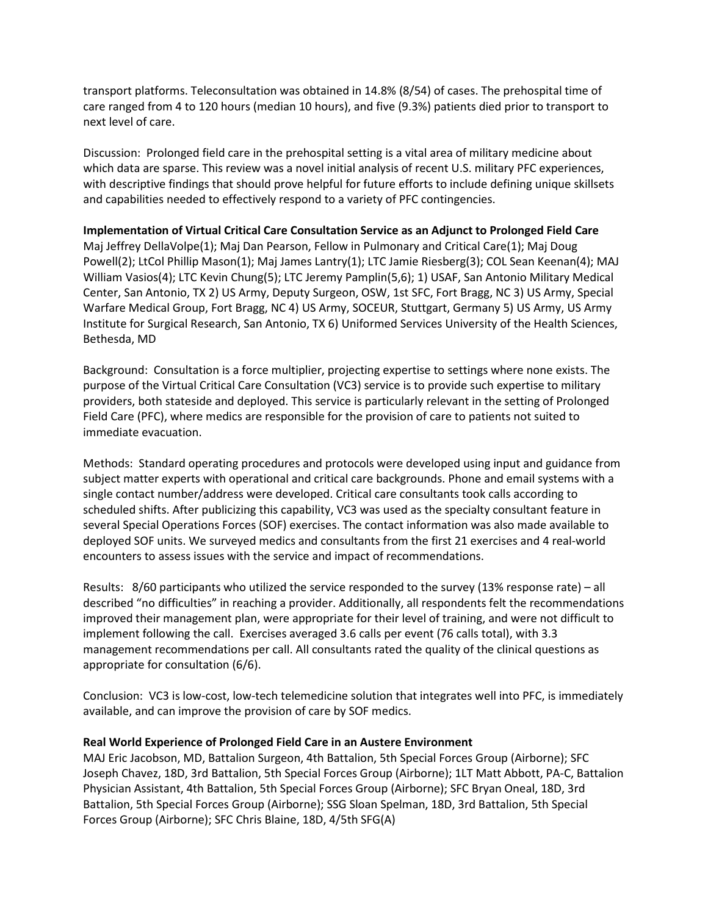transport platforms. Teleconsultation was obtained in 14.8% (8/54) of cases. The prehospital time of care ranged from 4 to 120 hours (median 10 hours), and five (9.3%) patients died prior to transport to next level of care.

Discussion: Prolonged field care in the prehospital setting is a vital area of military medicine about which data are sparse. This review was a novel initial analysis of recent U.S. military PFC experiences, with descriptive findings that should prove helpful for future efforts to include defining unique skillsets and capabilities needed to effectively respond to a variety of PFC contingencies.

**Implementation of Virtual Critical Care Consultation Service as an Adjunct to Prolonged Field Care** Maj Jeffrey DellaVolpe(1); Maj Dan Pearson, Fellow in Pulmonary and Critical Care(1); Maj Doug Powell(2); LtCol Phillip Mason(1); Maj James Lantry(1); LTC Jamie Riesberg(3); COL Sean Keenan(4); MAJ William Vasios(4); LTC Kevin Chung(5); LTC Jeremy Pamplin(5,6); 1) USAF, San Antonio Military Medical Center, San Antonio, TX 2) US Army, Deputy Surgeon, OSW, 1st SFC, Fort Bragg, NC 3) US Army, Special Warfare Medical Group, Fort Bragg, NC 4) US Army, SOCEUR, Stuttgart, Germany 5) US Army, US Army Institute for Surgical Research, San Antonio, TX 6) Uniformed Services University of the Health Sciences, Bethesda, MD

Background: Consultation is a force multiplier, projecting expertise to settings where none exists. The purpose of the Virtual Critical Care Consultation (VC3) service is to provide such expertise to military providers, both stateside and deployed. This service is particularly relevant in the setting of Prolonged Field Care (PFC), where medics are responsible for the provision of care to patients not suited to immediate evacuation.

Methods: Standard operating procedures and protocols were developed using input and guidance from subject matter experts with operational and critical care backgrounds. Phone and email systems with a single contact number/address were developed. Critical care consultants took calls according to scheduled shifts. After publicizing this capability, VC3 was used as the specialty consultant feature in several Special Operations Forces (SOF) exercises. The contact information was also made available to deployed SOF units. We surveyed medics and consultants from the first 21 exercises and 4 real-world encounters to assess issues with the service and impact of recommendations.

Results: 8/60 participants who utilized the service responded to the survey (13% response rate) – all described "no difficulties" in reaching a provider. Additionally, all respondents felt the recommendations improved their management plan, were appropriate for their level of training, and were not difficult to implement following the call. Exercises averaged 3.6 calls per event (76 calls total), with 3.3 management recommendations per call. All consultants rated the quality of the clinical questions as appropriate for consultation (6/6).

Conclusion: VC3 is low-cost, low-tech telemedicine solution that integrates well into PFC, is immediately available, and can improve the provision of care by SOF medics.

#### **Real World Experience of Prolonged Field Care in an Austere Environment**

MAJ Eric Jacobson, MD, Battalion Surgeon, 4th Battalion, 5th Special Forces Group (Airborne); SFC Joseph Chavez, 18D, 3rd Battalion, 5th Special Forces Group (Airborne); 1LT Matt Abbott, PA-C, Battalion Physician Assistant, 4th Battalion, 5th Special Forces Group (Airborne); SFC Bryan Oneal, 18D, 3rd Battalion, 5th Special Forces Group (Airborne); SSG Sloan Spelman, 18D, 3rd Battalion, 5th Special Forces Group (Airborne); SFC Chris Blaine, 18D, 4/5th SFG(A)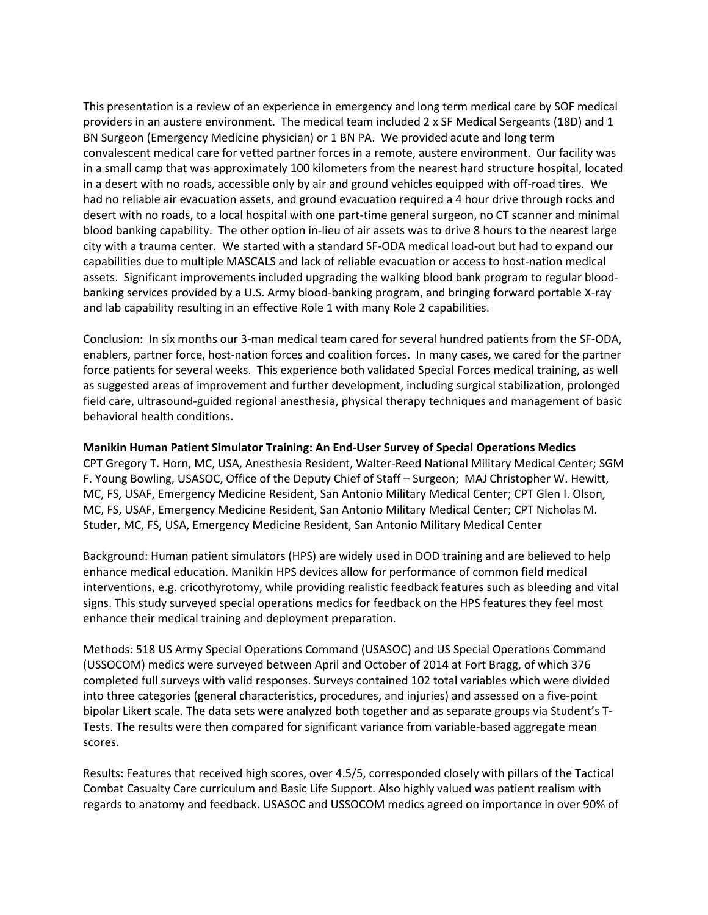This presentation is a review of an experience in emergency and long term medical care by SOF medical providers in an austere environment. The medical team included 2 x SF Medical Sergeants (18D) and 1 BN Surgeon (Emergency Medicine physician) or 1 BN PA. We provided acute and long term convalescent medical care for vetted partner forces in a remote, austere environment. Our facility was in a small camp that was approximately 100 kilometers from the nearest hard structure hospital, located in a desert with no roads, accessible only by air and ground vehicles equipped with off-road tires. We had no reliable air evacuation assets, and ground evacuation required a 4 hour drive through rocks and desert with no roads, to a local hospital with one part-time general surgeon, no CT scanner and minimal blood banking capability. The other option in-lieu of air assets was to drive 8 hours to the nearest large city with a trauma center. We started with a standard SF-ODA medical load-out but had to expand our capabilities due to multiple MASCALS and lack of reliable evacuation or access to host-nation medical assets. Significant improvements included upgrading the walking blood bank program to regular bloodbanking services provided by a U.S. Army blood-banking program, and bringing forward portable X-ray and lab capability resulting in an effective Role 1 with many Role 2 capabilities.

Conclusion: In six months our 3-man medical team cared for several hundred patients from the SF-ODA, enablers, partner force, host-nation forces and coalition forces. In many cases, we cared for the partner force patients for several weeks. This experience both validated Special Forces medical training, as well as suggested areas of improvement and further development, including surgical stabilization, prolonged field care, ultrasound-guided regional anesthesia, physical therapy techniques and management of basic behavioral health conditions.

#### **Manikin Human Patient Simulator Training: An End-User Survey of Special Operations Medics**

CPT Gregory T. Horn, MC, USA, Anesthesia Resident, Walter-Reed National Military Medical Center; SGM F. Young Bowling, USASOC, Office of the Deputy Chief of Staff – Surgeon; MAJ Christopher W. Hewitt, MC, FS, USAF, Emergency Medicine Resident, San Antonio Military Medical Center; CPT Glen I. Olson, MC, FS, USAF, Emergency Medicine Resident, San Antonio Military Medical Center; CPT Nicholas M. Studer, MC, FS, USA, Emergency Medicine Resident, San Antonio Military Medical Center

Background: Human patient simulators (HPS) are widely used in DOD training and are believed to help enhance medical education. Manikin HPS devices allow for performance of common field medical interventions, e.g. cricothyrotomy, while providing realistic feedback features such as bleeding and vital signs. This study surveyed special operations medics for feedback on the HPS features they feel most enhance their medical training and deployment preparation.

Methods: 518 US Army Special Operations Command (USASOC) and US Special Operations Command (USSOCOM) medics were surveyed between April and October of 2014 at Fort Bragg, of which 376 completed full surveys with valid responses. Surveys contained 102 total variables which were divided into three categories (general characteristics, procedures, and injuries) and assessed on a five-point bipolar Likert scale. The data sets were analyzed both together and as separate groups via Student's T-Tests. The results were then compared for significant variance from variable-based aggregate mean scores.

Results: Features that received high scores, over 4.5/5, corresponded closely with pillars of the Tactical Combat Casualty Care curriculum and Basic Life Support. Also highly valued was patient realism with regards to anatomy and feedback. USASOC and USSOCOM medics agreed on importance in over 90% of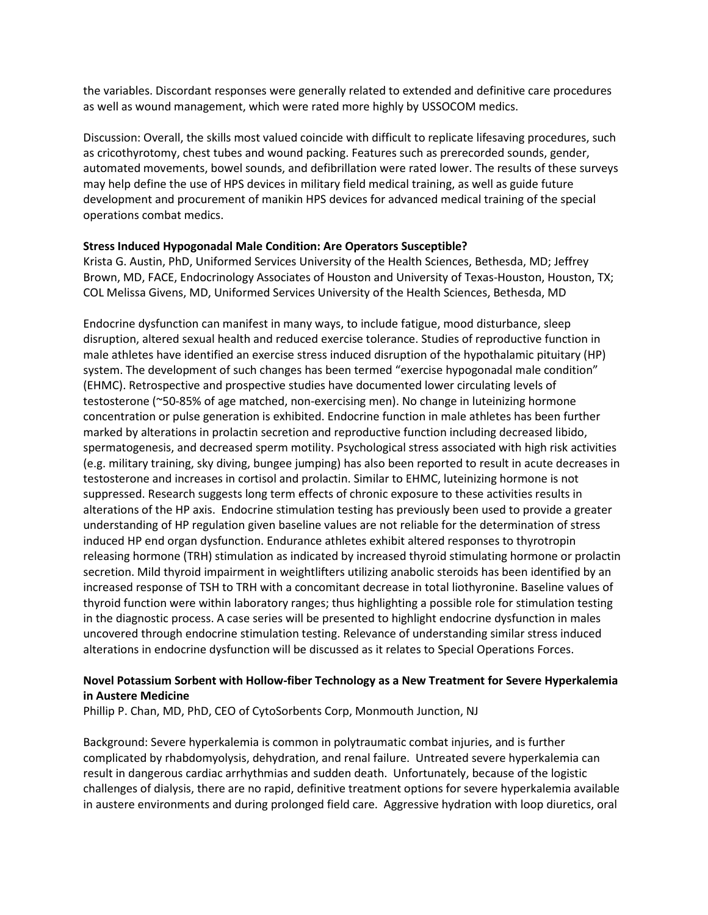the variables. Discordant responses were generally related to extended and definitive care procedures as well as wound management, which were rated more highly by USSOCOM medics.

Discussion: Overall, the skills most valued coincide with difficult to replicate lifesaving procedures, such as cricothyrotomy, chest tubes and wound packing. Features such as prerecorded sounds, gender, automated movements, bowel sounds, and defibrillation were rated lower. The results of these surveys may help define the use of HPS devices in military field medical training, as well as guide future development and procurement of manikin HPS devices for advanced medical training of the special operations combat medics.

#### **Stress Induced Hypogonadal Male Condition: Are Operators Susceptible?**

Krista G. Austin, PhD, Uniformed Services University of the Health Sciences, Bethesda, MD; Jeffrey Brown, MD, FACE, Endocrinology Associates of Houston and University of Texas-Houston, Houston, TX; COL Melissa Givens, MD, Uniformed Services University of the Health Sciences, Bethesda, MD

Endocrine dysfunction can manifest in many ways, to include fatigue, mood disturbance, sleep disruption, altered sexual health and reduced exercise tolerance. Studies of reproductive function in male athletes have identified an exercise stress induced disruption of the hypothalamic pituitary (HP) system. The development of such changes has been termed "exercise hypogonadal male condition" (EHMC). Retrospective and prospective studies have documented lower circulating levels of testosterone (~50-85% of age matched, non-exercising men). No change in luteinizing hormone concentration or pulse generation is exhibited. Endocrine function in male athletes has been further marked by alterations in prolactin secretion and reproductive function including decreased libido, spermatogenesis, and decreased sperm motility. Psychological stress associated with high risk activities (e.g. military training, sky diving, bungee jumping) has also been reported to result in acute decreases in testosterone and increases in cortisol and prolactin. Similar to EHMC, luteinizing hormone is not suppressed. Research suggests long term effects of chronic exposure to these activities results in alterations of the HP axis. Endocrine stimulation testing has previously been used to provide a greater understanding of HP regulation given baseline values are not reliable for the determination of stress induced HP end organ dysfunction. Endurance athletes exhibit altered responses to thyrotropin releasing hormone (TRH) stimulation as indicated by increased thyroid stimulating hormone or prolactin secretion. Mild thyroid impairment in weightlifters utilizing anabolic steroids has been identified by an increased response of TSH to TRH with a concomitant decrease in total liothyronine. Baseline values of thyroid function were within laboratory ranges; thus highlighting a possible role for stimulation testing in the diagnostic process. A case series will be presented to highlight endocrine dysfunction in males uncovered through endocrine stimulation testing. Relevance of understanding similar stress induced alterations in endocrine dysfunction will be discussed as it relates to Special Operations Forces.

# **Novel Potassium Sorbent with Hollow-fiber Technology as a New Treatment for Severe Hyperkalemia in Austere Medicine**

Phillip P. Chan, MD, PhD, CEO of CytoSorbents Corp, Monmouth Junction, NJ

Background: Severe hyperkalemia is common in polytraumatic combat injuries, and is further complicated by rhabdomyolysis, dehydration, and renal failure. Untreated severe hyperkalemia can result in dangerous cardiac arrhythmias and sudden death. Unfortunately, because of the logistic challenges of dialysis, there are no rapid, definitive treatment options for severe hyperkalemia available in austere environments and during prolonged field care. Aggressive hydration with loop diuretics, oral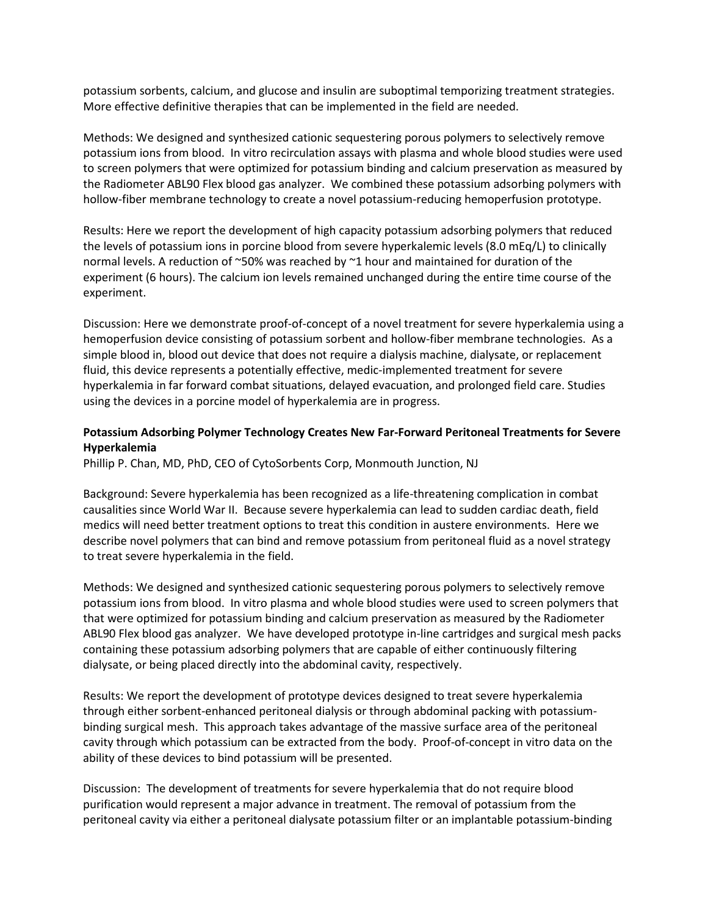potassium sorbents, calcium, and glucose and insulin are suboptimal temporizing treatment strategies. More effective definitive therapies that can be implemented in the field are needed.

Methods: We designed and synthesized cationic sequestering porous polymers to selectively remove potassium ions from blood. In vitro recirculation assays with plasma and whole blood studies were used to screen polymers that were optimized for potassium binding and calcium preservation as measured by the Radiometer ABL90 Flex blood gas analyzer. We combined these potassium adsorbing polymers with hollow-fiber membrane technology to create a novel potassium-reducing hemoperfusion prototype.

Results: Here we report the development of high capacity potassium adsorbing polymers that reduced the levels of potassium ions in porcine blood from severe hyperkalemic levels (8.0 mEq/L) to clinically normal levels. A reduction of ~50% was reached by ~1 hour and maintained for duration of the experiment (6 hours). The calcium ion levels remained unchanged during the entire time course of the experiment.

Discussion: Here we demonstrate proof-of-concept of a novel treatment for severe hyperkalemia using a hemoperfusion device consisting of potassium sorbent and hollow-fiber membrane technologies. As a simple blood in, blood out device that does not require a dialysis machine, dialysate, or replacement fluid, this device represents a potentially effective, medic-implemented treatment for severe hyperkalemia in far forward combat situations, delayed evacuation, and prolonged field care. Studies using the devices in a porcine model of hyperkalemia are in progress.

# **Potassium Adsorbing Polymer Technology Creates New Far-Forward Peritoneal Treatments for Severe Hyperkalemia**

Phillip P. Chan, MD, PhD, CEO of CytoSorbents Corp, Monmouth Junction, NJ

Background: Severe hyperkalemia has been recognized as a life-threatening complication in combat causalities since World War II. Because severe hyperkalemia can lead to sudden cardiac death, field medics will need better treatment options to treat this condition in austere environments. Here we describe novel polymers that can bind and remove potassium from peritoneal fluid as a novel strategy to treat severe hyperkalemia in the field.

Methods: We designed and synthesized cationic sequestering porous polymers to selectively remove potassium ions from blood. In vitro plasma and whole blood studies were used to screen polymers that that were optimized for potassium binding and calcium preservation as measured by the Radiometer ABL90 Flex blood gas analyzer. We have developed prototype in-line cartridges and surgical mesh packs containing these potassium adsorbing polymers that are capable of either continuously filtering dialysate, or being placed directly into the abdominal cavity, respectively.

Results: We report the development of prototype devices designed to treat severe hyperkalemia through either sorbent-enhanced peritoneal dialysis or through abdominal packing with potassiumbinding surgical mesh. This approach takes advantage of the massive surface area of the peritoneal cavity through which potassium can be extracted from the body. Proof-of-concept in vitro data on the ability of these devices to bind potassium will be presented.

Discussion: The development of treatments for severe hyperkalemia that do not require blood purification would represent a major advance in treatment. The removal of potassium from the peritoneal cavity via either a peritoneal dialysate potassium filter or an implantable potassium-binding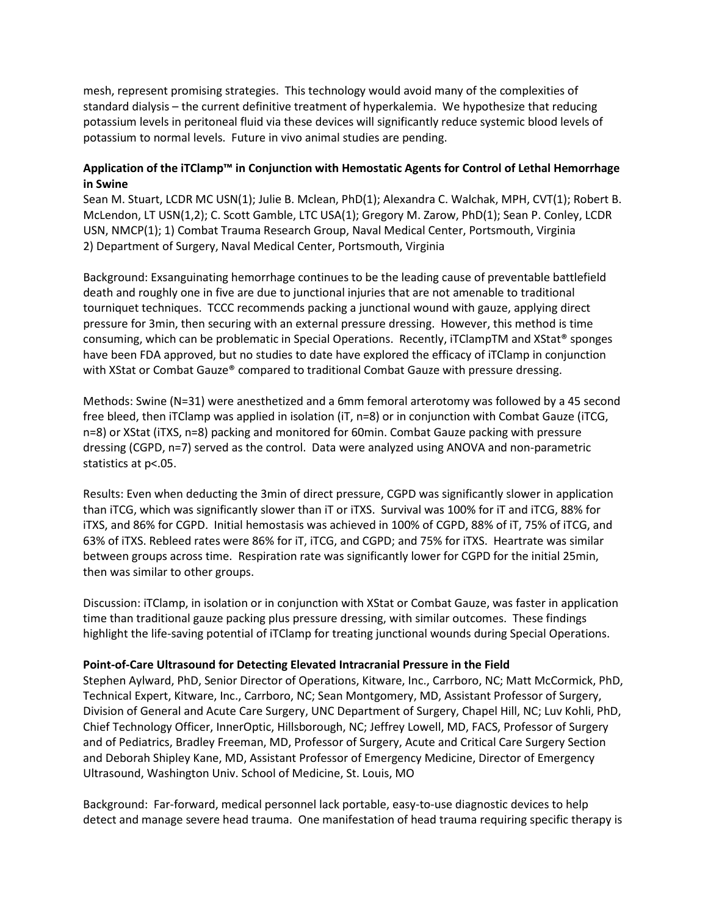mesh, represent promising strategies. This technology would avoid many of the complexities of standard dialysis – the current definitive treatment of hyperkalemia. We hypothesize that reducing potassium levels in peritoneal fluid via these devices will significantly reduce systemic blood levels of potassium to normal levels. Future in vivo animal studies are pending.

# **Application of the iTClamp™ in Conjunction with Hemostatic Agents for Control of Lethal Hemorrhage in Swine**

Sean M. Stuart, LCDR MC USN(1); Julie B. Mclean, PhD(1); Alexandra C. Walchak, MPH, CVT(1); Robert B. McLendon, LT USN(1,2); C. Scott Gamble, LTC USA(1); Gregory M. Zarow, PhD(1); Sean P. Conley, LCDR USN, NMCP(1); 1) Combat Trauma Research Group, Naval Medical Center, Portsmouth, Virginia 2) Department of Surgery, Naval Medical Center, Portsmouth, Virginia

Background: Exsanguinating hemorrhage continues to be the leading cause of preventable battlefield death and roughly one in five are due to junctional injuries that are not amenable to traditional tourniquet techniques. TCCC recommends packing a junctional wound with gauze, applying direct pressure for 3min, then securing with an external pressure dressing. However, this method is time consuming, which can be problematic in Special Operations. Recently, iTClampTM and XStat® sponges have been FDA approved, but no studies to date have explored the efficacy of iTClamp in conjunction with XStat or Combat Gauze® compared to traditional Combat Gauze with pressure dressing.

Methods: Swine (N=31) were anesthetized and a 6mm femoral arterotomy was followed by a 45 second free bleed, then iTClamp was applied in isolation (iT, n=8) or in conjunction with Combat Gauze (iTCG, n=8) or XStat (iTXS, n=8) packing and monitored for 60min. Combat Gauze packing with pressure dressing (CGPD, n=7) served as the control. Data were analyzed using ANOVA and non-parametric statistics at p<.05.

Results: Even when deducting the 3min of direct pressure, CGPD was significantly slower in application than iTCG, which was significantly slower than iT or iTXS. Survival was 100% for iT and iTCG, 88% for iTXS, and 86% for CGPD. Initial hemostasis was achieved in 100% of CGPD, 88% of iT, 75% of iTCG, and 63% of iTXS. Rebleed rates were 86% for iT, iTCG, and CGPD; and 75% for iTXS. Heartrate was similar between groups across time. Respiration rate was significantly lower for CGPD for the initial 25min, then was similar to other groups.

Discussion: iTClamp, in isolation or in conjunction with XStat or Combat Gauze, was faster in application time than traditional gauze packing plus pressure dressing, with similar outcomes. These findings highlight the life-saving potential of iTClamp for treating junctional wounds during Special Operations.

#### **Point-of-Care Ultrasound for Detecting Elevated Intracranial Pressure in the Field**

Stephen Aylward, PhD, Senior Director of Operations, Kitware, Inc., Carrboro, NC; Matt McCormick, PhD, Technical Expert, Kitware, Inc., Carrboro, NC; Sean Montgomery, MD, Assistant Professor of Surgery, Division of General and Acute Care Surgery, UNC Department of Surgery, Chapel Hill, NC; Luv Kohli, PhD, Chief Technology Officer, InnerOptic, Hillsborough, NC; Jeffrey Lowell, MD, FACS, Professor of Surgery and of Pediatrics, Bradley Freeman, MD, Professor of Surgery, Acute and Critical Care Surgery Section and Deborah Shipley Kane, MD, Assistant Professor of Emergency Medicine, Director of Emergency Ultrasound, Washington Univ. School of Medicine, St. Louis, MO

Background: Far-forward, medical personnel lack portable, easy-to-use diagnostic devices to help detect and manage severe head trauma. One manifestation of head trauma requiring specific therapy is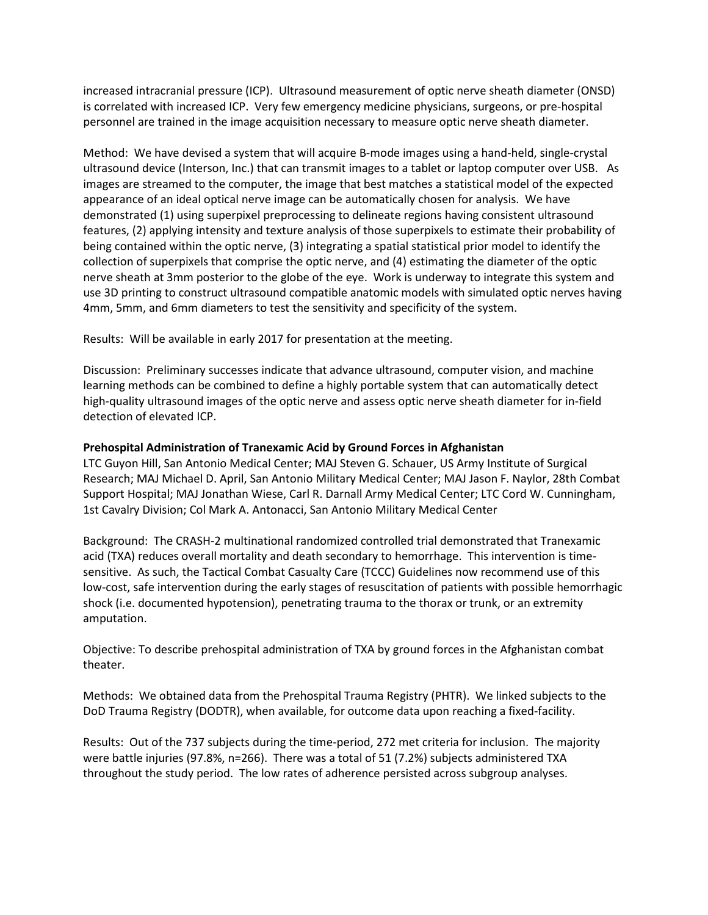increased intracranial pressure (ICP). Ultrasound measurement of optic nerve sheath diameter (ONSD) is correlated with increased ICP. Very few emergency medicine physicians, surgeons, or pre-hospital personnel are trained in the image acquisition necessary to measure optic nerve sheath diameter.

Method: We have devised a system that will acquire B-mode images using a hand-held, single-crystal ultrasound device (Interson, Inc.) that can transmit images to a tablet or laptop computer over USB. As images are streamed to the computer, the image that best matches a statistical model of the expected appearance of an ideal optical nerve image can be automatically chosen for analysis. We have demonstrated (1) using superpixel preprocessing to delineate regions having consistent ultrasound features, (2) applying intensity and texture analysis of those superpixels to estimate their probability of being contained within the optic nerve, (3) integrating a spatial statistical prior model to identify the collection of superpixels that comprise the optic nerve, and (4) estimating the diameter of the optic nerve sheath at 3mm posterior to the globe of the eye. Work is underway to integrate this system and use 3D printing to construct ultrasound compatible anatomic models with simulated optic nerves having 4mm, 5mm, and 6mm diameters to test the sensitivity and specificity of the system.

Results: Will be available in early 2017 for presentation at the meeting.

Discussion: Preliminary successes indicate that advance ultrasound, computer vision, and machine learning methods can be combined to define a highly portable system that can automatically detect high-quality ultrasound images of the optic nerve and assess optic nerve sheath diameter for in-field detection of elevated ICP.

# **Prehospital Administration of Tranexamic Acid by Ground Forces in Afghanistan**

LTC Guyon Hill, San Antonio Medical Center; MAJ Steven G. Schauer, US Army Institute of Surgical Research; MAJ Michael D. April, San Antonio Military Medical Center; MAJ Jason F. Naylor, 28th Combat Support Hospital; MAJ Jonathan Wiese, Carl R. Darnall Army Medical Center; LTC Cord W. Cunningham, 1st Cavalry Division; Col Mark A. Antonacci, San Antonio Military Medical Center

Background: The CRASH-2 multinational randomized controlled trial demonstrated that Tranexamic acid (TXA) reduces overall mortality and death secondary to hemorrhage. This intervention is timesensitive. As such, the Tactical Combat Casualty Care (TCCC) Guidelines now recommend use of this low-cost, safe intervention during the early stages of resuscitation of patients with possible hemorrhagic shock (i.e. documented hypotension), penetrating trauma to the thorax or trunk, or an extremity amputation.

Objective: To describe prehospital administration of TXA by ground forces in the Afghanistan combat theater.

Methods: We obtained data from the Prehospital Trauma Registry (PHTR). We linked subjects to the DoD Trauma Registry (DODTR), when available, for outcome data upon reaching a fixed-facility.

Results: Out of the 737 subjects during the time-period, 272 met criteria for inclusion. The majority were battle injuries (97.8%, n=266). There was a total of 51 (7.2%) subjects administered TXA throughout the study period. The low rates of adherence persisted across subgroup analyses.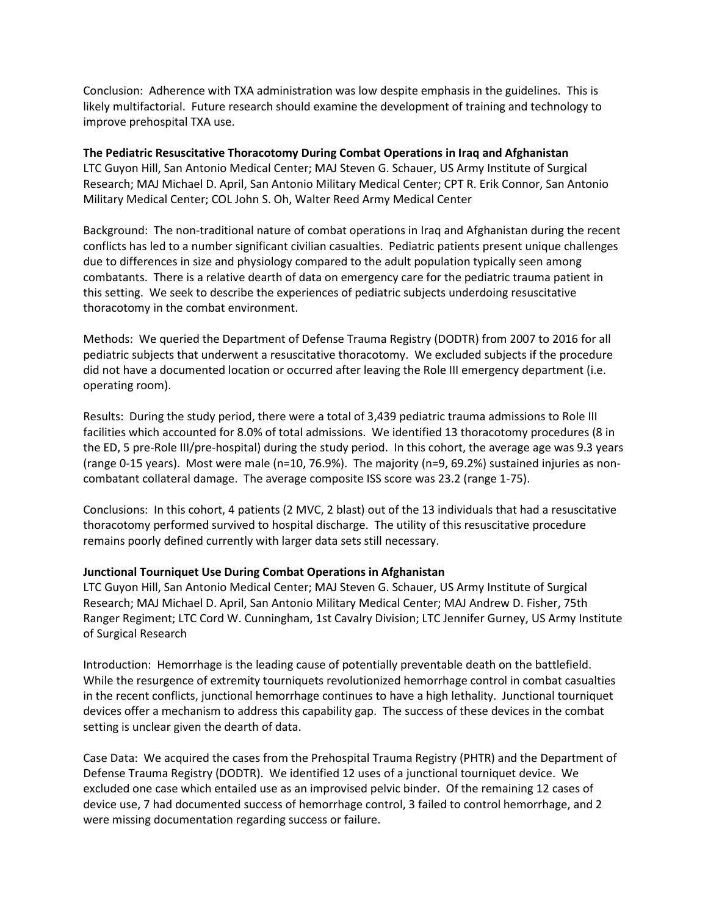Conclusion: Adherence with TXA administration was low despite emphasis in the guidelines. This is likely multifactorial. Future research should examine the development of training and technology to improve prehospital TXA use.

**The Pediatric Resuscitative Thoracotomy During Combat Operations in Iraq and Afghanistan** LTC Guyon Hill, San Antonio Medical Center; MAJ Steven G. Schauer, US Army Institute of Surgical Research; MAJ Michael D. April, San Antonio Military Medical Center; CPT R. Erik Connor, San Antonio Military Medical Center; COL John S. Oh, Walter Reed Army Medical Center

Background: The non-traditional nature of combat operations in Iraq and Afghanistan during the recent conflicts has led to a number significant civilian casualties. Pediatric patients present unique challenges due to differences in size and physiology compared to the adult population typically seen among combatants. There is a relative dearth of data on emergency care for the pediatric trauma patient in this setting. We seek to describe the experiences of pediatric subjects underdoing resuscitative thoracotomy in the combat environment.

Methods: We queried the Department of Defense Trauma Registry (DODTR) from 2007 to 2016 for all pediatric subjects that underwent a resuscitative thoracotomy. We excluded subjects if the procedure did not have a documented location or occurred after leaving the Role III emergency department (i.e. operating room).

Results: During the study period, there were a total of 3,439 pediatric trauma admissions to Role III facilities which accounted for 8.0% of total admissions. We identified 13 thoracotomy procedures (8 in the ED, 5 pre-Role III/pre-hospital) during the study period. In this cohort, the average age was 9.3 years (range 0-15 years). Most were male (n=10, 76.9%). The majority (n=9, 69.2%) sustained injuries as noncombatant collateral damage. The average composite ISS score was 23.2 (range 1-75).

Conclusions: In this cohort, 4 patients (2 MVC, 2 blast) out of the 13 individuals that had a resuscitative thoracotomy performed survived to hospital discharge. The utility of this resuscitative procedure remains poorly defined currently with larger data sets still necessary.

#### **Junctional Tourniquet Use During Combat Operations in Afghanistan**

LTC Guyon Hill, San Antonio Medical Center; MAJ Steven G. Schauer, US Army Institute of Surgical Research; MAJ Michael D. April, San Antonio Military Medical Center; MAJ Andrew D. Fisher, 75th Ranger Regiment; LTC Cord W. Cunningham, 1st Cavalry Division; LTC Jennifer Gurney, US Army Institute of Surgical Research

Introduction: Hemorrhage is the leading cause of potentially preventable death on the battlefield. While the resurgence of extremity tourniquets revolutionized hemorrhage control in combat casualties in the recent conflicts, junctional hemorrhage continues to have a high lethality. Junctional tourniquet devices offer a mechanism to address this capability gap. The success of these devices in the combat setting is unclear given the dearth of data.

Case Data: We acquired the cases from the Prehospital Trauma Registry (PHTR) and the Department of Defense Trauma Registry (DODTR). We identified 12 uses of a junctional tourniquet device. We excluded one case which entailed use as an improvised pelvic binder. Of the remaining 12 cases of device use, 7 had documented success of hemorrhage control, 3 failed to control hemorrhage, and 2 were missing documentation regarding success or failure.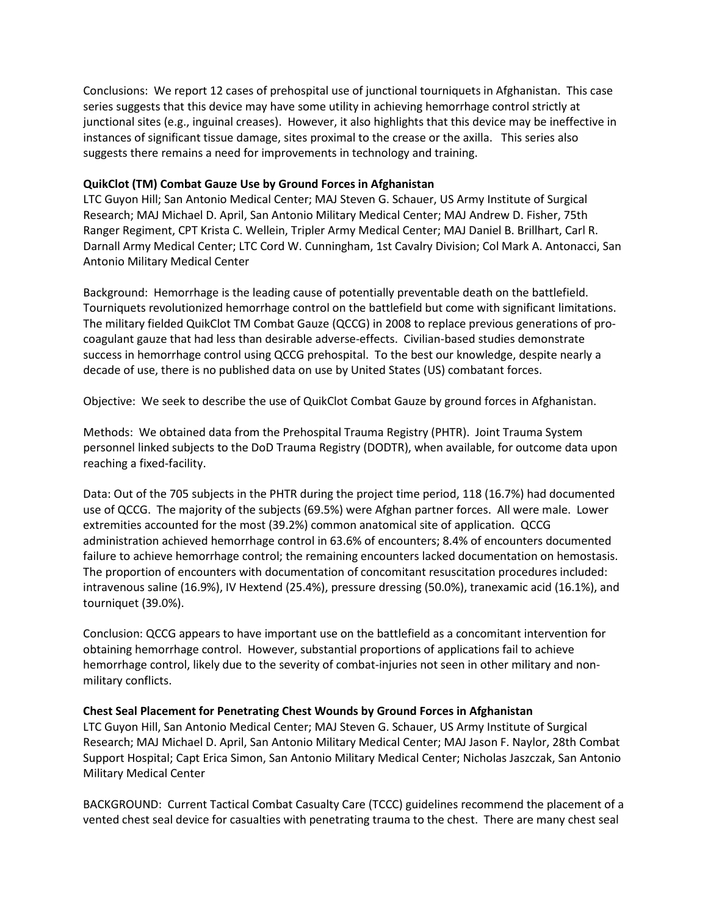Conclusions: We report 12 cases of prehospital use of junctional tourniquets in Afghanistan. This case series suggests that this device may have some utility in achieving hemorrhage control strictly at junctional sites (e.g., inguinal creases). However, it also highlights that this device may be ineffective in instances of significant tissue damage, sites proximal to the crease or the axilla. This series also suggests there remains a need for improvements in technology and training.

#### **QuikClot (TM) Combat Gauze Use by Ground Forces in Afghanistan**

LTC Guyon Hill; San Antonio Medical Center; MAJ Steven G. Schauer, US Army Institute of Surgical Research; MAJ Michael D. April, San Antonio Military Medical Center; MAJ Andrew D. Fisher, 75th Ranger Regiment, CPT Krista C. Wellein, Tripler Army Medical Center; MAJ Daniel B. Brillhart, Carl R. Darnall Army Medical Center; LTC Cord W. Cunningham, 1st Cavalry Division; Col Mark A. Antonacci, San Antonio Military Medical Center

Background: Hemorrhage is the leading cause of potentially preventable death on the battlefield. Tourniquets revolutionized hemorrhage control on the battlefield but come with significant limitations. The military fielded QuikClot TM Combat Gauze (QCCG) in 2008 to replace previous generations of procoagulant gauze that had less than desirable adverse-effects. Civilian-based studies demonstrate success in hemorrhage control using QCCG prehospital. To the best our knowledge, despite nearly a decade of use, there is no published data on use by United States (US) combatant forces.

Objective: We seek to describe the use of QuikClot Combat Gauze by ground forces in Afghanistan.

Methods: We obtained data from the Prehospital Trauma Registry (PHTR). Joint Trauma System personnel linked subjects to the DoD Trauma Registry (DODTR), when available, for outcome data upon reaching a fixed-facility.

Data: Out of the 705 subjects in the PHTR during the project time period, 118 (16.7%) had documented use of QCCG. The majority of the subjects (69.5%) were Afghan partner forces. All were male. Lower extremities accounted for the most (39.2%) common anatomical site of application. QCCG administration achieved hemorrhage control in 63.6% of encounters; 8.4% of encounters documented failure to achieve hemorrhage control; the remaining encounters lacked documentation on hemostasis. The proportion of encounters with documentation of concomitant resuscitation procedures included: intravenous saline (16.9%), IV Hextend (25.4%), pressure dressing (50.0%), tranexamic acid (16.1%), and tourniquet (39.0%).

Conclusion: QCCG appears to have important use on the battlefield as a concomitant intervention for obtaining hemorrhage control. However, substantial proportions of applications fail to achieve hemorrhage control, likely due to the severity of combat-injuries not seen in other military and nonmilitary conflicts.

#### **Chest Seal Placement for Penetrating Chest Wounds by Ground Forces in Afghanistan**

LTC Guyon Hill, San Antonio Medical Center; MAJ Steven G. Schauer, US Army Institute of Surgical Research; MAJ Michael D. April, San Antonio Military Medical Center; MAJ Jason F. Naylor, 28th Combat Support Hospital; Capt Erica Simon, San Antonio Military Medical Center; Nicholas Jaszczak, San Antonio Military Medical Center

BACKGROUND: Current Tactical Combat Casualty Care (TCCC) guidelines recommend the placement of a vented chest seal device for casualties with penetrating trauma to the chest. There are many chest seal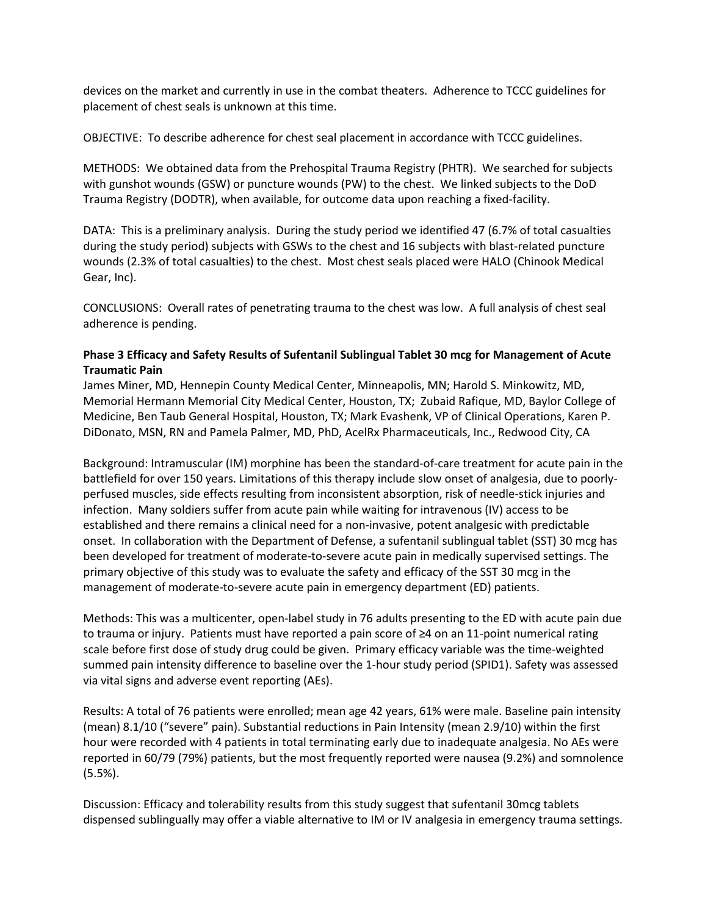devices on the market and currently in use in the combat theaters. Adherence to TCCC guidelines for placement of chest seals is unknown at this time.

OBJECTIVE: To describe adherence for chest seal placement in accordance with TCCC guidelines.

METHODS: We obtained data from the Prehospital Trauma Registry (PHTR). We searched for subjects with gunshot wounds (GSW) or puncture wounds (PW) to the chest. We linked subjects to the DoD Trauma Registry (DODTR), when available, for outcome data upon reaching a fixed-facility.

DATA: This is a preliminary analysis. During the study period we identified 47 (6.7% of total casualties during the study period) subjects with GSWs to the chest and 16 subjects with blast-related puncture wounds (2.3% of total casualties) to the chest. Most chest seals placed were HALO (Chinook Medical Gear, Inc).

CONCLUSIONS: Overall rates of penetrating trauma to the chest was low. A full analysis of chest seal adherence is pending.

# **Phase 3 Efficacy and Safety Results of Sufentanil Sublingual Tablet 30 mcg for Management of Acute Traumatic Pain**

James Miner, MD, Hennepin County Medical Center, Minneapolis, MN; Harold S. Minkowitz, MD, Memorial Hermann Memorial City Medical Center, Houston, TX; Zubaid Rafique, MD, Baylor College of Medicine, Ben Taub General Hospital, Houston, TX; Mark Evashenk, VP of Clinical Operations, Karen P. DiDonato, MSN, RN and Pamela Palmer, MD, PhD, AcelRx Pharmaceuticals, Inc., Redwood City, CA

Background: Intramuscular (IM) morphine has been the standard-of-care treatment for acute pain in the battlefield for over 150 years. Limitations of this therapy include slow onset of analgesia, due to poorlyperfused muscles, side effects resulting from inconsistent absorption, risk of needle-stick injuries and infection. Many soldiers suffer from acute pain while waiting for intravenous (IV) access to be established and there remains a clinical need for a non-invasive, potent analgesic with predictable onset. In collaboration with the Department of Defense, a sufentanil sublingual tablet (SST) 30 mcg has been developed for treatment of moderate-to-severe acute pain in medically supervised settings. The primary objective of this study was to evaluate the safety and efficacy of the SST 30 mcg in the management of moderate-to-severe acute pain in emergency department (ED) patients.

Methods: This was a multicenter, open-label study in 76 adults presenting to the ED with acute pain due to trauma or injury. Patients must have reported a pain score of ≥4 on an 11-point numerical rating scale before first dose of study drug could be given. Primary efficacy variable was the time-weighted summed pain intensity difference to baseline over the 1-hour study period (SPID1). Safety was assessed via vital signs and adverse event reporting (AEs).

Results: A total of 76 patients were enrolled; mean age 42 years, 61% were male. Baseline pain intensity (mean) 8.1/10 ("severe" pain). Substantial reductions in Pain Intensity (mean 2.9/10) within the first hour were recorded with 4 patients in total terminating early due to inadequate analgesia. No AEs were reported in 60/79 (79%) patients, but the most frequently reported were nausea (9.2%) and somnolence (5.5%).

Discussion: Efficacy and tolerability results from this study suggest that sufentanil 30mcg tablets dispensed sublingually may offer a viable alternative to IM or IV analgesia in emergency trauma settings.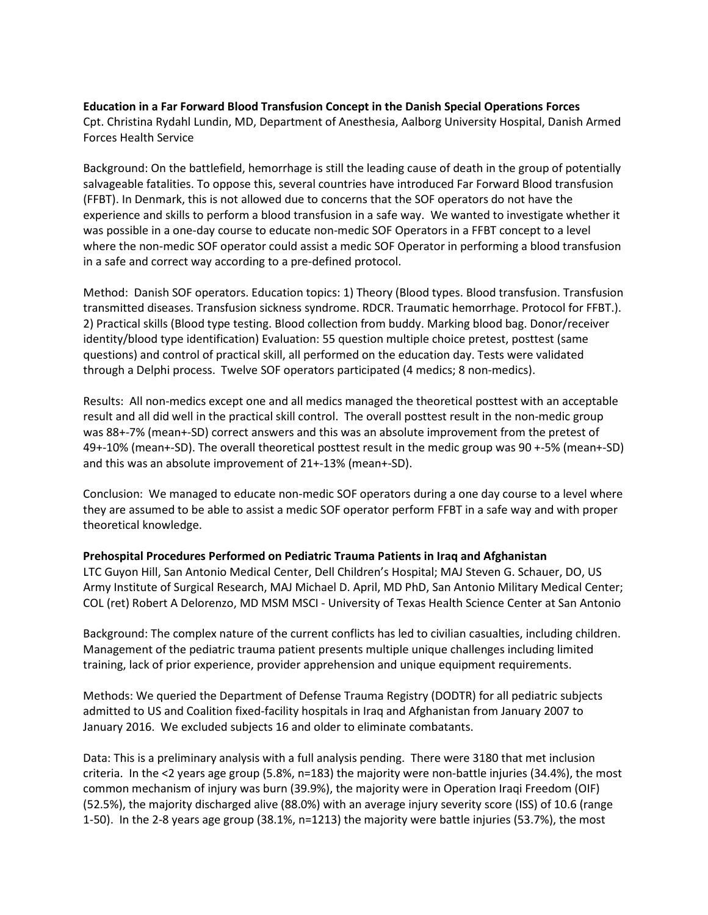# **Education in a Far Forward Blood Transfusion Concept in the Danish Special Operations Forces**

Cpt. Christina Rydahl Lundin, MD, Department of Anesthesia, Aalborg University Hospital, Danish Armed Forces Health Service

Background: On the battlefield, hemorrhage is still the leading cause of death in the group of potentially salvageable fatalities. To oppose this, several countries have introduced Far Forward Blood transfusion (FFBT). In Denmark, this is not allowed due to concerns that the SOF operators do not have the experience and skills to perform a blood transfusion in a safe way. We wanted to investigate whether it was possible in a one-day course to educate non-medic SOF Operators in a FFBT concept to a level where the non-medic SOF operator could assist a medic SOF Operator in performing a blood transfusion in a safe and correct way according to a pre-defined protocol.

Method: Danish SOF operators. Education topics: 1) Theory (Blood types. Blood transfusion. Transfusion transmitted diseases. Transfusion sickness syndrome. RDCR. Traumatic hemorrhage. Protocol for FFBT.). 2) Practical skills (Blood type testing. Blood collection from buddy. Marking blood bag. Donor/receiver identity/blood type identification) Evaluation: 55 question multiple choice pretest, posttest (same questions) and control of practical skill, all performed on the education day. Tests were validated through a Delphi process. Twelve SOF operators participated (4 medics; 8 non-medics).

Results: All non-medics except one and all medics managed the theoretical posttest with an acceptable result and all did well in the practical skill control. The overall posttest result in the non-medic group was 88+-7% (mean+-SD) correct answers and this was an absolute improvement from the pretest of 49+-10% (mean+-SD). The overall theoretical posttest result in the medic group was 90 +-5% (mean+-SD) and this was an absolute improvement of 21+-13% (mean+-SD).

Conclusion: We managed to educate non-medic SOF operators during a one day course to a level where they are assumed to be able to assist a medic SOF operator perform FFBT in a safe way and with proper theoretical knowledge.

# **Prehospital Procedures Performed on Pediatric Trauma Patients in Iraq and Afghanistan**

LTC Guyon Hill, San Antonio Medical Center, Dell Children's Hospital; MAJ Steven G. Schauer, DO, US Army Institute of Surgical Research, MAJ Michael D. April, MD PhD, San Antonio Military Medical Center; COL (ret) Robert A Delorenzo, MD MSM MSCI - University of Texas Health Science Center at San Antonio

Background: The complex nature of the current conflicts has led to civilian casualties, including children. Management of the pediatric trauma patient presents multiple unique challenges including limited training, lack of prior experience, provider apprehension and unique equipment requirements.

Methods: We queried the Department of Defense Trauma Registry (DODTR) for all pediatric subjects admitted to US and Coalition fixed-facility hospitals in Iraq and Afghanistan from January 2007 to January 2016. We excluded subjects 16 and older to eliminate combatants.

Data: This is a preliminary analysis with a full analysis pending. There were 3180 that met inclusion criteria. In the <2 years age group (5.8%, n=183) the majority were non-battle injuries (34.4%), the most common mechanism of injury was burn (39.9%), the majority were in Operation Iraqi Freedom (OIF) (52.5%), the majority discharged alive (88.0%) with an average injury severity score (ISS) of 10.6 (range 1-50). In the 2-8 years age group (38.1%, n=1213) the majority were battle injuries (53.7%), the most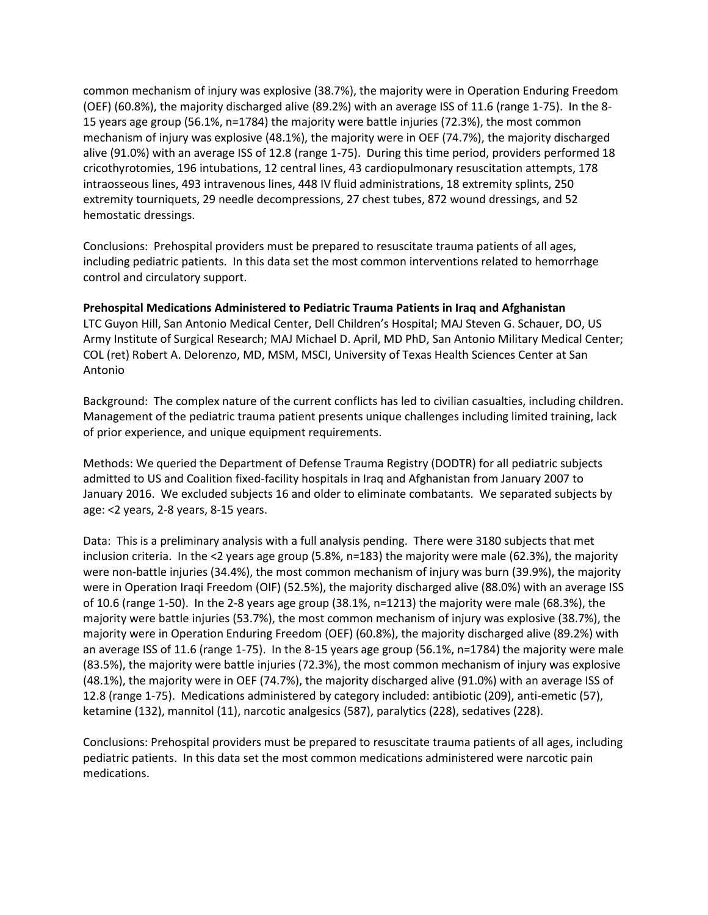common mechanism of injury was explosive (38.7%), the majority were in Operation Enduring Freedom (OEF) (60.8%), the majority discharged alive (89.2%) with an average ISS of 11.6 (range 1-75). In the 8- 15 years age group (56.1%, n=1784) the majority were battle injuries (72.3%), the most common mechanism of injury was explosive (48.1%), the majority were in OEF (74.7%), the majority discharged alive (91.0%) with an average ISS of 12.8 (range 1-75). During this time period, providers performed 18 cricothyrotomies, 196 intubations, 12 central lines, 43 cardiopulmonary resuscitation attempts, 178 intraosseous lines, 493 intravenous lines, 448 IV fluid administrations, 18 extremity splints, 250 extremity tourniquets, 29 needle decompressions, 27 chest tubes, 872 wound dressings, and 52 hemostatic dressings.

Conclusions: Prehospital providers must be prepared to resuscitate trauma patients of all ages, including pediatric patients. In this data set the most common interventions related to hemorrhage control and circulatory support.

#### **Prehospital Medications Administered to Pediatric Trauma Patients in Iraq and Afghanistan**

LTC Guyon Hill, San Antonio Medical Center, Dell Children's Hospital; MAJ Steven G. Schauer, DO, US Army Institute of Surgical Research; MAJ Michael D. April, MD PhD, San Antonio Military Medical Center; COL (ret) Robert A. Delorenzo, MD, MSM, MSCI, University of Texas Health Sciences Center at San Antonio

Background: The complex nature of the current conflicts has led to civilian casualties, including children. Management of the pediatric trauma patient presents unique challenges including limited training, lack of prior experience, and unique equipment requirements.

Methods: We queried the Department of Defense Trauma Registry (DODTR) for all pediatric subjects admitted to US and Coalition fixed-facility hospitals in Iraq and Afghanistan from January 2007 to January 2016. We excluded subjects 16 and older to eliminate combatants. We separated subjects by age: <2 years, 2-8 years, 8-15 years.

Data: This is a preliminary analysis with a full analysis pending. There were 3180 subjects that met inclusion criteria. In the <2 years age group (5.8%, n=183) the majority were male (62.3%), the majority were non-battle injuries (34.4%), the most common mechanism of injury was burn (39.9%), the majority were in Operation Iraqi Freedom (OIF) (52.5%), the majority discharged alive (88.0%) with an average ISS of 10.6 (range 1-50). In the 2-8 years age group (38.1%, n=1213) the majority were male (68.3%), the majority were battle injuries (53.7%), the most common mechanism of injury was explosive (38.7%), the majority were in Operation Enduring Freedom (OEF) (60.8%), the majority discharged alive (89.2%) with an average ISS of 11.6 (range 1-75). In the 8-15 years age group (56.1%, n=1784) the majority were male (83.5%), the majority were battle injuries (72.3%), the most common mechanism of injury was explosive (48.1%), the majority were in OEF (74.7%), the majority discharged alive (91.0%) with an average ISS of 12.8 (range 1-75). Medications administered by category included: antibiotic (209), anti-emetic (57), ketamine (132), mannitol (11), narcotic analgesics (587), paralytics (228), sedatives (228).

Conclusions: Prehospital providers must be prepared to resuscitate trauma patients of all ages, including pediatric patients. In this data set the most common medications administered were narcotic pain medications.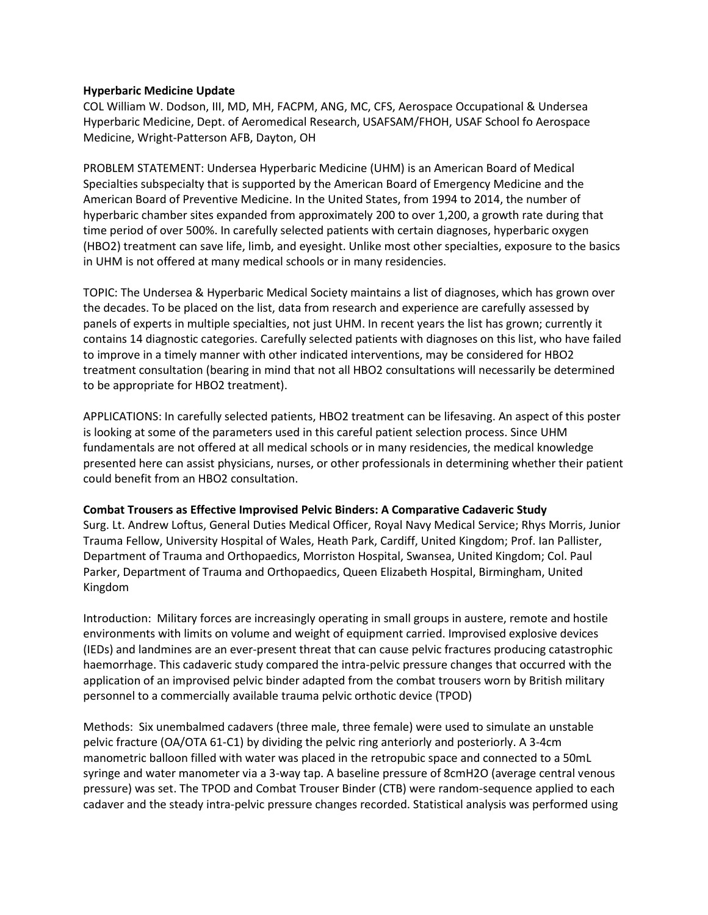#### **Hyperbaric Medicine Update**

COL William W. Dodson, III, MD, MH, FACPM, ANG, MC, CFS, Aerospace Occupational & Undersea Hyperbaric Medicine, Dept. of Aeromedical Research, USAFSAM/FHOH, USAF School fo Aerospace Medicine, Wright-Patterson AFB, Dayton, OH

PROBLEM STATEMENT: Undersea Hyperbaric Medicine (UHM) is an American Board of Medical Specialties subspecialty that is supported by the American Board of Emergency Medicine and the American Board of Preventive Medicine. In the United States, from 1994 to 2014, the number of hyperbaric chamber sites expanded from approximately 200 to over 1,200, a growth rate during that time period of over 500%. In carefully selected patients with certain diagnoses, hyperbaric oxygen (HBO2) treatment can save life, limb, and eyesight. Unlike most other specialties, exposure to the basics in UHM is not offered at many medical schools or in many residencies.

TOPIC: The Undersea & Hyperbaric Medical Society maintains a list of diagnoses, which has grown over the decades. To be placed on the list, data from research and experience are carefully assessed by panels of experts in multiple specialties, not just UHM. In recent years the list has grown; currently it contains 14 diagnostic categories. Carefully selected patients with diagnoses on this list, who have failed to improve in a timely manner with other indicated interventions, may be considered for HBO2 treatment consultation (bearing in mind that not all HBO2 consultations will necessarily be determined to be appropriate for HBO2 treatment).

APPLICATIONS: In carefully selected patients, HBO2 treatment can be lifesaving. An aspect of this poster is looking at some of the parameters used in this careful patient selection process. Since UHM fundamentals are not offered at all medical schools or in many residencies, the medical knowledge presented here can assist physicians, nurses, or other professionals in determining whether their patient could benefit from an HBO2 consultation.

#### **Combat Trousers as Effective Improvised Pelvic Binders: A Comparative Cadaveric Study**

Surg. Lt. Andrew Loftus, General Duties Medical Officer, Royal Navy Medical Service; Rhys Morris, Junior Trauma Fellow, University Hospital of Wales, Heath Park, Cardiff, United Kingdom; Prof. Ian Pallister, Department of Trauma and Orthopaedics, Morriston Hospital, Swansea, United Kingdom; Col. Paul Parker, Department of Trauma and Orthopaedics, Queen Elizabeth Hospital, Birmingham, United Kingdom

Introduction: Military forces are increasingly operating in small groups in austere, remote and hostile environments with limits on volume and weight of equipment carried. Improvised explosive devices (IEDs) and landmines are an ever-present threat that can cause pelvic fractures producing catastrophic haemorrhage. This cadaveric study compared the intra-pelvic pressure changes that occurred with the application of an improvised pelvic binder adapted from the combat trousers worn by British military personnel to a commercially available trauma pelvic orthotic device (TPOD)

Methods: Six unembalmed cadavers (three male, three female) were used to simulate an unstable pelvic fracture (OA/OTA 61-C1) by dividing the pelvic ring anteriorly and posteriorly. A 3-4cm manometric balloon filled with water was placed in the retropubic space and connected to a 50mL syringe and water manometer via a 3-way tap. A baseline pressure of 8cmH2O (average central venous pressure) was set. The TPOD and Combat Trouser Binder (CTB) were random-sequence applied to each cadaver and the steady intra-pelvic pressure changes recorded. Statistical analysis was performed using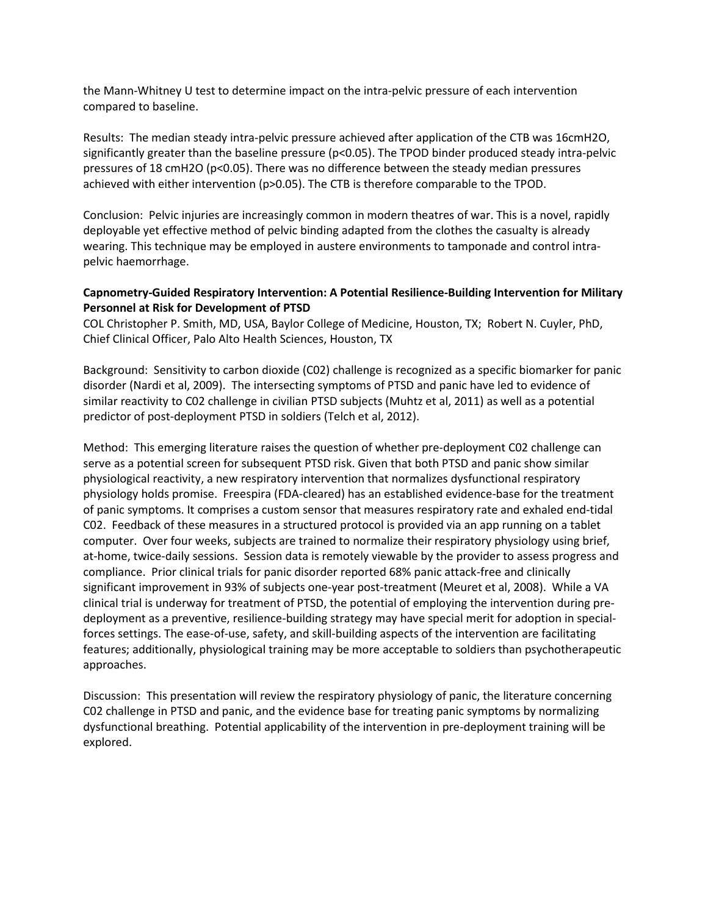the Mann-Whitney U test to determine impact on the intra-pelvic pressure of each intervention compared to baseline.

Results: The median steady intra-pelvic pressure achieved after application of the CTB was 16cmH2O, significantly greater than the baseline pressure (p<0.05). The TPOD binder produced steady intra-pelvic pressures of 18 cmH2O (p<0.05). There was no difference between the steady median pressures achieved with either intervention (p>0.05). The CTB is therefore comparable to the TPOD.

Conclusion: Pelvic injuries are increasingly common in modern theatres of war. This is a novel, rapidly deployable yet effective method of pelvic binding adapted from the clothes the casualty is already wearing. This technique may be employed in austere environments to tamponade and control intrapelvic haemorrhage.

# **Capnometry-Guided Respiratory Intervention: A Potential Resilience-Building Intervention for Military Personnel at Risk for Development of PTSD**

COL Christopher P. Smith, MD, USA, Baylor College of Medicine, Houston, TX; Robert N. Cuyler, PhD, Chief Clinical Officer, Palo Alto Health Sciences, Houston, TX

Background: Sensitivity to carbon dioxide (C02) challenge is recognized as a specific biomarker for panic disorder (Nardi et al, 2009). The intersecting symptoms of PTSD and panic have led to evidence of similar reactivity to C02 challenge in civilian PTSD subjects (Muhtz et al, 2011) as well as a potential predictor of post-deployment PTSD in soldiers (Telch et al, 2012).

Method: This emerging literature raises the question of whether pre-deployment C02 challenge can serve as a potential screen for subsequent PTSD risk. Given that both PTSD and panic show similar physiological reactivity, a new respiratory intervention that normalizes dysfunctional respiratory physiology holds promise. Freespira (FDA-cleared) has an established evidence-base for the treatment of panic symptoms. It comprises a custom sensor that measures respiratory rate and exhaled end-tidal C02. Feedback of these measures in a structured protocol is provided via an app running on a tablet computer. Over four weeks, subjects are trained to normalize their respiratory physiology using brief, at-home, twice-daily sessions. Session data is remotely viewable by the provider to assess progress and compliance. Prior clinical trials for panic disorder reported 68% panic attack-free and clinically significant improvement in 93% of subjects one-year post-treatment (Meuret et al, 2008). While a VA clinical trial is underway for treatment of PTSD, the potential of employing the intervention during predeployment as a preventive, resilience-building strategy may have special merit for adoption in specialforces settings. The ease-of-use, safety, and skill-building aspects of the intervention are facilitating features; additionally, physiological training may be more acceptable to soldiers than psychotherapeutic approaches.

Discussion: This presentation will review the respiratory physiology of panic, the literature concerning C02 challenge in PTSD and panic, and the evidence base for treating panic symptoms by normalizing dysfunctional breathing. Potential applicability of the intervention in pre-deployment training will be explored.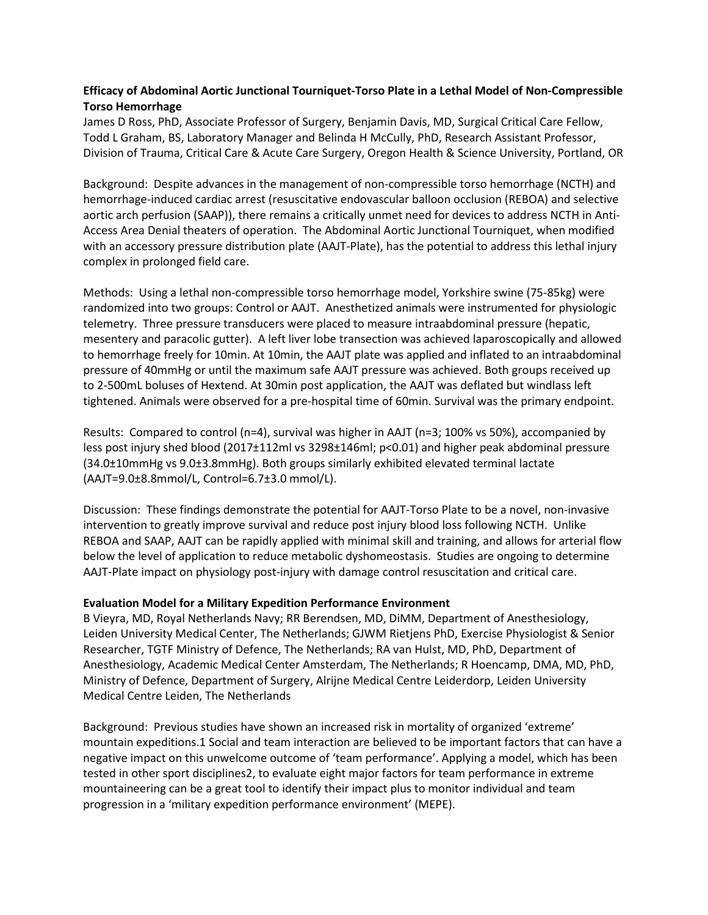# **Efficacy of Abdominal Aortic Junctional Tourniquet-Torso Plate in a Lethal Model of Non-Compressible Torso Hemorrhage**

James D Ross, PhD, Associate Professor of Surgery, Benjamin Davis, MD, Surgical Critical Care Fellow, Todd L Graham, BS, Laboratory Manager and Belinda H McCully, PhD, Research Assistant Professor, Division of Trauma, Critical Care & Acute Care Surgery, Oregon Health & Science University, Portland, OR

Background: Despite advances in the management of non-compressible torso hemorrhage (NCTH) and hemorrhage-induced cardiac arrest (resuscitative endovascular balloon occlusion (REBOA) and selective aortic arch perfusion (SAAP)), there remains a critically unmet need for devices to address NCTH in Anti-Access Area Denial theaters of operation. The Abdominal Aortic Junctional Tourniquet, when modified with an accessory pressure distribution plate (AAJT-Plate), has the potential to address this lethal injury complex in prolonged field care.

Methods: Using a lethal non-compressible torso hemorrhage model, Yorkshire swine (75-85kg) were randomized into two groups: Control or AAJT. Anesthetized animals were instrumented for physiologic telemetry. Three pressure transducers were placed to measure intraabdominal pressure (hepatic, mesentery and paracolic gutter). A left liver lobe transection was achieved laparoscopically and allowed to hemorrhage freely for 10min. At 10min, the AAJT plate was applied and inflated to an intraabdominal pressure of 40mmHg or until the maximum safe AAJT pressure was achieved. Both groups received up to 2-500mL boluses of Hextend. At 30min post application, the AAJT was deflated but windlass left tightened. Animals were observed for a pre-hospital time of 60min. Survival was the primary endpoint.

Results: Compared to control (n=4), survival was higher in AAJT (n=3; 100% vs 50%), accompanied by less post injury shed blood (2017±112ml vs 3298±146ml; p<0.01) and higher peak abdominal pressure (34.0±10mmHg vs 9.0±3.8mmHg). Both groups similarly exhibited elevated terminal lactate (AAJT=9.0±8.8mmol/L, Control=6.7±3.0 mmol/L).

Discussion: These findings demonstrate the potential for AAJT-Torso Plate to be a novel, non-invasive intervention to greatly improve survival and reduce post injury blood loss following NCTH. Unlike REBOA and SAAP, AAJT can be rapidly applied with minimal skill and training, and allows for arterial flow below the level of application to reduce metabolic dyshomeostasis. Studies are ongoing to determine AAJT-Plate impact on physiology post-injury with damage control resuscitation and critical care.

#### **Evaluation Model for a Military Expedition Performance Environment**

B Vieyra, MD, Royal Netherlands Navy; RR Berendsen, MD, DiMM, Department of Anesthesiology, Leiden University Medical Center, The Netherlands; GJWM Rietjens PhD, Exercise Physiologist & Senior Researcher, TGTF Ministry of Defence, The Netherlands; RA van Hulst, MD, PhD, Department of Anesthesiology, Academic Medical Center Amsterdam, The Netherlands; R Hoencamp, DMA, MD, PhD, Ministry of Defence, Department of Surgery, Alrijne Medical Centre Leiderdorp, Leiden University Medical Centre Leiden, The Netherlands

Background: Previous studies have shown an increased risk in mortality of organized 'extreme' mountain expeditions.1 Social and team interaction are believed to be important factors that can have a negative impact on this unwelcome outcome of 'team performance'. Applying a model, which has been tested in other sport disciplines2, to evaluate eight major factors for team performance in extreme mountaineering can be a great tool to identify their impact plus to monitor individual and team progression in a 'military expedition performance environment' (MEPE).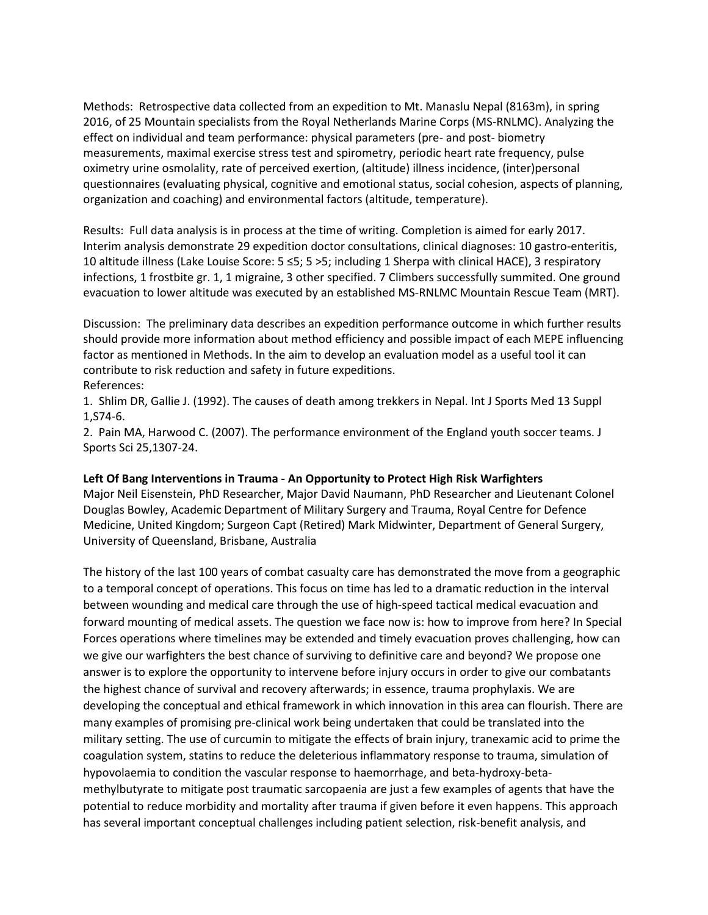Methods: Retrospective data collected from an expedition to Mt. Manaslu Nepal (8163m), in spring 2016, of 25 Mountain specialists from the Royal Netherlands Marine Corps (MS-RNLMC). Analyzing the effect on individual and team performance: physical parameters (pre- and post- biometry measurements, maximal exercise stress test and spirometry, periodic heart rate frequency, pulse oximetry urine osmolality, rate of perceived exertion, (altitude) illness incidence, (inter)personal questionnaires (evaluating physical, cognitive and emotional status, social cohesion, aspects of planning, organization and coaching) and environmental factors (altitude, temperature).

Results: Full data analysis is in process at the time of writing. Completion is aimed for early 2017. Interim analysis demonstrate 29 expedition doctor consultations, clinical diagnoses: 10 gastro-enteritis, 10 altitude illness (Lake Louise Score: 5 ≤5; 5 >5; including 1 Sherpa with clinical HACE), 3 respiratory infections, 1 frostbite gr. 1, 1 migraine, 3 other specified. 7 Climbers successfully summited. One ground evacuation to lower altitude was executed by an established MS-RNLMC Mountain Rescue Team (MRT).

Discussion: The preliminary data describes an expedition performance outcome in which further results should provide more information about method efficiency and possible impact of each MEPE influencing factor as mentioned in Methods. In the aim to develop an evaluation model as a useful tool it can contribute to risk reduction and safety in future expeditions.

References:

1. Shlim DR, Gallie J. (1992). The causes of death among trekkers in Nepal. Int J Sports Med 13 Suppl 1,S74-6.

2. Pain MA, Harwood C. (2007). The performance environment of the England youth soccer teams. J Sports Sci 25,1307-24.

#### **Left Of Bang Interventions in Trauma - An Opportunity to Protect High Risk Warfighters**

Major Neil Eisenstein, PhD Researcher, Major David Naumann, PhD Researcher and Lieutenant Colonel Douglas Bowley, Academic Department of Military Surgery and Trauma, Royal Centre for Defence Medicine, United Kingdom; Surgeon Capt (Retired) Mark Midwinter, Department of General Surgery, University of Queensland, Brisbane, Australia

The history of the last 100 years of combat casualty care has demonstrated the move from a geographic to a temporal concept of operations. This focus on time has led to a dramatic reduction in the interval between wounding and medical care through the use of high-speed tactical medical evacuation and forward mounting of medical assets. The question we face now is: how to improve from here? In Special Forces operations where timelines may be extended and timely evacuation proves challenging, how can we give our warfighters the best chance of surviving to definitive care and beyond? We propose one answer is to explore the opportunity to intervene before injury occurs in order to give our combatants the highest chance of survival and recovery afterwards; in essence, trauma prophylaxis. We are developing the conceptual and ethical framework in which innovation in this area can flourish. There are many examples of promising pre-clinical work being undertaken that could be translated into the military setting. The use of curcumin to mitigate the effects of brain injury, tranexamic acid to prime the coagulation system, statins to reduce the deleterious inflammatory response to trauma, simulation of hypovolaemia to condition the vascular response to haemorrhage, and beta-hydroxy-betamethylbutyrate to mitigate post traumatic sarcopaenia are just a few examples of agents that have the potential to reduce morbidity and mortality after trauma if given before it even happens. This approach has several important conceptual challenges including patient selection, risk-benefit analysis, and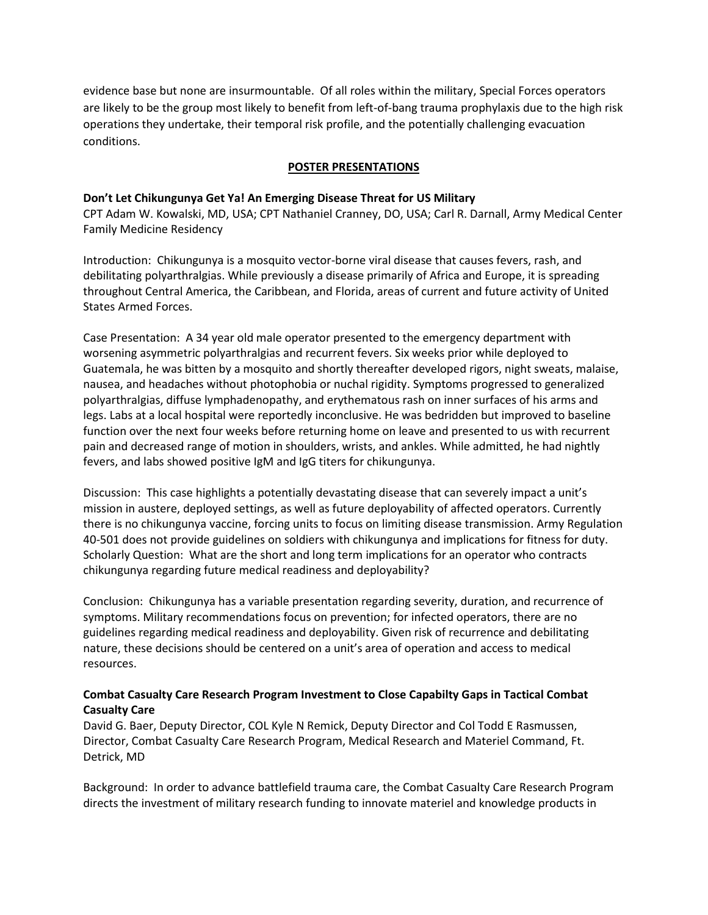evidence base but none are insurmountable. Of all roles within the military, Special Forces operators are likely to be the group most likely to benefit from left-of-bang trauma prophylaxis due to the high risk operations they undertake, their temporal risk profile, and the potentially challenging evacuation conditions.

# **POSTER PRESENTATIONS**

# **Don't Let Chikungunya Get Ya! An Emerging Disease Threat for US Military**

CPT Adam W. Kowalski, MD, USA; CPT Nathaniel Cranney, DO, USA; Carl R. Darnall, Army Medical Center Family Medicine Residency

Introduction: Chikungunya is a mosquito vector-borne viral disease that causes fevers, rash, and debilitating polyarthralgias. While previously a disease primarily of Africa and Europe, it is spreading throughout Central America, the Caribbean, and Florida, areas of current and future activity of United States Armed Forces.

Case Presentation: A 34 year old male operator presented to the emergency department with worsening asymmetric polyarthralgias and recurrent fevers. Six weeks prior while deployed to Guatemala, he was bitten by a mosquito and shortly thereafter developed rigors, night sweats, malaise, nausea, and headaches without photophobia or nuchal rigidity. Symptoms progressed to generalized polyarthralgias, diffuse lymphadenopathy, and erythematous rash on inner surfaces of his arms and legs. Labs at a local hospital were reportedly inconclusive. He was bedridden but improved to baseline function over the next four weeks before returning home on leave and presented to us with recurrent pain and decreased range of motion in shoulders, wrists, and ankles. While admitted, he had nightly fevers, and labs showed positive IgM and IgG titers for chikungunya.

Discussion: This case highlights a potentially devastating disease that can severely impact a unit's mission in austere, deployed settings, as well as future deployability of affected operators. Currently there is no chikungunya vaccine, forcing units to focus on limiting disease transmission. Army Regulation 40-501 does not provide guidelines on soldiers with chikungunya and implications for fitness for duty. Scholarly Question: What are the short and long term implications for an operator who contracts chikungunya regarding future medical readiness and deployability?

Conclusion: Chikungunya has a variable presentation regarding severity, duration, and recurrence of symptoms. Military recommendations focus on prevention; for infected operators, there are no guidelines regarding medical readiness and deployability. Given risk of recurrence and debilitating nature, these decisions should be centered on a unit's area of operation and access to medical resources.

# **Combat Casualty Care Research Program Investment to Close Capabilty Gaps in Tactical Combat Casualty Care**

David G. Baer, Deputy Director, COL Kyle N Remick, Deputy Director and Col Todd E Rasmussen, Director, Combat Casualty Care Research Program, Medical Research and Materiel Command, Ft. Detrick, MD

Background: In order to advance battlefield trauma care, the Combat Casualty Care Research Program directs the investment of military research funding to innovate materiel and knowledge products in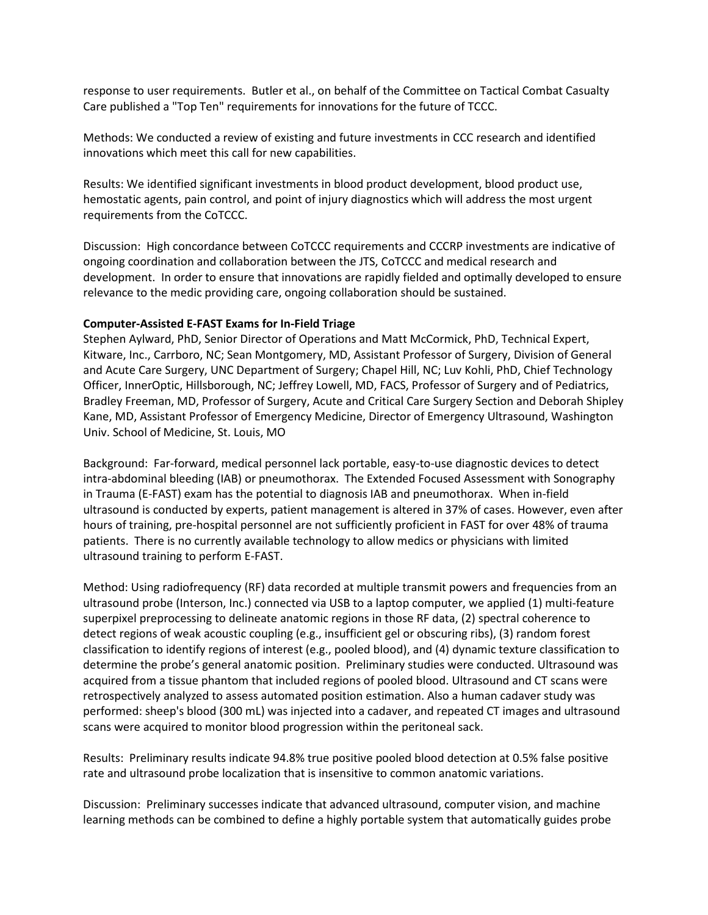response to user requirements. Butler et al., on behalf of the Committee on Tactical Combat Casualty Care published a "Top Ten" requirements for innovations for the future of TCCC.

Methods: We conducted a review of existing and future investments in CCC research and identified innovations which meet this call for new capabilities.

Results: We identified significant investments in blood product development, blood product use, hemostatic agents, pain control, and point of injury diagnostics which will address the most urgent requirements from the CoTCCC.

Discussion: High concordance between CoTCCC requirements and CCCRP investments are indicative of ongoing coordination and collaboration between the JTS, CoTCCC and medical research and development. In order to ensure that innovations are rapidly fielded and optimally developed to ensure relevance to the medic providing care, ongoing collaboration should be sustained.

#### **Computer-Assisted E-FAST Exams for In-Field Triage**

Stephen Aylward, PhD, Senior Director of Operations and Matt McCormick, PhD, Technical Expert, Kitware, Inc., Carrboro, NC; Sean Montgomery, MD, Assistant Professor of Surgery, Division of General and Acute Care Surgery, UNC Department of Surgery; Chapel Hill, NC; Luv Kohli, PhD, Chief Technology Officer, InnerOptic, Hillsborough, NC; Jeffrey Lowell, MD, FACS, Professor of Surgery and of Pediatrics, Bradley Freeman, MD, Professor of Surgery, Acute and Critical Care Surgery Section and Deborah Shipley Kane, MD, Assistant Professor of Emergency Medicine, Director of Emergency Ultrasound, Washington Univ. School of Medicine, St. Louis, MO

Background: Far-forward, medical personnel lack portable, easy-to-use diagnostic devices to detect intra-abdominal bleeding (IAB) or pneumothorax. The Extended Focused Assessment with Sonography in Trauma (E-FAST) exam has the potential to diagnosis IAB and pneumothorax. When in-field ultrasound is conducted by experts, patient management is altered in 37% of cases. However, even after hours of training, pre-hospital personnel are not sufficiently proficient in FAST for over 48% of trauma patients. There is no currently available technology to allow medics or physicians with limited ultrasound training to perform E-FAST.

Method: Using radiofrequency (RF) data recorded at multiple transmit powers and frequencies from an ultrasound probe (Interson, Inc.) connected via USB to a laptop computer, we applied (1) multi-feature superpixel preprocessing to delineate anatomic regions in those RF data, (2) spectral coherence to detect regions of weak acoustic coupling (e.g., insufficient gel or obscuring ribs), (3) random forest classification to identify regions of interest (e.g., pooled blood), and (4) dynamic texture classification to determine the probe's general anatomic position. Preliminary studies were conducted. Ultrasound was acquired from a tissue phantom that included regions of pooled blood. Ultrasound and CT scans were retrospectively analyzed to assess automated position estimation. Also a human cadaver study was performed: sheep's blood (300 mL) was injected into a cadaver, and repeated CT images and ultrasound scans were acquired to monitor blood progression within the peritoneal sack.

Results: Preliminary results indicate 94.8% true positive pooled blood detection at 0.5% false positive rate and ultrasound probe localization that is insensitive to common anatomic variations.

Discussion: Preliminary successes indicate that advanced ultrasound, computer vision, and machine learning methods can be combined to define a highly portable system that automatically guides probe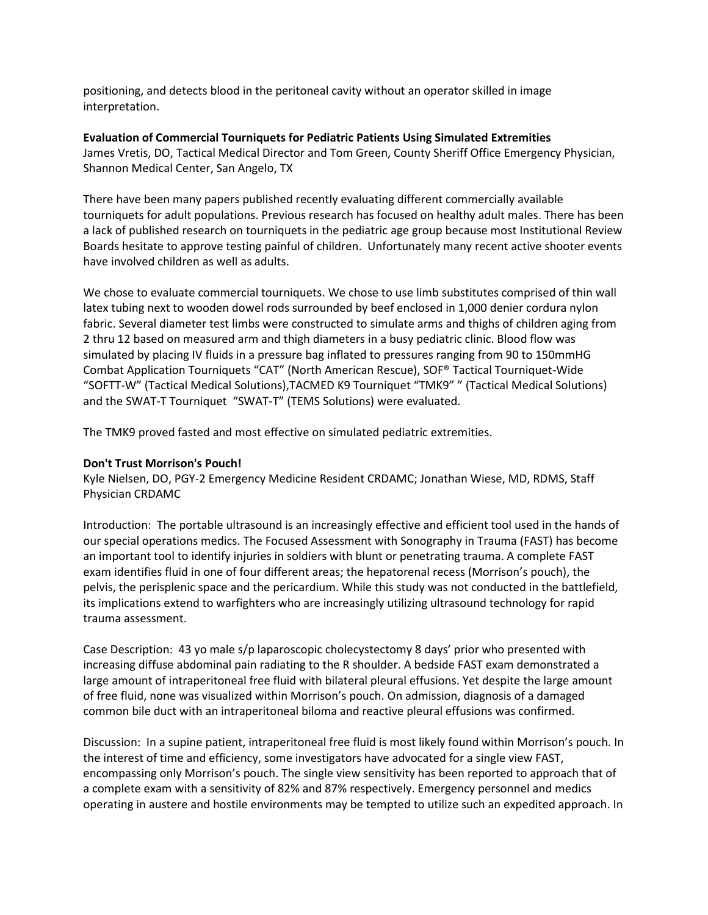positioning, and detects blood in the peritoneal cavity without an operator skilled in image interpretation.

# **Evaluation of Commercial Tourniquets for Pediatric Patients Using Simulated Extremities**

James Vretis, DO, Tactical Medical Director and Tom Green, County Sheriff Office Emergency Physician, Shannon Medical Center, San Angelo, TX

There have been many papers published recently evaluating different commercially available tourniquets for adult populations. Previous research has focused on healthy adult males. There has been a lack of published research on tourniquets in the pediatric age group because most Institutional Review Boards hesitate to approve testing painful of children. Unfortunately many recent active shooter events have involved children as well as adults.

We chose to evaluate commercial tourniquets. We chose to use limb substitutes comprised of thin wall latex tubing next to wooden dowel rods surrounded by beef enclosed in 1,000 denier cordura nylon fabric. Several diameter test limbs were constructed to simulate arms and thighs of children aging from 2 thru 12 based on measured arm and thigh diameters in a busy pediatric clinic. Blood flow was simulated by placing IV fluids in a pressure bag inflated to pressures ranging from 90 to 150mmHG Combat Application Tourniquets "CAT" (North American Rescue), SOF® Tactical Tourniquet-Wide "SOFTT-W" (Tactical Medical Solutions),TACMED K9 Tourniquet "TMK9" " (Tactical Medical Solutions) and the SWAT-T Tourniquet "SWAT-T" (TEMS Solutions) were evaluated.

The TMK9 proved fasted and most effective on simulated pediatric extremities.

## **Don't Trust Morrison's Pouch!**

Kyle Nielsen, DO, PGY-2 Emergency Medicine Resident CRDAMC; Jonathan Wiese, MD, RDMS, Staff Physician CRDAMC

Introduction: The portable ultrasound is an increasingly effective and efficient tool used in the hands of our special operations medics. The Focused Assessment with Sonography in Trauma (FAST) has become an important tool to identify injuries in soldiers with blunt or penetrating trauma. A complete FAST exam identifies fluid in one of four different areas; the hepatorenal recess (Morrison's pouch), the pelvis, the perisplenic space and the pericardium. While this study was not conducted in the battlefield, its implications extend to warfighters who are increasingly utilizing ultrasound technology for rapid trauma assessment.

Case Description: 43 yo male s/p laparoscopic cholecystectomy 8 days' prior who presented with increasing diffuse abdominal pain radiating to the R shoulder. A bedside FAST exam demonstrated a large amount of intraperitoneal free fluid with bilateral pleural effusions. Yet despite the large amount of free fluid, none was visualized within Morrison's pouch. On admission, diagnosis of a damaged common bile duct with an intraperitoneal biloma and reactive pleural effusions was confirmed.

Discussion: In a supine patient, intraperitoneal free fluid is most likely found within Morrison's pouch. In the interest of time and efficiency, some investigators have advocated for a single view FAST, encompassing only Morrison's pouch. The single view sensitivity has been reported to approach that of a complete exam with a sensitivity of 82% and 87% respectively. Emergency personnel and medics operating in austere and hostile environments may be tempted to utilize such an expedited approach. In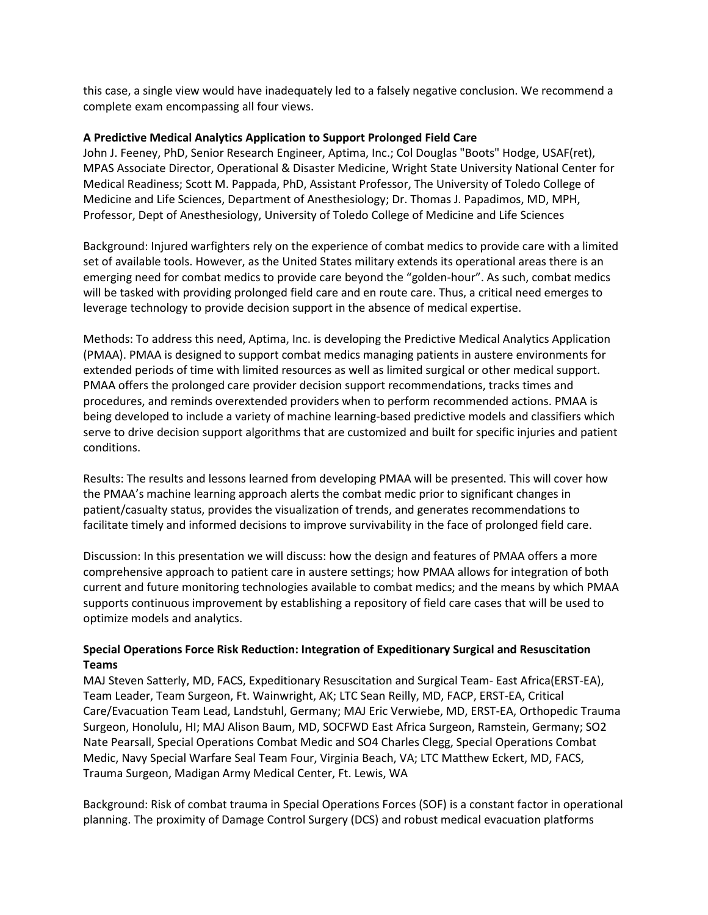this case, a single view would have inadequately led to a falsely negative conclusion. We recommend a complete exam encompassing all four views.

#### **A Predictive Medical Analytics Application to Support Prolonged Field Care**

John J. Feeney, PhD, Senior Research Engineer, Aptima, Inc.; Col Douglas "Boots" Hodge, USAF(ret), MPAS Associate Director, Operational & Disaster Medicine, Wright State University National Center for Medical Readiness; Scott M. Pappada, PhD, Assistant Professor, The University of Toledo College of Medicine and Life Sciences, Department of Anesthesiology; Dr. Thomas J. Papadimos, MD, MPH, Professor, Dept of Anesthesiology, University of Toledo College of Medicine and Life Sciences

Background: Injured warfighters rely on the experience of combat medics to provide care with a limited set of available tools. However, as the United States military extends its operational areas there is an emerging need for combat medics to provide care beyond the "golden-hour". As such, combat medics will be tasked with providing prolonged field care and en route care. Thus, a critical need emerges to leverage technology to provide decision support in the absence of medical expertise.

Methods: To address this need, Aptima, Inc. is developing the Predictive Medical Analytics Application (PMAA). PMAA is designed to support combat medics managing patients in austere environments for extended periods of time with limited resources as well as limited surgical or other medical support. PMAA offers the prolonged care provider decision support recommendations, tracks times and procedures, and reminds overextended providers when to perform recommended actions. PMAA is being developed to include a variety of machine learning-based predictive models and classifiers which serve to drive decision support algorithms that are customized and built for specific injuries and patient conditions.

Results: The results and lessons learned from developing PMAA will be presented. This will cover how the PMAA's machine learning approach alerts the combat medic prior to significant changes in patient/casualty status, provides the visualization of trends, and generates recommendations to facilitate timely and informed decisions to improve survivability in the face of prolonged field care.

Discussion: In this presentation we will discuss: how the design and features of PMAA offers a more comprehensive approach to patient care in austere settings; how PMAA allows for integration of both current and future monitoring technologies available to combat medics; and the means by which PMAA supports continuous improvement by establishing a repository of field care cases that will be used to optimize models and analytics.

# **Special Operations Force Risk Reduction: Integration of Expeditionary Surgical and Resuscitation Teams**

MAJ Steven Satterly, MD, FACS, Expeditionary Resuscitation and Surgical Team- East Africa(ERST-EA), Team Leader, Team Surgeon, Ft. Wainwright, AK; LTC Sean Reilly, MD, FACP, ERST-EA, Critical Care/Evacuation Team Lead, Landstuhl, Germany; MAJ Eric Verwiebe, MD, ERST-EA, Orthopedic Trauma Surgeon, Honolulu, HI; MAJ Alison Baum, MD, SOCFWD East Africa Surgeon, Ramstein, Germany; SO2 Nate Pearsall, Special Operations Combat Medic and SO4 Charles Clegg, Special Operations Combat Medic, Navy Special Warfare Seal Team Four, Virginia Beach, VA; LTC Matthew Eckert, MD, FACS, Trauma Surgeon, Madigan Army Medical Center, Ft. Lewis, WA

Background: Risk of combat trauma in Special Operations Forces (SOF) is a constant factor in operational planning. The proximity of Damage Control Surgery (DCS) and robust medical evacuation platforms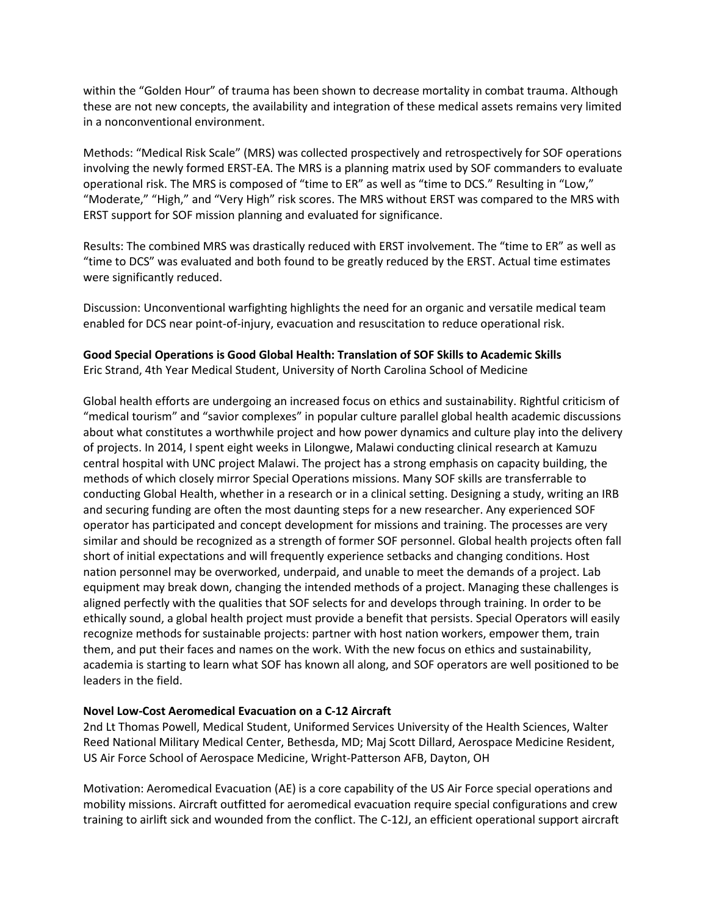within the "Golden Hour" of trauma has been shown to decrease mortality in combat trauma. Although these are not new concepts, the availability and integration of these medical assets remains very limited in a nonconventional environment.

Methods: "Medical Risk Scale" (MRS) was collected prospectively and retrospectively for SOF operations involving the newly formed ERST-EA. The MRS is a planning matrix used by SOF commanders to evaluate operational risk. The MRS is composed of "time to ER" as well as "time to DCS." Resulting in "Low," "Moderate," "High," and "Very High" risk scores. The MRS without ERST was compared to the MRS with ERST support for SOF mission planning and evaluated for significance.

Results: The combined MRS was drastically reduced with ERST involvement. The "time to ER" as well as "time to DCS" was evaluated and both found to be greatly reduced by the ERST. Actual time estimates were significantly reduced.

Discussion: Unconventional warfighting highlights the need for an organic and versatile medical team enabled for DCS near point-of-injury, evacuation and resuscitation to reduce operational risk.

#### **Good Special Operations is Good Global Health: Translation of SOF Skills to Academic Skills** Eric Strand, 4th Year Medical Student, University of North Carolina School of Medicine

Global health efforts are undergoing an increased focus on ethics and sustainability. Rightful criticism of "medical tourism" and "savior complexes" in popular culture parallel global health academic discussions about what constitutes a worthwhile project and how power dynamics and culture play into the delivery of projects. In 2014, I spent eight weeks in Lilongwe, Malawi conducting clinical research at Kamuzu central hospital with UNC project Malawi. The project has a strong emphasis on capacity building, the methods of which closely mirror Special Operations missions. Many SOF skills are transferrable to conducting Global Health, whether in a research or in a clinical setting. Designing a study, writing an IRB and securing funding are often the most daunting steps for a new researcher. Any experienced SOF operator has participated and concept development for missions and training. The processes are very similar and should be recognized as a strength of former SOF personnel. Global health projects often fall short of initial expectations and will frequently experience setbacks and changing conditions. Host nation personnel may be overworked, underpaid, and unable to meet the demands of a project. Lab equipment may break down, changing the intended methods of a project. Managing these challenges is aligned perfectly with the qualities that SOF selects for and develops through training. In order to be ethically sound, a global health project must provide a benefit that persists. Special Operators will easily recognize methods for sustainable projects: partner with host nation workers, empower them, train them, and put their faces and names on the work. With the new focus on ethics and sustainability, academia is starting to learn what SOF has known all along, and SOF operators are well positioned to be leaders in the field.

#### **Novel Low-Cost Aeromedical Evacuation on a C-12 Aircraft**

2nd Lt Thomas Powell, Medical Student, Uniformed Services University of the Health Sciences, Walter Reed National Military Medical Center, Bethesda, MD; Maj Scott Dillard, Aerospace Medicine Resident, US Air Force School of Aerospace Medicine, Wright-Patterson AFB, Dayton, OH

Motivation: Aeromedical Evacuation (AE) is a core capability of the US Air Force special operations and mobility missions. Aircraft outfitted for aeromedical evacuation require special configurations and crew training to airlift sick and wounded from the conflict. The C-12J, an efficient operational support aircraft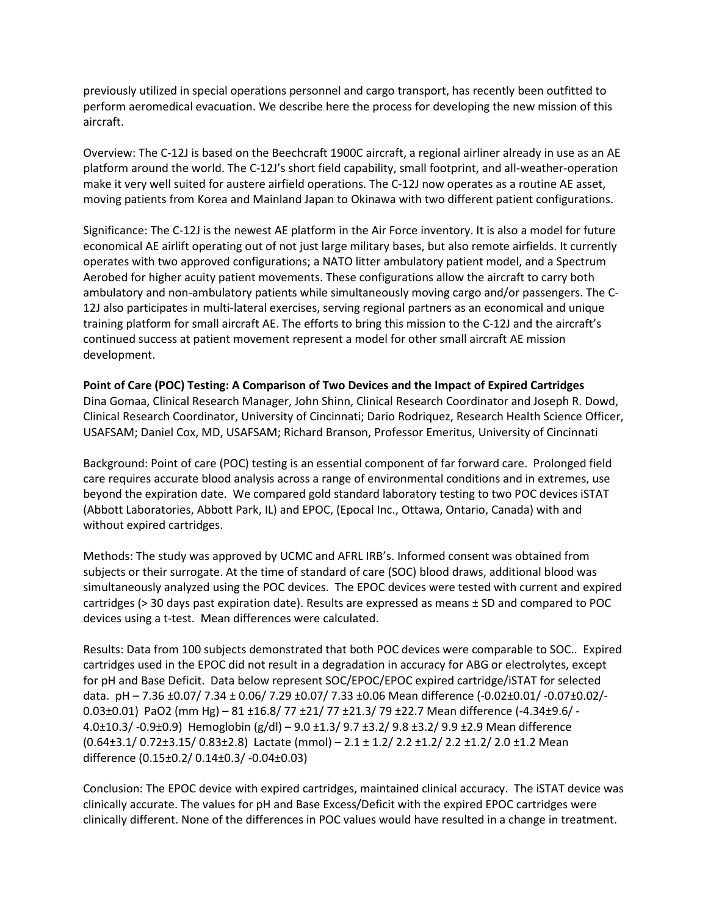previously utilized in special operations personnel and cargo transport, has recently been outfitted to perform aeromedical evacuation. We describe here the process for developing the new mission of this aircraft.

Overview: The C-12J is based on the Beechcraft 1900C aircraft, a regional airliner already in use as an AE platform around the world. The C-12J's short field capability, small footprint, and all-weather-operation make it very well suited for austere airfield operations. The C-12J now operates as a routine AE asset, moving patients from Korea and Mainland Japan to Okinawa with two different patient configurations.

Significance: The C-12J is the newest AE platform in the Air Force inventory. It is also a model for future economical AE airlift operating out of not just large military bases, but also remote airfields. It currently operates with two approved configurations; a NATO litter ambulatory patient model, and a Spectrum Aerobed for higher acuity patient movements. These configurations allow the aircraft to carry both ambulatory and non-ambulatory patients while simultaneously moving cargo and/or passengers. The C-12J also participates in multi-lateral exercises, serving regional partners as an economical and unique training platform for small aircraft AE. The efforts to bring this mission to the C-12J and the aircraft's continued success at patient movement represent a model for other small aircraft AE mission development.

#### **Point of Care (POC) Testing: A Comparison of Two Devices and the Impact of Expired Cartridges**

Dina Gomaa, Clinical Research Manager, John Shinn, Clinical Research Coordinator and Joseph R. Dowd, Clinical Research Coordinator, University of Cincinnati; Dario Rodriquez, Research Health Science Officer, USAFSAM; Daniel Cox, MD, USAFSAM; Richard Branson, Professor Emeritus, University of Cincinnati

Background: Point of care (POC) testing is an essential component of far forward care. Prolonged field care requires accurate blood analysis across a range of environmental conditions and in extremes, use beyond the expiration date. We compared gold standard laboratory testing to two POC devices iSTAT (Abbott Laboratories, Abbott Park, IL) and EPOC, (Epocal Inc., Ottawa, Ontario, Canada) with and without expired cartridges.

Methods: The study was approved by UCMC and AFRL IRB's. Informed consent was obtained from subjects or their surrogate. At the time of standard of care (SOC) blood draws, additional blood was simultaneously analyzed using the POC devices. The EPOC devices were tested with current and expired cartridges ( $>$  30 days past expiration date). Results are expressed as means  $\pm$  SD and compared to POC devices using a t-test. Mean differences were calculated.

Results: Data from 100 subjects demonstrated that both POC devices were comparable to SOC.. Expired cartridges used in the EPOC did not result in a degradation in accuracy for ABG or electrolytes, except for pH and Base Deficit. Data below represent SOC/EPOC/EPOC expired cartridge/iSTAT for selected data. pH – 7.36 ±0.07/ 7.34 ± 0.06/ 7.29 ±0.07/ 7.33 ±0.06 Mean difference (-0.02±0.01/ -0.07±0.02/- 0.03±0.01) PaO2 (mm Hg) – 81 ±16.8/ 77 ±21/ 77 ±21.3/ 79 ±22.7 Mean difference (-4.34±9.6/ - 4.0±10.3/ -0.9±0.9) Hemoglobin (g/dl) – 9.0 ±1.3/ 9.7 ±3.2/ 9.8 ±3.2/ 9.9 ±2.9 Mean difference (0.64±3.1/ 0.72±3.15/ 0.83±2.8) Lactate (mmol) – 2.1 ± 1.2/ 2.2 ±1.2/ 2.2 ±1.2/ 2.0 ±1.2 Mean difference (0.15±0.2/ 0.14±0.3/ -0.04±0.03)

Conclusion: The EPOC device with expired cartridges, maintained clinical accuracy. The iSTAT device was clinically accurate. The values for pH and Base Excess/Deficit with the expired EPOC cartridges were clinically different. None of the differences in POC values would have resulted in a change in treatment.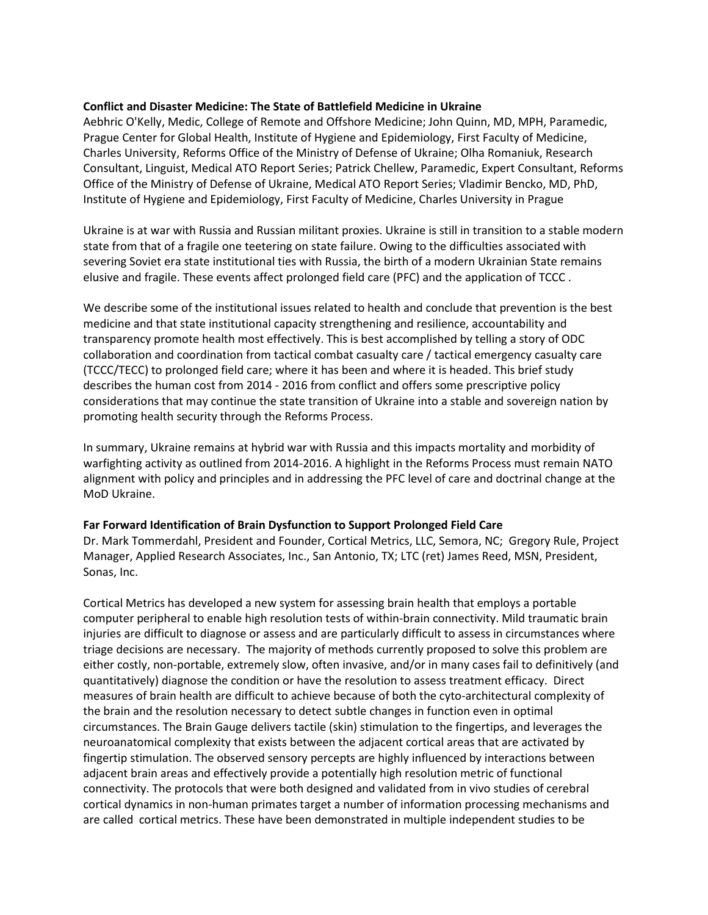#### **Conflict and Disaster Medicine: The State of Battlefield Medicine in Ukraine**

Aebhric O'Kelly, Medic, College of Remote and Offshore Medicine; John Quinn, MD, MPH, Paramedic, Prague Center for Global Health, Institute of Hygiene and Epidemiology, First Faculty of Medicine, Charles University, Reforms Office of the Ministry of Defense of Ukraine; Olha Romaniuk, Research Consultant, Linguist, Medical ATO Report Series; Patrick Chellew, Paramedic, Expert Consultant, Reforms Office of the Ministry of Defense of Ukraine, Medical ATO Report Series; Vladimir Bencko, MD, PhD, Institute of Hygiene and Epidemiology, First Faculty of Medicine, Charles University in Prague

Ukraine is at war with Russia and Russian militant proxies. Ukraine is still in transition to a stable modern state from that of a fragile one teetering on state failure. Owing to the difficulties associated with severing Soviet era state institutional ties with Russia, the birth of a modern Ukrainian State remains elusive and fragile. These events affect prolonged field care (PFC) and the application of TCCC .

We describe some of the institutional issues related to health and conclude that prevention is the best medicine and that state institutional capacity strengthening and resilience, accountability and transparency promote health most effectively. This is best accomplished by telling a story of ODC collaboration and coordination from tactical combat casualty care / tactical emergency casualty care (TCCC/TECC) to prolonged field care; where it has been and where it is headed. This brief study describes the human cost from 2014 - 2016 from conflict and offers some prescriptive policy considerations that may continue the state transition of Ukraine into a stable and sovereign nation by promoting health security through the Reforms Process.

In summary, Ukraine remains at hybrid war with Russia and this impacts mortality and morbidity of warfighting activity as outlined from 2014-2016. A highlight in the Reforms Process must remain NATO alignment with policy and principles and in addressing the PFC level of care and doctrinal change at the MoD Ukraine.

#### **Far Forward Identification of Brain Dysfunction to Support Prolonged Field Care**

Dr. Mark Tommerdahl, President and Founder, Cortical Metrics, LLC, Semora, NC; Gregory Rule, Project Manager, Applied Research Associates, Inc., San Antonio, TX; LTC (ret) James Reed, MSN, President, Sonas, Inc.

Cortical Metrics has developed a new system for assessing brain health that employs a portable computer peripheral to enable high resolution tests of within-brain connectivity. Mild traumatic brain injuries are difficult to diagnose or assess and are particularly difficult to assess in circumstances where triage decisions are necessary. The majority of methods currently proposed to solve this problem are either costly, non-portable, extremely slow, often invasive, and/or in many cases fail to definitively (and quantitatively) diagnose the condition or have the resolution to assess treatment efficacy. Direct measures of brain health are difficult to achieve because of both the cyto-architectural complexity of the brain and the resolution necessary to detect subtle changes in function even in optimal circumstances. The Brain Gauge delivers tactile (skin) stimulation to the fingertips, and leverages the neuroanatomical complexity that exists between the adjacent cortical areas that are activated by fingertip stimulation. The observed sensory percepts are highly influenced by interactions between adjacent brain areas and effectively provide a potentially high resolution metric of functional connectivity. The protocols that were both designed and validated from in vivo studies of cerebral cortical dynamics in non-human primates target a number of information processing mechanisms and are called cortical metrics. These have been demonstrated in multiple independent studies to be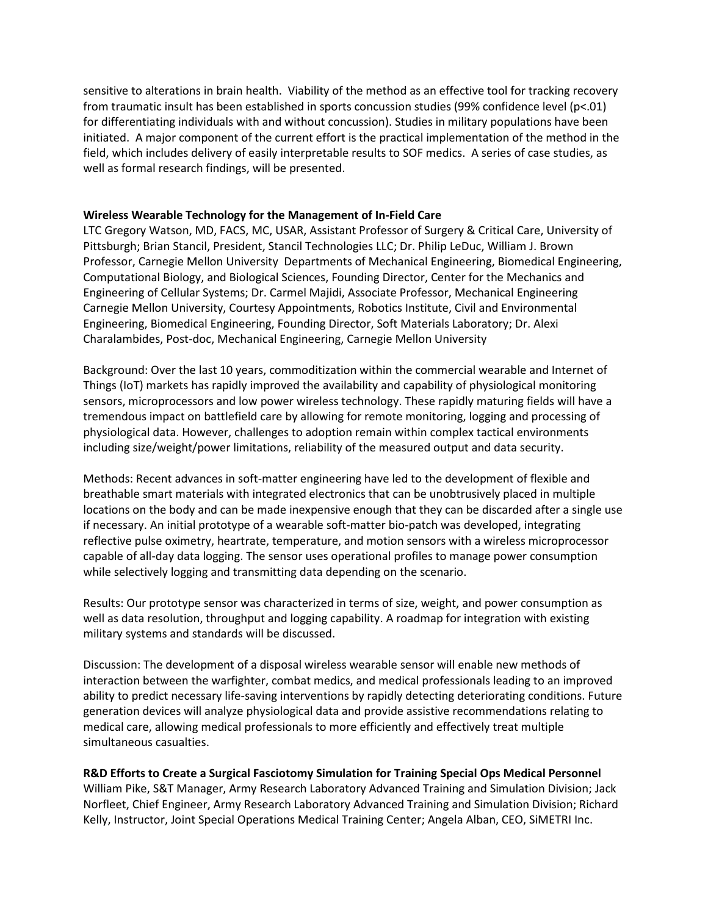sensitive to alterations in brain health. Viability of the method as an effective tool for tracking recovery from traumatic insult has been established in sports concussion studies (99% confidence level (p<.01) for differentiating individuals with and without concussion). Studies in military populations have been initiated. A major component of the current effort is the practical implementation of the method in the field, which includes delivery of easily interpretable results to SOF medics. A series of case studies, as well as formal research findings, will be presented.

#### **Wireless Wearable Technology for the Management of In-Field Care**

LTC Gregory Watson, MD, FACS, MC, USAR, Assistant Professor of Surgery & Critical Care, University of Pittsburgh; Brian Stancil, President, Stancil Technologies LLC; Dr. Philip LeDuc, William J. Brown Professor, Carnegie Mellon University Departments of Mechanical Engineering, Biomedical Engineering, Computational Biology, and Biological Sciences, Founding Director, Center for the Mechanics and Engineering of Cellular Systems; Dr. Carmel Majidi, Associate Professor, Mechanical Engineering Carnegie Mellon University, Courtesy Appointments, Robotics Institute, Civil and Environmental Engineering, Biomedical Engineering, Founding Director, Soft Materials Laboratory; Dr. Alexi Charalambides, Post-doc, Mechanical Engineering, Carnegie Mellon University

Background: Over the last 10 years, commoditization within the commercial wearable and Internet of Things (IoT) markets has rapidly improved the availability and capability of physiological monitoring sensors, microprocessors and low power wireless technology. These rapidly maturing fields will have a tremendous impact on battlefield care by allowing for remote monitoring, logging and processing of physiological data. However, challenges to adoption remain within complex tactical environments including size/weight/power limitations, reliability of the measured output and data security.

Methods: Recent advances in soft-matter engineering have led to the development of flexible and breathable smart materials with integrated electronics that can be unobtrusively placed in multiple locations on the body and can be made inexpensive enough that they can be discarded after a single use if necessary. An initial prototype of a wearable soft-matter bio-patch was developed, integrating reflective pulse oximetry, heartrate, temperature, and motion sensors with a wireless microprocessor capable of all-day data logging. The sensor uses operational profiles to manage power consumption while selectively logging and transmitting data depending on the scenario.

Results: Our prototype sensor was characterized in terms of size, weight, and power consumption as well as data resolution, throughput and logging capability. A roadmap for integration with existing military systems and standards will be discussed.

Discussion: The development of a disposal wireless wearable sensor will enable new methods of interaction between the warfighter, combat medics, and medical professionals leading to an improved ability to predict necessary life-saving interventions by rapidly detecting deteriorating conditions. Future generation devices will analyze physiological data and provide assistive recommendations relating to medical care, allowing medical professionals to more efficiently and effectively treat multiple simultaneous casualties.

#### **R&D Efforts to Create a Surgical Fasciotomy Simulation for Training Special Ops Medical Personnel**

William Pike, S&T Manager, Army Research Laboratory Advanced Training and Simulation Division; Jack Norfleet, Chief Engineer, Army Research Laboratory Advanced Training and Simulation Division; Richard Kelly, Instructor, Joint Special Operations Medical Training Center; Angela Alban, CEO, SiMETRI Inc.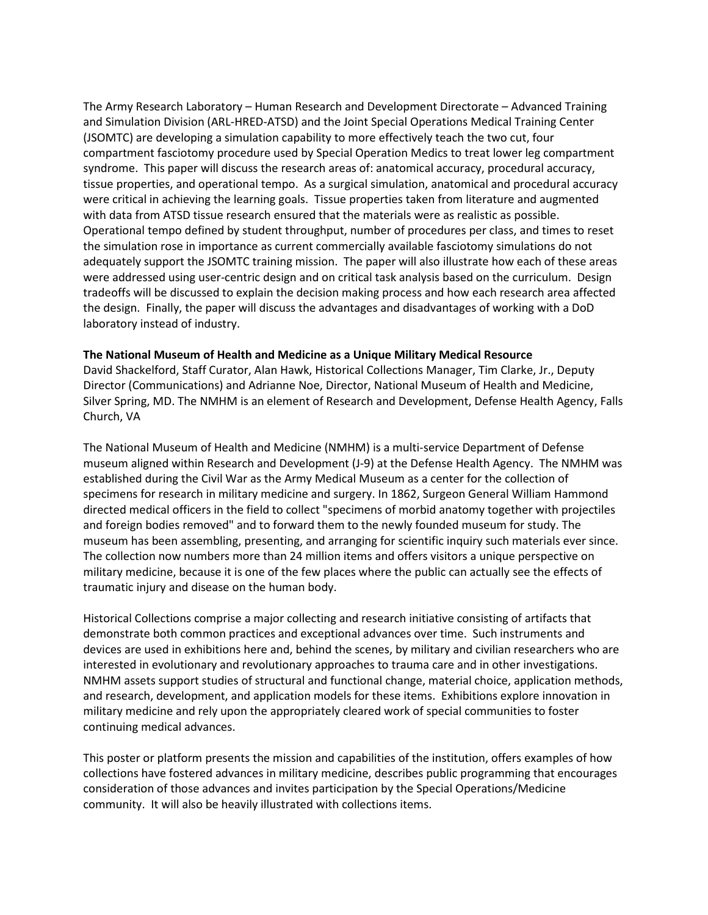The Army Research Laboratory – Human Research and Development Directorate – Advanced Training and Simulation Division (ARL-HRED-ATSD) and the Joint Special Operations Medical Training Center (JSOMTC) are developing a simulation capability to more effectively teach the two cut, four compartment fasciotomy procedure used by Special Operation Medics to treat lower leg compartment syndrome. This paper will discuss the research areas of: anatomical accuracy, procedural accuracy, tissue properties, and operational tempo. As a surgical simulation, anatomical and procedural accuracy were critical in achieving the learning goals. Tissue properties taken from literature and augmented with data from ATSD tissue research ensured that the materials were as realistic as possible. Operational tempo defined by student throughput, number of procedures per class, and times to reset the simulation rose in importance as current commercially available fasciotomy simulations do not adequately support the JSOMTC training mission. The paper will also illustrate how each of these areas were addressed using user-centric design and on critical task analysis based on the curriculum. Design tradeoffs will be discussed to explain the decision making process and how each research area affected the design. Finally, the paper will discuss the advantages and disadvantages of working with a DoD laboratory instead of industry.

#### **The National Museum of Health and Medicine as a Unique Military Medical Resource**

David Shackelford, Staff Curator, Alan Hawk, Historical Collections Manager, Tim Clarke, Jr., Deputy Director (Communications) and Adrianne Noe, Director, National Museum of Health and Medicine, Silver Spring, MD. The NMHM is an element of Research and Development, Defense Health Agency, Falls Church, VA

The National Museum of Health and Medicine (NMHM) is a multi-service Department of Defense museum aligned within Research and Development (J-9) at the Defense Health Agency. The NMHM was established during the Civil War as the Army Medical Museum as a center for the collection of specimens for research in military medicine and surgery. In 1862, Surgeon General William Hammond directed medical officers in the field to collect "specimens of morbid anatomy together with projectiles and foreign bodies removed" and to forward them to the newly founded museum for study. The museum has been assembling, presenting, and arranging for scientific inquiry such materials ever since. The collection now numbers more than 24 million items and offers visitors a unique perspective on military medicine, because it is one of the few places where the public can actually see the effects of traumatic injury and disease on the human body.

Historical Collections comprise a major collecting and research initiative consisting of artifacts that demonstrate both common practices and exceptional advances over time. Such instruments and devices are used in exhibitions here and, behind the scenes, by military and civilian researchers who are interested in evolutionary and revolutionary approaches to trauma care and in other investigations. NMHM assets support studies of structural and functional change, material choice, application methods, and research, development, and application models for these items. Exhibitions explore innovation in military medicine and rely upon the appropriately cleared work of special communities to foster continuing medical advances.

This poster or platform presents the mission and capabilities of the institution, offers examples of how collections have fostered advances in military medicine, describes public programming that encourages consideration of those advances and invites participation by the Special Operations/Medicine community. It will also be heavily illustrated with collections items.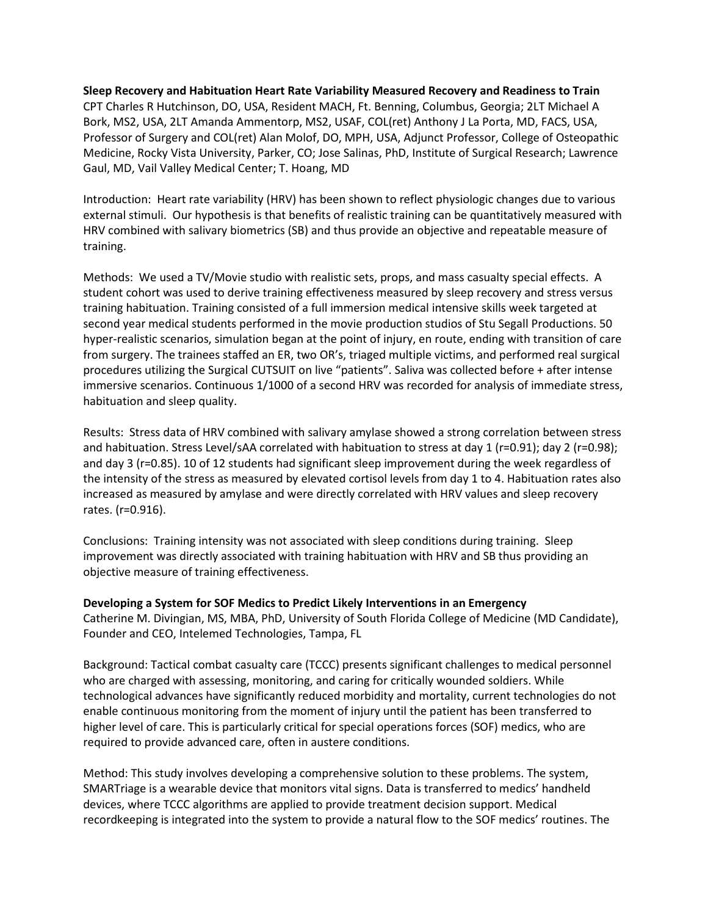**Sleep Recovery and Habituation Heart Rate Variability Measured Recovery and Readiness to Train** CPT Charles R Hutchinson, DO, USA, Resident MACH, Ft. Benning, Columbus, Georgia; 2LT Michael A Bork, MS2, USA, 2LT Amanda Ammentorp, MS2, USAF, COL(ret) Anthony J La Porta, MD, FACS, USA, Professor of Surgery and COL(ret) Alan Molof, DO, MPH, USA, Adjunct Professor, College of Osteopathic Medicine, Rocky Vista University, Parker, CO; Jose Salinas, PhD, Institute of Surgical Research; Lawrence Gaul, MD, Vail Valley Medical Center; T. Hoang, MD

Introduction: Heart rate variability (HRV) has been shown to reflect physiologic changes due to various external stimuli. Our hypothesis is that benefits of realistic training can be quantitatively measured with HRV combined with salivary biometrics (SB) and thus provide an objective and repeatable measure of training.

Methods: We used a TV/Movie studio with realistic sets, props, and mass casualty special effects. A student cohort was used to derive training effectiveness measured by sleep recovery and stress versus training habituation. Training consisted of a full immersion medical intensive skills week targeted at second year medical students performed in the movie production studios of Stu Segall Productions. 50 hyper-realistic scenarios, simulation began at the point of injury, en route, ending with transition of care from surgery. The trainees staffed an ER, two OR's, triaged multiple victims, and performed real surgical procedures utilizing the Surgical CUTSUIT on live "patients". Saliva was collected before + after intense immersive scenarios. Continuous 1/1000 of a second HRV was recorded for analysis of immediate stress, habituation and sleep quality.

Results: Stress data of HRV combined with salivary amylase showed a strong correlation between stress and habituation. Stress Level/sAA correlated with habituation to stress at day 1 (r=0.91); day 2 (r=0.98); and day 3 (r=0.85). 10 of 12 students had significant sleep improvement during the week regardless of the intensity of the stress as measured by elevated cortisol levels from day 1 to 4. Habituation rates also increased as measured by amylase and were directly correlated with HRV values and sleep recovery rates. (r=0.916).

Conclusions: Training intensity was not associated with sleep conditions during training. Sleep improvement was directly associated with training habituation with HRV and SB thus providing an objective measure of training effectiveness.

**Developing a System for SOF Medics to Predict Likely Interventions in an Emergency** Catherine M. Divingian, MS, MBA, PhD, University of South Florida College of Medicine (MD Candidate), Founder and CEO, Intelemed Technologies, Tampa, FL

Background: Tactical combat casualty care (TCCC) presents significant challenges to medical personnel who are charged with assessing, monitoring, and caring for critically wounded soldiers. While technological advances have significantly reduced morbidity and mortality, current technologies do not enable continuous monitoring from the moment of injury until the patient has been transferred to higher level of care. This is particularly critical for special operations forces (SOF) medics, who are required to provide advanced care, often in austere conditions.

Method: This study involves developing a comprehensive solution to these problems. The system, SMARTriage is a wearable device that monitors vital signs. Data is transferred to medics' handheld devices, where TCCC algorithms are applied to provide treatment decision support. Medical recordkeeping is integrated into the system to provide a natural flow to the SOF medics' routines. The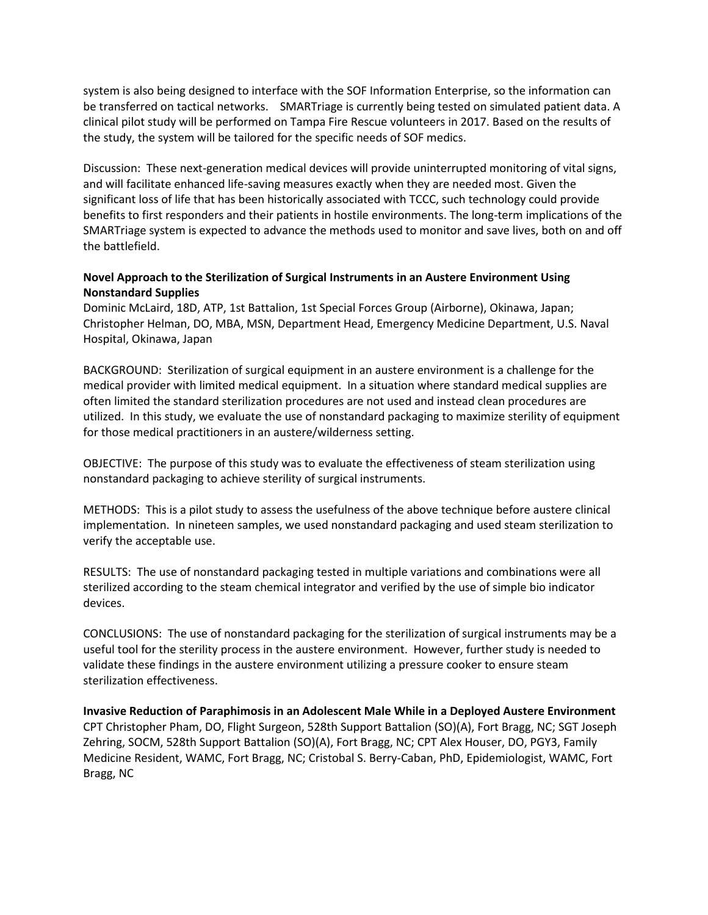system is also being designed to interface with the SOF Information Enterprise, so the information can be transferred on tactical networks. SMARTriage is currently being tested on simulated patient data. A clinical pilot study will be performed on Tampa Fire Rescue volunteers in 2017. Based on the results of the study, the system will be tailored for the specific needs of SOF medics.

Discussion: These next-generation medical devices will provide uninterrupted monitoring of vital signs, and will facilitate enhanced life-saving measures exactly when they are needed most. Given the significant loss of life that has been historically associated with TCCC, such technology could provide benefits to first responders and their patients in hostile environments. The long-term implications of the SMARTriage system is expected to advance the methods used to monitor and save lives, both on and off the battlefield.

# **Novel Approach to the Sterilization of Surgical Instruments in an Austere Environment Using Nonstandard Supplies**

Dominic McLaird, 18D, ATP, 1st Battalion, 1st Special Forces Group (Airborne), Okinawa, Japan; Christopher Helman, DO, MBA, MSN, Department Head, Emergency Medicine Department, U.S. Naval Hospital, Okinawa, Japan

BACKGROUND: Sterilization of surgical equipment in an austere environment is a challenge for the medical provider with limited medical equipment. In a situation where standard medical supplies are often limited the standard sterilization procedures are not used and instead clean procedures are utilized. In this study, we evaluate the use of nonstandard packaging to maximize sterility of equipment for those medical practitioners in an austere/wilderness setting.

OBJECTIVE: The purpose of this study was to evaluate the effectiveness of steam sterilization using nonstandard packaging to achieve sterility of surgical instruments.

METHODS: This is a pilot study to assess the usefulness of the above technique before austere clinical implementation. In nineteen samples, we used nonstandard packaging and used steam sterilization to verify the acceptable use.

RESULTS: The use of nonstandard packaging tested in multiple variations and combinations were all sterilized according to the steam chemical integrator and verified by the use of simple bio indicator devices.

CONCLUSIONS: The use of nonstandard packaging for the sterilization of surgical instruments may be a useful tool for the sterility process in the austere environment. However, further study is needed to validate these findings in the austere environment utilizing a pressure cooker to ensure steam sterilization effectiveness.

**Invasive Reduction of Paraphimosis in an Adolescent Male While in a Deployed Austere Environment** CPT Christopher Pham, DO, Flight Surgeon, 528th Support Battalion (SO)(A), Fort Bragg, NC; SGT Joseph Zehring, SOCM, 528th Support Battalion (SO)(A), Fort Bragg, NC; CPT Alex Houser, DO, PGY3, Family Medicine Resident, WAMC, Fort Bragg, NC; Cristobal S. Berry-Caban, PhD, Epidemiologist, WAMC, Fort Bragg, NC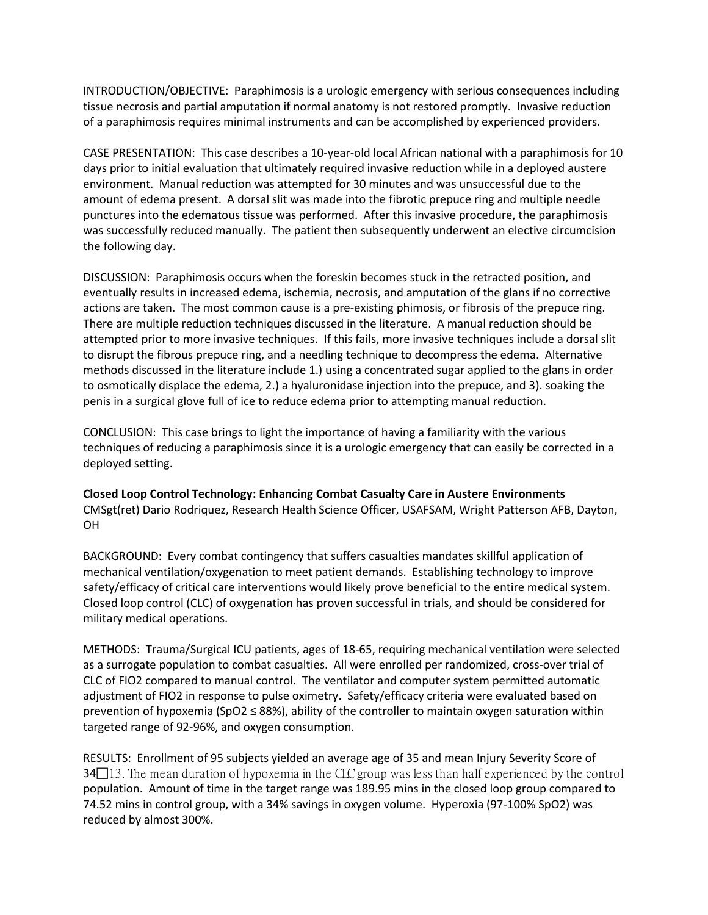INTRODUCTION/OBJECTIVE: Paraphimosis is a urologic emergency with serious consequences including tissue necrosis and partial amputation if normal anatomy is not restored promptly. Invasive reduction of a paraphimosis requires minimal instruments and can be accomplished by experienced providers.

CASE PRESENTATION: This case describes a 10-year-old local African national with a paraphimosis for 10 days prior to initial evaluation that ultimately required invasive reduction while in a deployed austere environment. Manual reduction was attempted for 30 minutes and was unsuccessful due to the amount of edema present. A dorsal slit was made into the fibrotic prepuce ring and multiple needle punctures into the edematous tissue was performed. After this invasive procedure, the paraphimosis was successfully reduced manually. The patient then subsequently underwent an elective circumcision the following day.

DISCUSSION: Paraphimosis occurs when the foreskin becomes stuck in the retracted position, and eventually results in increased edema, ischemia, necrosis, and amputation of the glans if no corrective actions are taken. The most common cause is a pre-existing phimosis, or fibrosis of the prepuce ring. There are multiple reduction techniques discussed in the literature. A manual reduction should be attempted prior to more invasive techniques. If this fails, more invasive techniques include a dorsal slit to disrupt the fibrous prepuce ring, and a needling technique to decompress the edema. Alternative methods discussed in the literature include 1.) using a concentrated sugar applied to the glans in order to osmotically displace the edema, 2.) a hyaluronidase injection into the prepuce, and 3). soaking the penis in a surgical glove full of ice to reduce edema prior to attempting manual reduction.

CONCLUSION: This case brings to light the importance of having a familiarity with the various techniques of reducing a paraphimosis since it is a urologic emergency that can easily be corrected in a deployed setting.

**Closed Loop Control Technology: Enhancing Combat Casualty Care in Austere Environments** CMSgt(ret) Dario Rodriquez, Research Health Science Officer, USAFSAM, Wright Patterson AFB, Dayton, OH

BACKGROUND: Every combat contingency that suffers casualties mandates skillful application of mechanical ventilation/oxygenation to meet patient demands. Establishing technology to improve safety/efficacy of critical care interventions would likely prove beneficial to the entire medical system. Closed loop control (CLC) of oxygenation has proven successful in trials, and should be considered for military medical operations.

METHODS: Trauma/Surgical ICU patients, ages of 18-65, requiring mechanical ventilation were selected as a surrogate population to combat casualties. All were enrolled per randomized, cross-over trial of CLC of FIO2 compared to manual control. The ventilator and computer system permitted automatic adjustment of FIO2 in response to pulse oximetry. Safety/efficacy criteria were evaluated based on prevention of hypoxemia (SpO2 ≤ 88%), ability of the controller to maintain oxygen saturation within targeted range of 92-96%, and oxygen consumption.

RESULTS: Enrollment of 95 subjects yielded an average age of 35 and mean Injury Severity Score of  $34\Box$ 13. The mean duration of hypoxemia in the CLC group was less than half experienced by the control population. Amount of time in the target range was 189.95 mins in the closed loop group compared to 74.52 mins in control group, with a 34% savings in oxygen volume. Hyperoxia (97-100% SpO2) was reduced by almost 300%.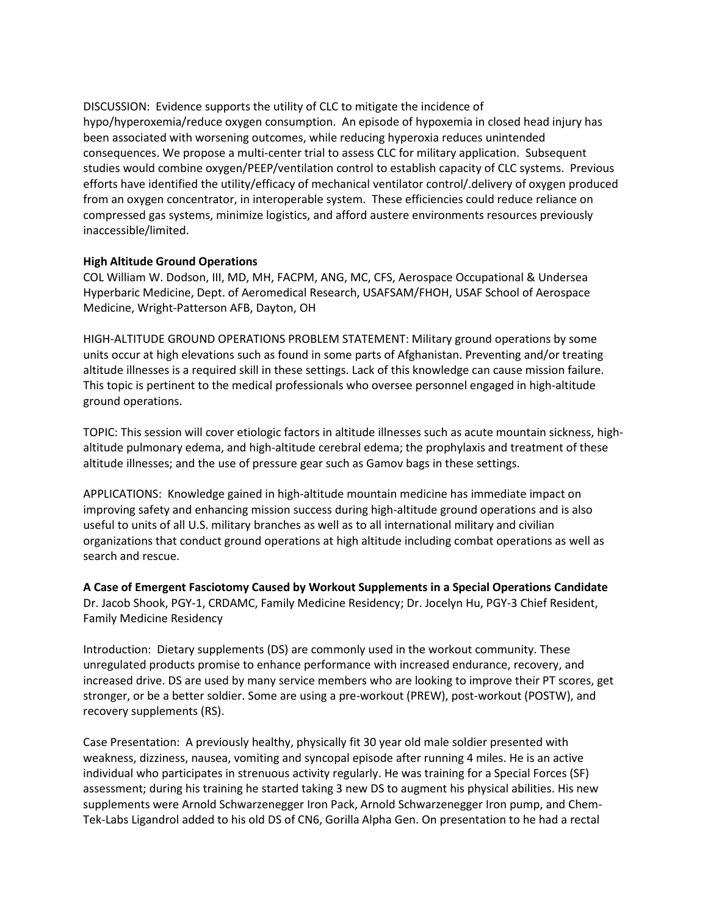DISCUSSION: Evidence supports the utility of CLC to mitigate the incidence of hypo/hyperoxemia/reduce oxygen consumption. An episode of hypoxemia in closed head injury has been associated with worsening outcomes, while reducing hyperoxia reduces unintended consequences. We propose a multi-center trial to assess CLC for military application. Subsequent studies would combine oxygen/PEEP/ventilation control to establish capacity of CLC systems. Previous efforts have identified the utility/efficacy of mechanical ventilator control/.delivery of oxygen produced from an oxygen concentrator, in interoperable system. These efficiencies could reduce reliance on compressed gas systems, minimize logistics, and afford austere environments resources previously inaccessible/limited.

#### **High Altitude Ground Operations**

COL William W. Dodson, III, MD, MH, FACPM, ANG, MC, CFS, Aerospace Occupational & Undersea Hyperbaric Medicine, Dept. of Aeromedical Research, USAFSAM/FHOH, USAF School of Aerospace Medicine, Wright-Patterson AFB, Dayton, OH

HIGH-ALTITUDE GROUND OPERATIONS PROBLEM STATEMENT: Military ground operations by some units occur at high elevations such as found in some parts of Afghanistan. Preventing and/or treating altitude illnesses is a required skill in these settings. Lack of this knowledge can cause mission failure. This topic is pertinent to the medical professionals who oversee personnel engaged in high-altitude ground operations.

TOPIC: This session will cover etiologic factors in altitude illnesses such as acute mountain sickness, highaltitude pulmonary edema, and high-altitude cerebral edema; the prophylaxis and treatment of these altitude illnesses; and the use of pressure gear such as Gamov bags in these settings.

APPLICATIONS: Knowledge gained in high-altitude mountain medicine has immediate impact on improving safety and enhancing mission success during high-altitude ground operations and is also useful to units of all U.S. military branches as well as to all international military and civilian organizations that conduct ground operations at high altitude including combat operations as well as search and rescue.

**A Case of Emergent Fasciotomy Caused by Workout Supplements in a Special Operations Candidate** Dr. Jacob Shook, PGY-1, CRDAMC, Family Medicine Residency; Dr. Jocelyn Hu, PGY-3 Chief Resident, Family Medicine Residency

Introduction: Dietary supplements (DS) are commonly used in the workout community. These unregulated products promise to enhance performance with increased endurance, recovery, and increased drive. DS are used by many service members who are looking to improve their PT scores, get stronger, or be a better soldier. Some are using a pre-workout (PREW), post-workout (POSTW), and recovery supplements (RS).

Case Presentation: A previously healthy, physically fit 30 year old male soldier presented with weakness, dizziness, nausea, vomiting and syncopal episode after running 4 miles. He is an active individual who participates in strenuous activity regularly. He was training for a Special Forces (SF) assessment; during his training he started taking 3 new DS to augment his physical abilities. His new supplements were Arnold Schwarzenegger Iron Pack, Arnold Schwarzenegger Iron pump, and Chem-Tek-Labs Ligandrol added to his old DS of CN6, Gorilla Alpha Gen. On presentation to he had a rectal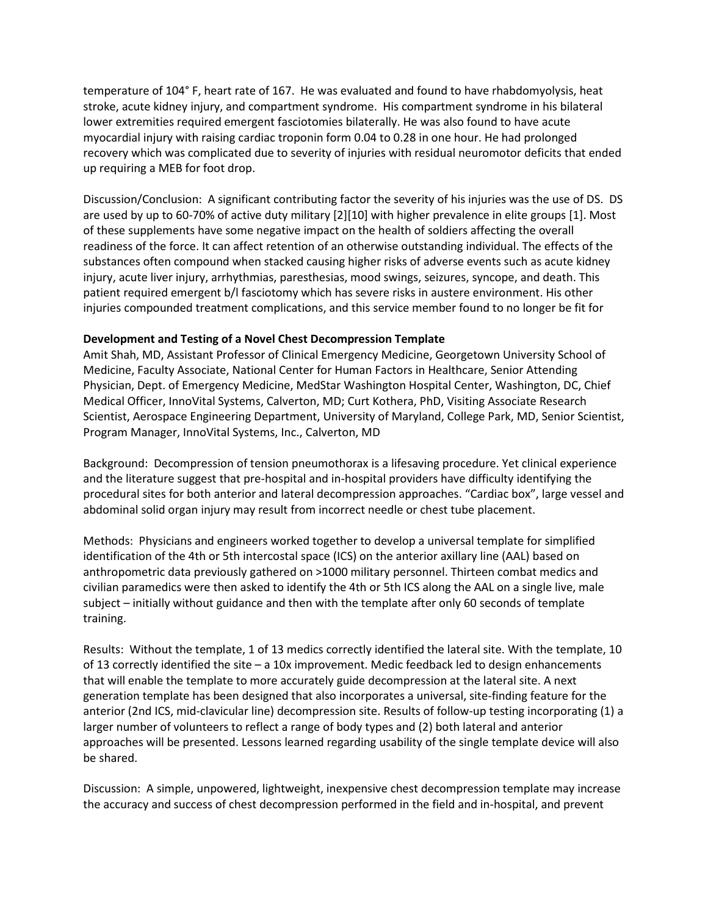temperature of 104° F, heart rate of 167. He was evaluated and found to have rhabdomyolysis, heat stroke, acute kidney injury, and compartment syndrome. His compartment syndrome in his bilateral lower extremities required emergent fasciotomies bilaterally. He was also found to have acute myocardial injury with raising cardiac troponin form 0.04 to 0.28 in one hour. He had prolonged recovery which was complicated due to severity of injuries with residual neuromotor deficits that ended up requiring a MEB for foot drop.

Discussion/Conclusion: A significant contributing factor the severity of his injuries was the use of DS. DS are used by up to 60-70% of active duty military [2][10] with higher prevalence in elite groups [1]. Most of these supplements have some negative impact on the health of soldiers affecting the overall readiness of the force. It can affect retention of an otherwise outstanding individual. The effects of the substances often compound when stacked causing higher risks of adverse events such as acute kidney injury, acute liver injury, arrhythmias, paresthesias, mood swings, seizures, syncope, and death. This patient required emergent b/l fasciotomy which has severe risks in austere environment. His other injuries compounded treatment complications, and this service member found to no longer be fit for

#### **Development and Testing of a Novel Chest Decompression Template**

Amit Shah, MD, Assistant Professor of Clinical Emergency Medicine, Georgetown University School of Medicine, Faculty Associate, National Center for Human Factors in Healthcare, Senior Attending Physician, Dept. of Emergency Medicine, MedStar Washington Hospital Center, Washington, DC, Chief Medical Officer, InnoVital Systems, Calverton, MD; Curt Kothera, PhD, Visiting Associate Research Scientist, Aerospace Engineering Department, University of Maryland, College Park, MD, Senior Scientist, Program Manager, InnoVital Systems, Inc., Calverton, MD

Background: Decompression of tension pneumothorax is a lifesaving procedure. Yet clinical experience and the literature suggest that pre-hospital and in-hospital providers have difficulty identifying the procedural sites for both anterior and lateral decompression approaches. "Cardiac box", large vessel and abdominal solid organ injury may result from incorrect needle or chest tube placement.

Methods: Physicians and engineers worked together to develop a universal template for simplified identification of the 4th or 5th intercostal space (ICS) on the anterior axillary line (AAL) based on anthropometric data previously gathered on >1000 military personnel. Thirteen combat medics and civilian paramedics were then asked to identify the 4th or 5th ICS along the AAL on a single live, male subject – initially without guidance and then with the template after only 60 seconds of template training.

Results: Without the template, 1 of 13 medics correctly identified the lateral site. With the template, 10 of 13 correctly identified the site – a 10x improvement. Medic feedback led to design enhancements that will enable the template to more accurately guide decompression at the lateral site. A next generation template has been designed that also incorporates a universal, site-finding feature for the anterior (2nd ICS, mid-clavicular line) decompression site. Results of follow-up testing incorporating (1) a larger number of volunteers to reflect a range of body types and (2) both lateral and anterior approaches will be presented. Lessons learned regarding usability of the single template device will also be shared.

Discussion: A simple, unpowered, lightweight, inexpensive chest decompression template may increase the accuracy and success of chest decompression performed in the field and in-hospital, and prevent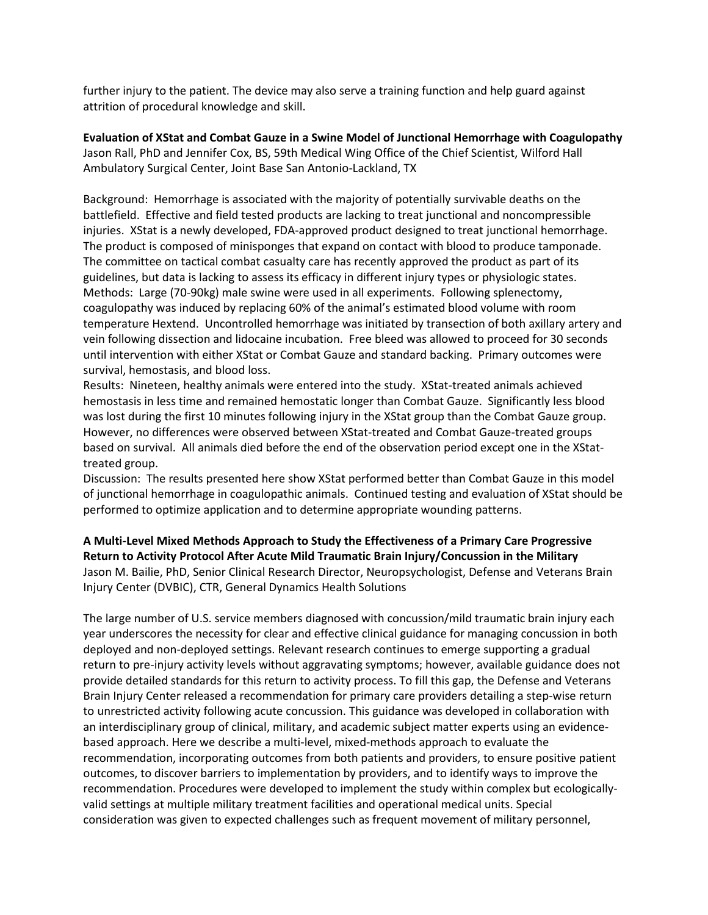further injury to the patient. The device may also serve a training function and help guard against attrition of procedural knowledge and skill.

**Evaluation of XStat and Combat Gauze in a Swine Model of Junctional Hemorrhage with Coagulopathy** Jason Rall, PhD and Jennifer Cox, BS, 59th Medical Wing Office of the Chief Scientist, Wilford Hall Ambulatory Surgical Center, Joint Base San Antonio-Lackland, TX

Background: Hemorrhage is associated with the majority of potentially survivable deaths on the battlefield. Effective and field tested products are lacking to treat junctional and noncompressible injuries. XStat is a newly developed, FDA-approved product designed to treat junctional hemorrhage. The product is composed of minisponges that expand on contact with blood to produce tamponade. The committee on tactical combat casualty care has recently approved the product as part of its guidelines, but data is lacking to assess its efficacy in different injury types or physiologic states. Methods: Large (70-90kg) male swine were used in all experiments. Following splenectomy, coagulopathy was induced by replacing 60% of the animal's estimated blood volume with room temperature Hextend. Uncontrolled hemorrhage was initiated by transection of both axillary artery and vein following dissection and lidocaine incubation. Free bleed was allowed to proceed for 30 seconds until intervention with either XStat or Combat Gauze and standard backing. Primary outcomes were survival, hemostasis, and blood loss.

Results: Nineteen, healthy animals were entered into the study. XStat-treated animals achieved hemostasis in less time and remained hemostatic longer than Combat Gauze. Significantly less blood was lost during the first 10 minutes following injury in the XStat group than the Combat Gauze group. However, no differences were observed between XStat-treated and Combat Gauze-treated groups based on survival. All animals died before the end of the observation period except one in the XStattreated group.

Discussion: The results presented here show XStat performed better than Combat Gauze in this model of junctional hemorrhage in coagulopathic animals. Continued testing and evaluation of XStat should be performed to optimize application and to determine appropriate wounding patterns.

**A Multi-Level Mixed Methods Approach to Study the Effectiveness of a Primary Care Progressive Return to Activity Protocol After Acute Mild Traumatic Brain Injury/Concussion in the Military** Jason M. Bailie, PhD, Senior Clinical Research Director, Neuropsychologist, Defense and Veterans Brain Injury Center (DVBIC), CTR, General Dynamics Health Solutions

The large number of U.S. service members diagnosed with concussion/mild traumatic brain injury each year underscores the necessity for clear and effective clinical guidance for managing concussion in both deployed and non-deployed settings. Relevant research continues to emerge supporting a gradual return to pre-injury activity levels without aggravating symptoms; however, available guidance does not provide detailed standards for this return to activity process. To fill this gap, the Defense and Veterans Brain Injury Center released a recommendation for primary care providers detailing a step-wise return to unrestricted activity following acute concussion. This guidance was developed in collaboration with an interdisciplinary group of clinical, military, and academic subject matter experts using an evidencebased approach. Here we describe a multi-level, mixed-methods approach to evaluate the recommendation, incorporating outcomes from both patients and providers, to ensure positive patient outcomes, to discover barriers to implementation by providers, and to identify ways to improve the recommendation. Procedures were developed to implement the study within complex but ecologicallyvalid settings at multiple military treatment facilities and operational medical units. Special consideration was given to expected challenges such as frequent movement of military personnel,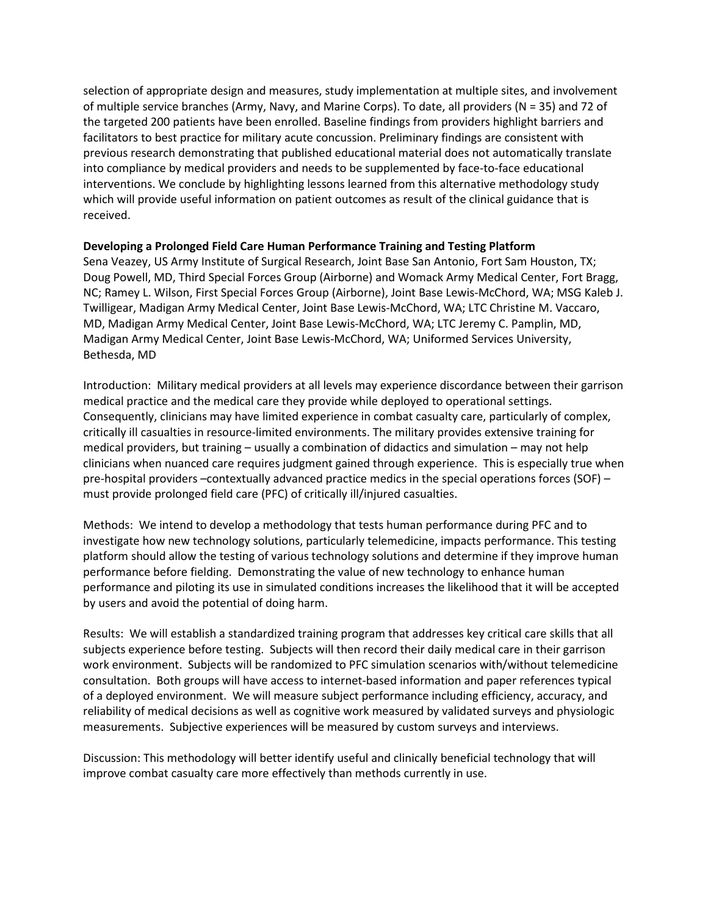selection of appropriate design and measures, study implementation at multiple sites, and involvement of multiple service branches (Army, Navy, and Marine Corps). To date, all providers (N = 35) and 72 of the targeted 200 patients have been enrolled. Baseline findings from providers highlight barriers and facilitators to best practice for military acute concussion. Preliminary findings are consistent with previous research demonstrating that published educational material does not automatically translate into compliance by medical providers and needs to be supplemented by face-to-face educational interventions. We conclude by highlighting lessons learned from this alternative methodology study which will provide useful information on patient outcomes as result of the clinical guidance that is received.

#### **Developing a Prolonged Field Care Human Performance Training and Testing Platform**

Sena Veazey, US Army Institute of Surgical Research, Joint Base San Antonio, Fort Sam Houston, TX; Doug Powell, MD, Third Special Forces Group (Airborne) and Womack Army Medical Center, Fort Bragg, NC; Ramey L. Wilson, First Special Forces Group (Airborne), Joint Base Lewis-McChord, WA; MSG Kaleb J. Twilligear, Madigan Army Medical Center, Joint Base Lewis-McChord, WA; LTC Christine M. Vaccaro, MD, Madigan Army Medical Center, Joint Base Lewis-McChord, WA; LTC Jeremy C. Pamplin, MD, Madigan Army Medical Center, Joint Base Lewis-McChord, WA; Uniformed Services University, Bethesda, MD

Introduction: Military medical providers at all levels may experience discordance between their garrison medical practice and the medical care they provide while deployed to operational settings. Consequently, clinicians may have limited experience in combat casualty care, particularly of complex, critically ill casualties in resource-limited environments. The military provides extensive training for medical providers, but training – usually a combination of didactics and simulation – may not help clinicians when nuanced care requires judgment gained through experience. This is especially true when pre-hospital providers –contextually advanced practice medics in the special operations forces (SOF) – must provide prolonged field care (PFC) of critically ill/injured casualties.

Methods: We intend to develop a methodology that tests human performance during PFC and to investigate how new technology solutions, particularly telemedicine, impacts performance. This testing platform should allow the testing of various technology solutions and determine if they improve human performance before fielding. Demonstrating the value of new technology to enhance human performance and piloting its use in simulated conditions increases the likelihood that it will be accepted by users and avoid the potential of doing harm.

Results: We will establish a standardized training program that addresses key critical care skills that all subjects experience before testing. Subjects will then record their daily medical care in their garrison work environment. Subjects will be randomized to PFC simulation scenarios with/without telemedicine consultation. Both groups will have access to internet-based information and paper references typical of a deployed environment. We will measure subject performance including efficiency, accuracy, and reliability of medical decisions as well as cognitive work measured by validated surveys and physiologic measurements. Subjective experiences will be measured by custom surveys and interviews.

Discussion: This methodology will better identify useful and clinically beneficial technology that will improve combat casualty care more effectively than methods currently in use.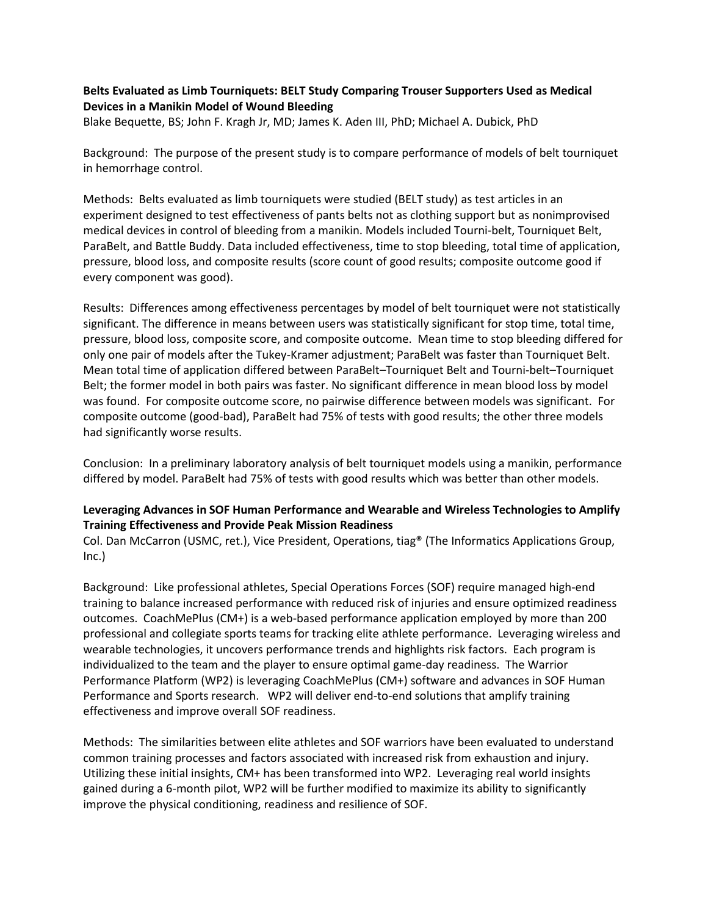# **Belts Evaluated as Limb Tourniquets: BELT Study Comparing Trouser Supporters Used as Medical Devices in a Manikin Model of Wound Bleeding**

Blake Bequette, BS; John F. Kragh Jr, MD; James K. Aden III, PhD; Michael A. Dubick, PhD

Background: The purpose of the present study is to compare performance of models of belt tourniquet in hemorrhage control.

Methods: Belts evaluated as limb tourniquets were studied (BELT study) as test articles in an experiment designed to test effectiveness of pants belts not as clothing support but as nonimprovised medical devices in control of bleeding from a manikin. Models included Tourni-belt, Tourniquet Belt, ParaBelt, and Battle Buddy. Data included effectiveness, time to stop bleeding, total time of application, pressure, blood loss, and composite results (score count of good results; composite outcome good if every component was good).

Results: Differences among effectiveness percentages by model of belt tourniquet were not statistically significant. The difference in means between users was statistically significant for stop time, total time, pressure, blood loss, composite score, and composite outcome. Mean time to stop bleeding differed for only one pair of models after the Tukey-Kramer adjustment; ParaBelt was faster than Tourniquet Belt. Mean total time of application differed between ParaBelt–Tourniquet Belt and Tourni-belt–Tourniquet Belt; the former model in both pairs was faster. No significant difference in mean blood loss by model was found. For composite outcome score, no pairwise difference between models was significant. For composite outcome (good-bad), ParaBelt had 75% of tests with good results; the other three models had significantly worse results.

Conclusion: In a preliminary laboratory analysis of belt tourniquet models using a manikin, performance differed by model. ParaBelt had 75% of tests with good results which was better than other models.

# **Leveraging Advances in SOF Human Performance and Wearable and Wireless Technologies to Amplify Training Effectiveness and Provide Peak Mission Readiness**

Col. Dan McCarron (USMC, ret.), Vice President, Operations, tiag® (The Informatics Applications Group, Inc.)

Background: Like professional athletes, Special Operations Forces (SOF) require managed high-end training to balance increased performance with reduced risk of injuries and ensure optimized readiness outcomes. CoachMePlus (CM+) is a web-based performance application employed by more than 200 professional and collegiate sports teams for tracking elite athlete performance. Leveraging wireless and wearable technologies, it uncovers performance trends and highlights risk factors. Each program is individualized to the team and the player to ensure optimal game-day readiness. The Warrior Performance Platform (WP2) is leveraging CoachMePlus (CM+) software and advances in SOF Human Performance and Sports research. WP2 will deliver end-to-end solutions that amplify training effectiveness and improve overall SOF readiness.

Methods: The similarities between elite athletes and SOF warriors have been evaluated to understand common training processes and factors associated with increased risk from exhaustion and injury. Utilizing these initial insights, CM+ has been transformed into WP2. Leveraging real world insights gained during a 6-month pilot, WP2 will be further modified to maximize its ability to significantly improve the physical conditioning, readiness and resilience of SOF.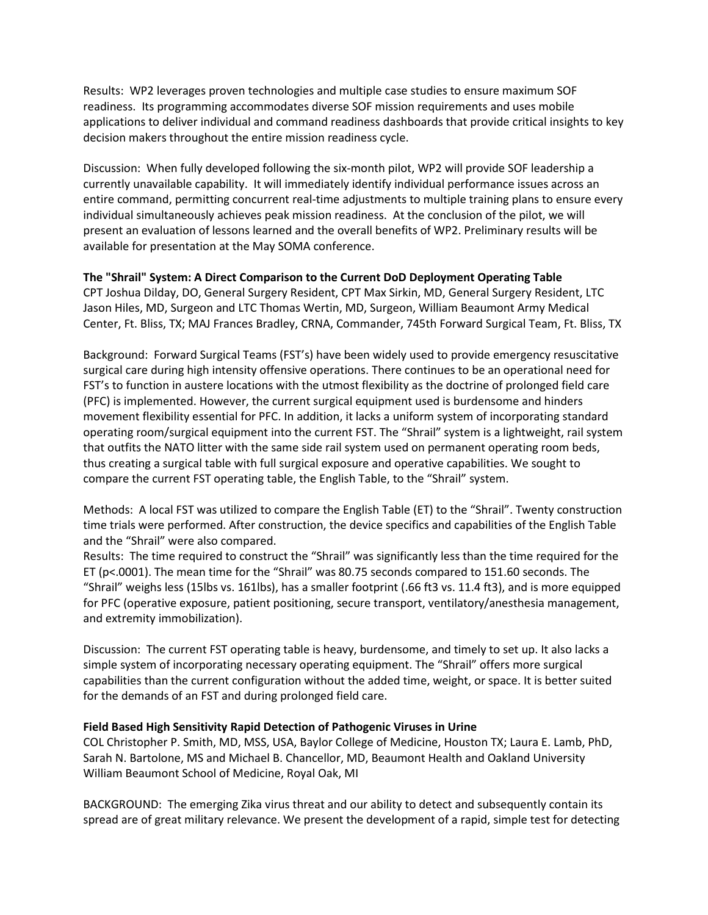Results: WP2 leverages proven technologies and multiple case studies to ensure maximum SOF readiness. Its programming accommodates diverse SOF mission requirements and uses mobile applications to deliver individual and command readiness dashboards that provide critical insights to key decision makers throughout the entire mission readiness cycle.

Discussion: When fully developed following the six-month pilot, WP2 will provide SOF leadership a currently unavailable capability. It will immediately identify individual performance issues across an entire command, permitting concurrent real-time adjustments to multiple training plans to ensure every individual simultaneously achieves peak mission readiness. At the conclusion of the pilot, we will present an evaluation of lessons learned and the overall benefits of WP2. Preliminary results will be available for presentation at the May SOMA conference.

**The "Shrail" System: A Direct Comparison to the Current DoD Deployment Operating Table** CPT Joshua Dilday, DO, General Surgery Resident, CPT Max Sirkin, MD, General Surgery Resident, LTC

Jason Hiles, MD, Surgeon and LTC Thomas Wertin, MD, Surgeon, William Beaumont Army Medical Center, Ft. Bliss, TX; MAJ Frances Bradley, CRNA, Commander, 745th Forward Surgical Team, Ft. Bliss, TX

Background: Forward Surgical Teams (FST's) have been widely used to provide emergency resuscitative surgical care during high intensity offensive operations. There continues to be an operational need for FST's to function in austere locations with the utmost flexibility as the doctrine of prolonged field care (PFC) is implemented. However, the current surgical equipment used is burdensome and hinders movement flexibility essential for PFC. In addition, it lacks a uniform system of incorporating standard operating room/surgical equipment into the current FST. The "Shrail" system is a lightweight, rail system that outfits the NATO litter with the same side rail system used on permanent operating room beds, thus creating a surgical table with full surgical exposure and operative capabilities. We sought to compare the current FST operating table, the English Table, to the "Shrail" system.

Methods: A local FST was utilized to compare the English Table (ET) to the "Shrail". Twenty construction time trials were performed. After construction, the device specifics and capabilities of the English Table and the "Shrail" were also compared.

Results: The time required to construct the "Shrail" was significantly less than the time required for the ET (p<.0001). The mean time for the "Shrail" was 80.75 seconds compared to 151.60 seconds. The "Shrail" weighs less (15lbs vs. 161lbs), has a smaller footprint (.66 ft3 vs. 11.4 ft3), and is more equipped for PFC (operative exposure, patient positioning, secure transport, ventilatory/anesthesia management, and extremity immobilization).

Discussion: The current FST operating table is heavy, burdensome, and timely to set up. It also lacks a simple system of incorporating necessary operating equipment. The "Shrail" offers more surgical capabilities than the current configuration without the added time, weight, or space. It is better suited for the demands of an FST and during prolonged field care.

#### **Field Based High Sensitivity Rapid Detection of Pathogenic Viruses in Urine**

COL Christopher P. Smith, MD, MSS, USA, Baylor College of Medicine, Houston TX; Laura E. Lamb, PhD, Sarah N. Bartolone, MS and Michael B. Chancellor, MD, Beaumont Health and Oakland University William Beaumont School of Medicine, Royal Oak, MI

BACKGROUND: The emerging Zika virus threat and our ability to detect and subsequently contain its spread are of great military relevance. We present the development of a rapid, simple test for detecting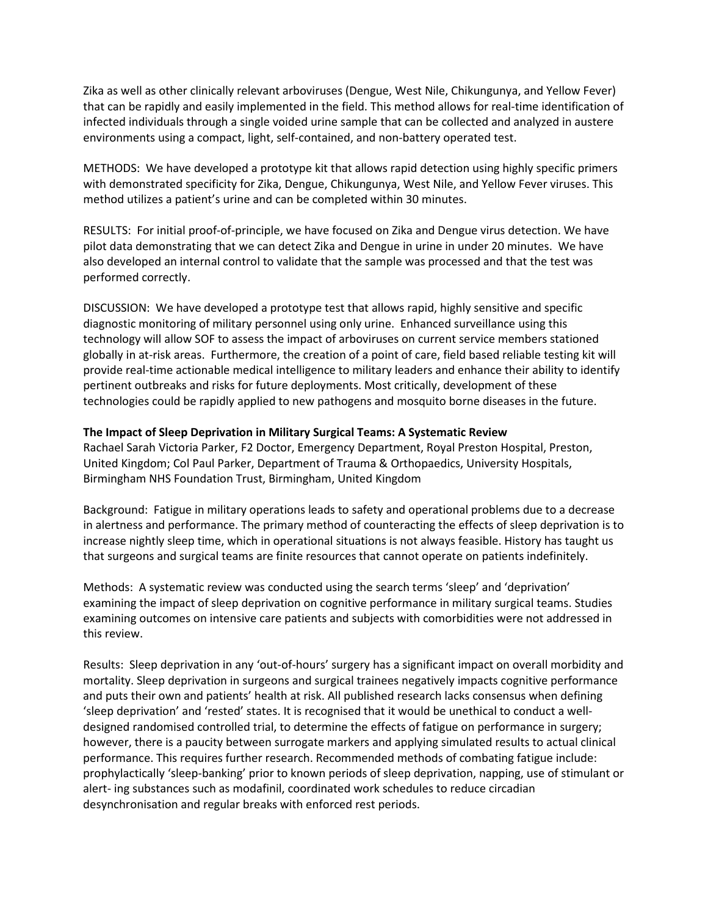Zika as well as other clinically relevant arboviruses (Dengue, West Nile, Chikungunya, and Yellow Fever) that can be rapidly and easily implemented in the field. This method allows for real-time identification of infected individuals through a single voided urine sample that can be collected and analyzed in austere environments using a compact, light, self-contained, and non-battery operated test.

METHODS: We have developed a prototype kit that allows rapid detection using highly specific primers with demonstrated specificity for Zika, Dengue, Chikungunya, West Nile, and Yellow Fever viruses. This method utilizes a patient's urine and can be completed within 30 minutes.

RESULTS: For initial proof-of-principle, we have focused on Zika and Dengue virus detection. We have pilot data demonstrating that we can detect Zika and Dengue in urine in under 20 minutes. We have also developed an internal control to validate that the sample was processed and that the test was performed correctly.

DISCUSSION: We have developed a prototype test that allows rapid, highly sensitive and specific diagnostic monitoring of military personnel using only urine. Enhanced surveillance using this technology will allow SOF to assess the impact of arboviruses on current service members stationed globally in at-risk areas. Furthermore, the creation of a point of care, field based reliable testing kit will provide real-time actionable medical intelligence to military leaders and enhance their ability to identify pertinent outbreaks and risks for future deployments. Most critically, development of these technologies could be rapidly applied to new pathogens and mosquito borne diseases in the future.

#### **The Impact of Sleep Deprivation in Military Surgical Teams: A Systematic Review**

Rachael Sarah Victoria Parker, F2 Doctor, Emergency Department, Royal Preston Hospital, Preston, United Kingdom; Col Paul Parker, Department of Trauma & Orthopaedics, University Hospitals, Birmingham NHS Foundation Trust, Birmingham, United Kingdom

Background: Fatigue in military operations leads to safety and operational problems due to a decrease in alertness and performance. The primary method of counteracting the effects of sleep deprivation is to increase nightly sleep time, which in operational situations is not always feasible. History has taught us that surgeons and surgical teams are finite resources that cannot operate on patients indefinitely.

Methods: A systematic review was conducted using the search terms 'sleep' and 'deprivation' examining the impact of sleep deprivation on cognitive performance in military surgical teams. Studies examining outcomes on intensive care patients and subjects with comorbidities were not addressed in this review.

Results: Sleep deprivation in any 'out-of-hours' surgery has a significant impact on overall morbidity and mortality. Sleep deprivation in surgeons and surgical trainees negatively impacts cognitive performance and puts their own and patients' health at risk. All published research lacks consensus when defining 'sleep deprivation' and 'rested' states. It is recognised that it would be unethical to conduct a welldesigned randomised controlled trial, to determine the effects of fatigue on performance in surgery; however, there is a paucity between surrogate markers and applying simulated results to actual clinical performance. This requires further research. Recommended methods of combating fatigue include: prophylactically 'sleep-banking' prior to known periods of sleep deprivation, napping, use of stimulant or alert- ing substances such as modafinil, coordinated work schedules to reduce circadian desynchronisation and regular breaks with enforced rest periods.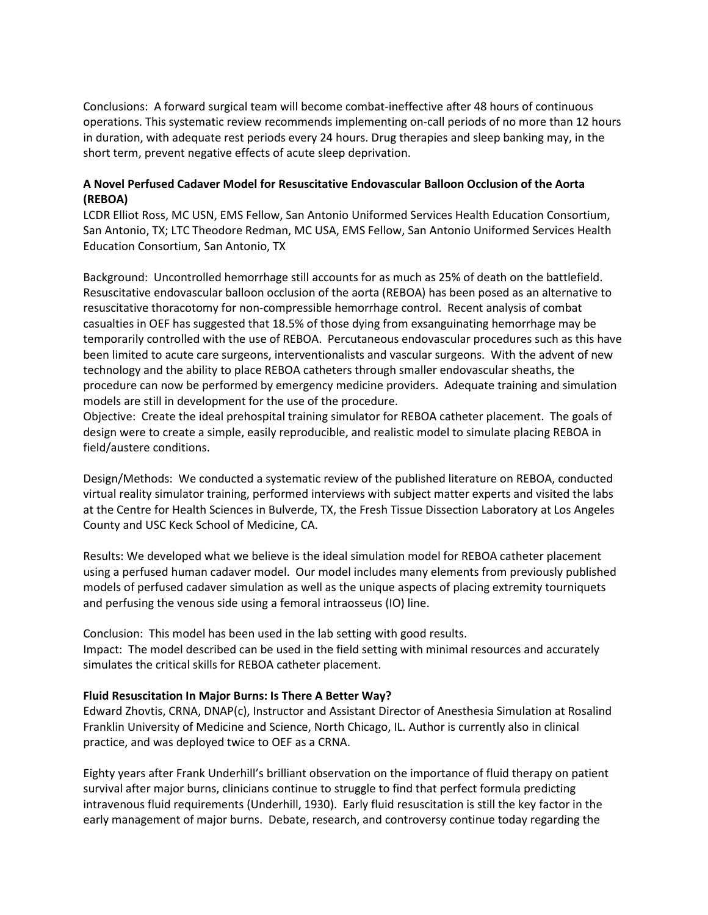Conclusions: A forward surgical team will become combat-ineffective after 48 hours of continuous operations. This systematic review recommends implementing on-call periods of no more than 12 hours in duration, with adequate rest periods every 24 hours. Drug therapies and sleep banking may, in the short term, prevent negative effects of acute sleep deprivation.

## **A Novel Perfused Cadaver Model for Resuscitative Endovascular Balloon Occlusion of the Aorta (REBOA)**

LCDR Elliot Ross, MC USN, EMS Fellow, San Antonio Uniformed Services Health Education Consortium, San Antonio, TX; LTC Theodore Redman, MC USA, EMS Fellow, San Antonio Uniformed Services Health Education Consortium, San Antonio, TX

Background: Uncontrolled hemorrhage still accounts for as much as 25% of death on the battlefield. Resuscitative endovascular balloon occlusion of the aorta (REBOA) has been posed as an alternative to resuscitative thoracotomy for non-compressible hemorrhage control. Recent analysis of combat casualties in OEF has suggested that 18.5% of those dying from exsanguinating hemorrhage may be temporarily controlled with the use of REBOA. Percutaneous endovascular procedures such as this have been limited to acute care surgeons, interventionalists and vascular surgeons. With the advent of new technology and the ability to place REBOA catheters through smaller endovascular sheaths, the procedure can now be performed by emergency medicine providers. Adequate training and simulation models are still in development for the use of the procedure.

Objective: Create the ideal prehospital training simulator for REBOA catheter placement. The goals of design were to create a simple, easily reproducible, and realistic model to simulate placing REBOA in field/austere conditions.

Design/Methods: We conducted a systematic review of the published literature on REBOA, conducted virtual reality simulator training, performed interviews with subject matter experts and visited the labs at the Centre for Health Sciences in Bulverde, TX, the Fresh Tissue Dissection Laboratory at Los Angeles County and USC Keck School of Medicine, CA.

Results: We developed what we believe is the ideal simulation model for REBOA catheter placement using a perfused human cadaver model. Our model includes many elements from previously published models of perfused cadaver simulation as well as the unique aspects of placing extremity tourniquets and perfusing the venous side using a femoral intraosseus (IO) line.

Conclusion: This model has been used in the lab setting with good results. Impact: The model described can be used in the field setting with minimal resources and accurately simulates the critical skills for REBOA catheter placement.

#### **Fluid Resuscitation In Major Burns: Is There A Better Way?**

Edward Zhovtis, CRNA, DNAP(c), Instructor and Assistant Director of Anesthesia Simulation at Rosalind Franklin University of Medicine and Science, North Chicago, IL. Author is currently also in clinical practice, and was deployed twice to OEF as a CRNA.

Eighty years after Frank Underhill's brilliant observation on the importance of fluid therapy on patient survival after major burns, clinicians continue to struggle to find that perfect formula predicting intravenous fluid requirements (Underhill, 1930). Early fluid resuscitation is still the key factor in the early management of major burns. Debate, research, and controversy continue today regarding the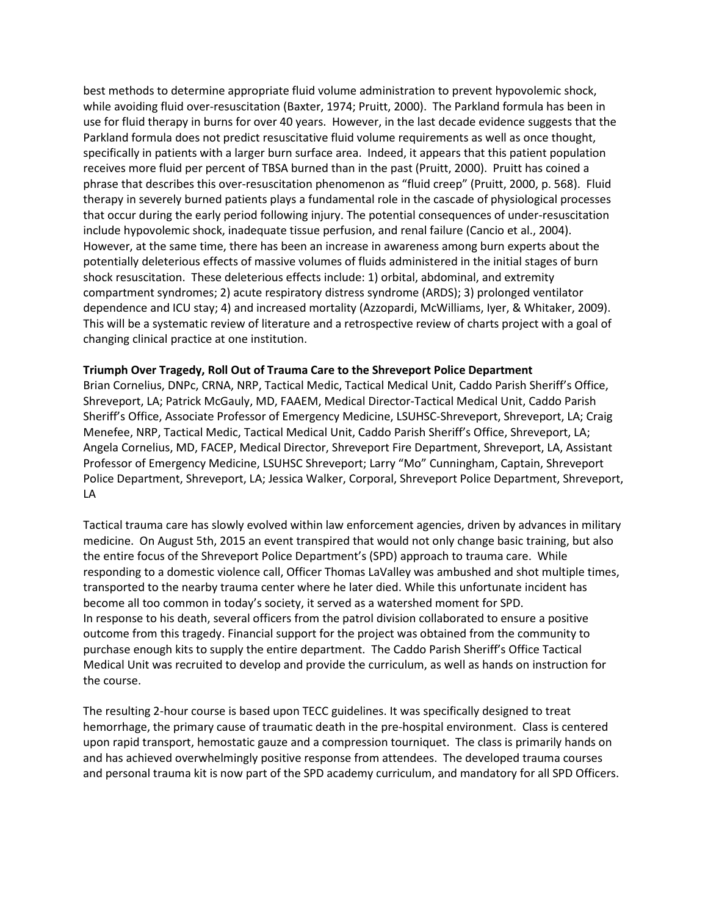best methods to determine appropriate fluid volume administration to prevent hypovolemic shock, while avoiding fluid over-resuscitation (Baxter, 1974; Pruitt, 2000). The Parkland formula has been in use for fluid therapy in burns for over 40 years. However, in the last decade evidence suggests that the Parkland formula does not predict resuscitative fluid volume requirements as well as once thought, specifically in patients with a larger burn surface area. Indeed, it appears that this patient population receives more fluid per percent of TBSA burned than in the past (Pruitt, 2000). Pruitt has coined a phrase that describes this over-resuscitation phenomenon as "fluid creep" (Pruitt, 2000, p. 568). Fluid therapy in severely burned patients plays a fundamental role in the cascade of physiological processes that occur during the early period following injury. The potential consequences of under-resuscitation include hypovolemic shock, inadequate tissue perfusion, and renal failure (Cancio et al., 2004). However, at the same time, there has been an increase in awareness among burn experts about the potentially deleterious effects of massive volumes of fluids administered in the initial stages of burn shock resuscitation. These deleterious effects include: 1) orbital, abdominal, and extremity compartment syndromes; 2) acute respiratory distress syndrome (ARDS); 3) prolonged ventilator dependence and ICU stay; 4) and increased mortality (Azzopardi, McWilliams, Iyer, & Whitaker, 2009). This will be a systematic review of literature and a retrospective review of charts project with a goal of changing clinical practice at one institution.

#### **Triumph Over Tragedy, Roll Out of Trauma Care to the Shreveport Police Department**

Brian Cornelius, DNPc, CRNA, NRP, Tactical Medic, Tactical Medical Unit, Caddo Parish Sheriff's Office, Shreveport, LA; Patrick McGauly, MD, FAAEM, Medical Director-Tactical Medical Unit, Caddo Parish Sheriff's Office, Associate Professor of Emergency Medicine, LSUHSC-Shreveport, Shreveport, LA; Craig Menefee, NRP, Tactical Medic, Tactical Medical Unit, Caddo Parish Sheriff's Office, Shreveport, LA; Angela Cornelius, MD, FACEP, Medical Director, Shreveport Fire Department, Shreveport, LA, Assistant Professor of Emergency Medicine, LSUHSC Shreveport; Larry "Mo" Cunningham, Captain, Shreveport Police Department, Shreveport, LA; Jessica Walker, Corporal, Shreveport Police Department, Shreveport, LA

Tactical trauma care has slowly evolved within law enforcement agencies, driven by advances in military medicine. On August 5th, 2015 an event transpired that would not only change basic training, but also the entire focus of the Shreveport Police Department's (SPD) approach to trauma care. While responding to a domestic violence call, Officer Thomas LaValley was ambushed and shot multiple times, transported to the nearby trauma center where he later died. While this unfortunate incident has become all too common in today's society, it served as a watershed moment for SPD. In response to his death, several officers from the patrol division collaborated to ensure a positive outcome from this tragedy. Financial support for the project was obtained from the community to purchase enough kits to supply the entire department. The Caddo Parish Sheriff's Office Tactical Medical Unit was recruited to develop and provide the curriculum, as well as hands on instruction for the course.

The resulting 2-hour course is based upon TECC guidelines. It was specifically designed to treat hemorrhage, the primary cause of traumatic death in the pre-hospital environment. Class is centered upon rapid transport, hemostatic gauze and a compression tourniquet. The class is primarily hands on and has achieved overwhelmingly positive response from attendees. The developed trauma courses and personal trauma kit is now part of the SPD academy curriculum, and mandatory for all SPD Officers.